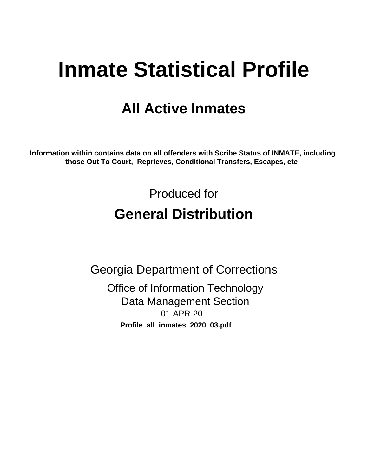# **Inmate Statistical Profile**

## **All Active Inmates**

Information within contains data on all offenders with Scribe Status of INMATE, including those Out To Court, Reprieves, Conditional Transfers, Escapes, etc

> Produced for **General Distribution**

**Georgia Department of Corrections Office of Information Technology Data Management Section** 01-APR-20 Profile\_all\_inmates\_2020\_03.pdf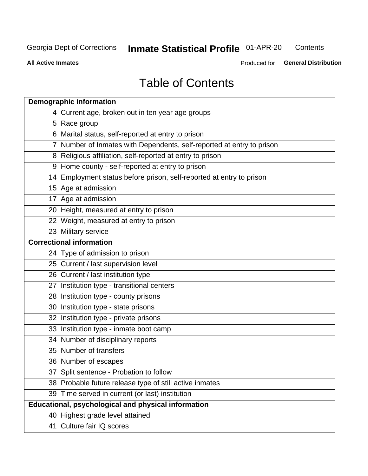## **Inmate Statistical Profile 01-APR-20**

Contents

**All Active Inmates** 

Produced for General Distribution

## **Table of Contents**

| <b>Demographic information</b>                                        |
|-----------------------------------------------------------------------|
| 4 Current age, broken out in ten year age groups                      |
| 5 Race group                                                          |
| 6 Marital status, self-reported at entry to prison                    |
| 7 Number of Inmates with Dependents, self-reported at entry to prison |
| 8 Religious affiliation, self-reported at entry to prison             |
| 9 Home county - self-reported at entry to prison                      |
| 14 Employment status before prison, self-reported at entry to prison  |
| 15 Age at admission                                                   |
| 17 Age at admission                                                   |
| 20 Height, measured at entry to prison                                |
| 22 Weight, measured at entry to prison                                |
| 23 Military service                                                   |
| <b>Correctional information</b>                                       |
| 24 Type of admission to prison                                        |
| 25 Current / last supervision level                                   |
| 26 Current / last institution type                                    |
| 27 Institution type - transitional centers                            |
| 28 Institution type - county prisons                                  |
| 30 Institution type - state prisons                                   |
| 32 Institution type - private prisons                                 |
| 33 Institution type - inmate boot camp                                |
| 34 Number of disciplinary reports                                     |
| 35 Number of transfers                                                |
| 36 Number of escapes                                                  |
| 37 Split sentence - Probation to follow                               |
| 38 Probable future release type of still active inmates               |
| 39 Time served in current (or last) institution                       |
| <b>Educational, psychological and physical information</b>            |
| 40 Highest grade level attained                                       |
| 41 Culture fair IQ scores                                             |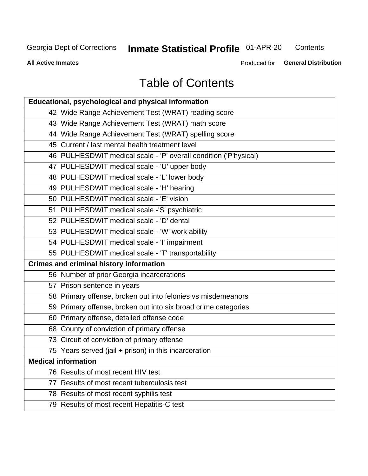## Inmate Statistical Profile 01-APR-20

Contents

**All Active Inmates** 

Produced for General Distribution

## **Table of Contents**

| Educational, psychological and physical information              |
|------------------------------------------------------------------|
| 42 Wide Range Achievement Test (WRAT) reading score              |
| 43 Wide Range Achievement Test (WRAT) math score                 |
| 44 Wide Range Achievement Test (WRAT) spelling score             |
| 45 Current / last mental health treatment level                  |
| 46 PULHESDWIT medical scale - 'P' overall condition ('P'hysical) |
| 47 PULHESDWIT medical scale - 'U' upper body                     |
| 48 PULHESDWIT medical scale - 'L' lower body                     |
| 49 PULHESDWIT medical scale - 'H' hearing                        |
| 50 PULHESDWIT medical scale - 'E' vision                         |
| 51 PULHESDWIT medical scale -'S' psychiatric                     |
| 52 PULHESDWIT medical scale - 'D' dental                         |
| 53 PULHESDWIT medical scale - 'W' work ability                   |
| 54 PULHESDWIT medical scale - 'I' impairment                     |
| 55 PULHESDWIT medical scale - 'T' transportability               |
| <b>Crimes and criminal history information</b>                   |
| 56 Number of prior Georgia incarcerations                        |
| 57 Prison sentence in years                                      |
| 58 Primary offense, broken out into felonies vs misdemeanors     |
| 59 Primary offense, broken out into six broad crime categories   |
| 60 Primary offense, detailed offense code                        |
| 68 County of conviction of primary offense                       |
| 73 Circuit of conviction of primary offense                      |
| 75 Years served (jail + prison) in this incarceration            |
| <b>Medical information</b>                                       |
| 76 Results of most recent HIV test                               |
| 77 Results of most recent tuberculosis test                      |
| 78 Results of most recent syphilis test                          |
| 79 Results of most recent Hepatitis-C test                       |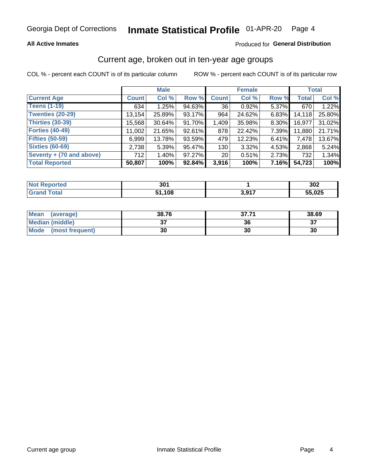#### **All Active Inmates**

#### Produced for General Distribution

### Current age, broken out in ten-year age groups

COL % - percent each COUNT is of its particular column

|                          | <b>Male</b>  |          |        | <b>Female</b>   |        |       | <b>Total</b> |        |
|--------------------------|--------------|----------|--------|-----------------|--------|-------|--------------|--------|
| <b>Current Age</b>       | <b>Count</b> | Col %    | Row %  | <b>Count</b>    | Col %  | Row % | <b>Total</b> | Col %  |
| <b>Teens (1-19)</b>      | 634          | 1.25%    | 94.63% | 36              | 0.92%  | 5.37% | 670          | 1.22%  |
| <b>Twenties (20-29)</b>  | 13,154       | 25.89%   | 93.17% | 964             | 24.62% | 6.83% | 14,118       | 25.80% |
| Thirties (30-39)         | 15,568       | 30.64%   | 91.70% | 1,409           | 35.98% | 8.30% | 16,977       | 31.02% |
| <b>Forties (40-49)</b>   | 11,002       | 21.65%   | 92.61% | 878             | 22.42% | 7.39% | 11,880       | 21.71% |
| <b>Fifties (50-59)</b>   | 6,999        | 13.78%   | 93.59% | 479             | 12.23% | 6.41% | 7,478        | 13.67% |
| <b>Sixties (60-69)</b>   | 2,738        | 5.39%    | 95.47% | 130             | 3.32%  | 4.53% | 2,868        | 5.24%  |
| Seventy + (70 and above) | 712          | $1.40\%$ | 97.27% | 20 <sub>1</sub> | 0.51%  | 2.73% | 732          | 1.34%  |
| <b>Total Reported</b>    | 50,807       | 100%     | 92.84% | 3,916           | 100%   | 7.16% | 54,723       | 100%   |

| <b>Not Reported</b> | <b>2014</b><br>JV I |            | 302    |
|---------------------|---------------------|------------|--------|
| <b>Total</b>        | ,108                | 2.017<br>. | 55,025 |

| <b>Mean</b><br>(average) | 38.76         | つフ フィ<br>37.71 | 38.69    |
|--------------------------|---------------|----------------|----------|
| Median (middle)          | $\sim$<br>ا پ | 36             | ^¬<br>o. |
| Mode<br>(most frequent)  | 30            | 30             | 30       |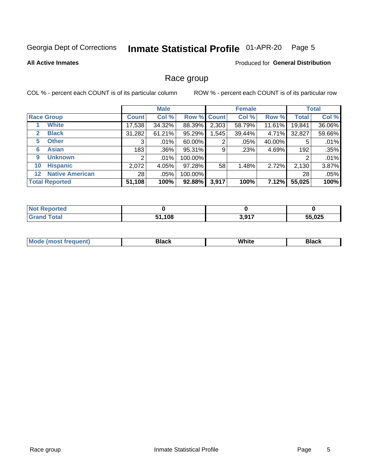#### Inmate Statistical Profile 01-APR-20 Page 5

**All Active Inmates** 

#### Produced for General Distribution

#### Race group

COL % - percent each COUNT is of its particular column

|                                   |                 | <b>Male</b> |         |             | <b>Female</b> |        |              | <b>Total</b> |  |
|-----------------------------------|-----------------|-------------|---------|-------------|---------------|--------|--------------|--------------|--|
| <b>Race Group</b>                 | <b>Count</b>    | Col %       |         | Row % Count | Col %         | Row %  | <b>Total</b> | Col %        |  |
| <b>White</b>                      | 17,538          | 34.32%      | 88.39%  | 2,303       | 58.79%        | 11.61% | 19,841       | 36.06%       |  |
| <b>Black</b><br>2                 | 31,282          | 61.21%      | 95.29%  | .545        | 39.44%        | 4.71%  | 32,827       | 59.66%       |  |
| <b>Other</b><br>5.                | 3               | $.01\%$     | 60.00%  | 2           | .05%          | 40.00% | 5            | .01%         |  |
| <b>Asian</b><br>6                 | 183             | .36%        | 95.31%  | 9           | .23%          | 4.69%  | 192          | .35%         |  |
| <b>Unknown</b><br>9               | 2               | $.01\%$     | 100.00% |             |               |        | 2            | .01%         |  |
| <b>Hispanic</b><br>10             | 2,072           | 4.05%       | 97.28%  | 58          | 1.48%         | 2.72%  | 2,130        | 3.87%        |  |
| <b>Native American</b><br>$12 \,$ | 28 <sub>1</sub> | .05%        | 100.00% |             |               |        | 28           | .05%         |  |
| <b>Total Reported</b>             | 51,108          | 100%        | 92.88%  | 3,917       | 100%          | 7.12%  | 55,025       | 100%         |  |

| eported<br>'NO.        |              |       |        |
|------------------------|--------------|-------|--------|
| <b>Total</b><br>'Grano | 51,108<br>64 | 3,917 | 55,025 |

| m | <br>w |  |
|---|-------|--|
|   |       |  |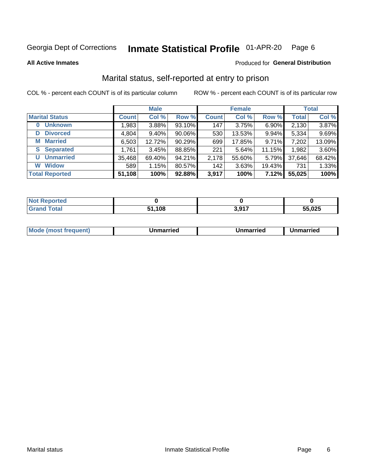#### Inmate Statistical Profile 01-APR-20 Page 6

**All Active Inmates** 

#### Produced for General Distribution

## Marital status, self-reported at entry to prison

COL % - percent each COUNT is of its particular column

|                            | <b>Male</b>  |        |        |              | <b>Female</b> | <b>Total</b> |              |        |
|----------------------------|--------------|--------|--------|--------------|---------------|--------------|--------------|--------|
| <b>Marital Status</b>      | <b>Count</b> | Col %  | Row %  | <b>Count</b> | Col %         | Row %        | <b>Total</b> | Col %  |
| <b>Unknown</b><br>$\bf{0}$ | 1,983        | 3.88%  | 93.10% | 147          | 3.75%         | 6.90%        | 2,130        | 3.87%  |
| <b>Divorced</b><br>D       | 4,804        | 9.40%  | 90.06% | 530          | 13.53%        | 9.94%        | 5,334        | 9.69%  |
| <b>Married</b><br>М        | 6,503        | 12.72% | 90.29% | 699          | 17.85%        | 9.71%        | 7,202        | 13.09% |
| <b>Separated</b><br>S      | 1,761        | 3.45%  | 88.85% | 221          | 5.64%         | 11.15%       | 1,982        | 3.60%  |
| <b>Unmarried</b><br>U      | 35,468       | 69.40% | 94.21% | 2,178        | 55.60%        | 5.79%        | 37,646       | 68.42% |
| <b>Widow</b><br>W          | 589          | 1.15%  | 80.57% | 142          | 3.63%         | 19.43%       | 731          | 1.33%  |
| <b>Total Reported</b>      | 51,108       | 100%   | 92.88% | 3,917        | 100%          | 7.12%        | 55,025       | 100%   |

| morted m<br><b>NOT</b> |      |              |        |
|------------------------|------|--------------|--------|
| Total                  | .108 | 2017<br>$-1$ | 55,025 |

|--|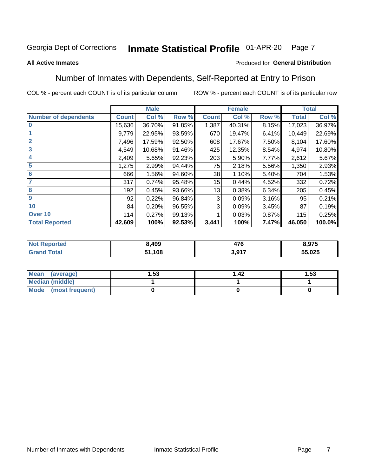#### Inmate Statistical Profile 01-APR-20 Page 7

#### **All Active Inmates**

#### Produced for General Distribution

### Number of Inmates with Dependents, Self-Reported at Entry to Prison

COL % - percent each COUNT is of its particular column

|                             |              | <b>Male</b> |        |              | <b>Female</b> |       | <b>Total</b> |        |
|-----------------------------|--------------|-------------|--------|--------------|---------------|-------|--------------|--------|
| <b>Number of dependents</b> | <b>Count</b> | Col %       | Row %  | <b>Count</b> | Col %         | Row % | <b>Total</b> | Col %  |
| l 0                         | 15,636       | 36.70%      | 91.85% | 1,387        | 40.31%        | 8.15% | 17,023       | 36.97% |
|                             | 9,779        | 22.95%      | 93.59% | 670          | 19.47%        | 6.41% | 10,449       | 22.69% |
| $\overline{2}$              | 7,496        | 17.59%      | 92.50% | 608          | 17.67%        | 7.50% | 8,104        | 17.60% |
| $\overline{\mathbf{3}}$     | 4,549        | 10.68%      | 91.46% | 425          | 12.35%        | 8.54% | 4,974        | 10.80% |
| 4                           | 2,409        | 5.65%       | 92.23% | 203          | 5.90%         | 7.77% | 2,612        | 5.67%  |
| 5                           | 1,275        | 2.99%       | 94.44% | 75           | 2.18%         | 5.56% | 1,350        | 2.93%  |
| 6                           | 666          | 1.56%       | 94.60% | 38           | 1.10%         | 5.40% | 704          | 1.53%  |
| 7                           | 317          | 0.74%       | 95.48% | 15           | 0.44%         | 4.52% | 332          | 0.72%  |
| 8                           | 192          | 0.45%       | 93.66% | 13           | 0.38%         | 6.34% | 205          | 0.45%  |
| 9                           | 92           | 0.22%       | 96.84% | 3            | 0.09%         | 3.16% | 95           | 0.21%  |
| 10                          | 84           | 0.20%       | 96.55% | 3            | 0.09%         | 3.45% | 87           | 0.19%  |
| Over 10                     | 114          | 0.27%       | 99.13% |              | 0.03%         | 0.87% | 115          | 0.25%  |
| <b>Total Reported</b>       | 42,609       | 100%        | 92.53% | 3,441        | 100%          | 7.47% | 46,050       | 100.0% |

| ,499   | 17C<br>47 U | : Q75<br>,,,,, |
|--------|-------------|----------------|
| 51,108 | 2 047<br>.  | 55,025         |

| Mean (average)         | . 53 | l 42 | 1.53 |
|------------------------|------|------|------|
| <b>Median (middle)</b> |      |      |      |
| Mode (most frequent)   |      |      |      |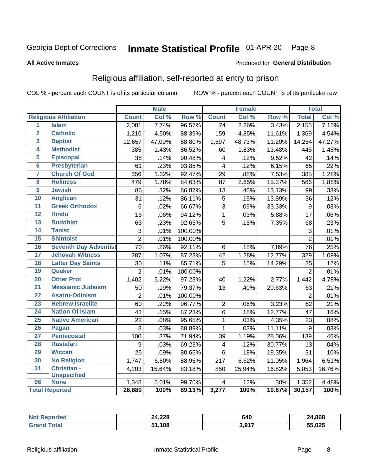#### Inmate Statistical Profile 01-APR-20 Page 8

#### **All Active Inmates**

#### Produced for General Distribution

## Religious affiliation, self-reported at entry to prison

COL % - percent each COUNT is of its particular column

|                         |                              |                 | <b>Male</b> |         |                         | <b>Female</b> |                  |                  | <b>Total</b> |
|-------------------------|------------------------------|-----------------|-------------|---------|-------------------------|---------------|------------------|------------------|--------------|
|                         | <b>Religious Affiliation</b> | <b>Count</b>    | Col %       | Row %   | <b>Count</b>            | Col %         | Row <sup>%</sup> | <b>Total</b>     | Col %        |
| $\overline{1}$          | <b>Islam</b>                 | 2,081           | 7.74%       | 96.57%  | $\overline{74}$         | 2.26%         | 3.43%            | 2,155            | 7.15%        |
| $\overline{2}$          | <b>Catholic</b>              | 1,210           | 4.50%       | 88.39%  | 159                     | 4.85%         | 11.61%           | 1,369            | 4.54%        |
| 3                       | <b>Baptist</b>               | 12,657          | 47.09%      | 88.80%  | 1,597                   | 48.73%        | 11.20%           | 14,254           | 47.27%       |
| 4                       | <b>Methodist</b>             | 385             | 1.43%       | 86.52%  | 60                      | 1.83%         | 13.48%           | 445              | 1.48%        |
| 5                       | <b>Episcopal</b>             | 38              | .14%        | 90.48%  | $\overline{\mathbf{4}}$ | .12%          | 9.52%            | 42               | .14%         |
| $\overline{\bf{6}}$     | <b>Presbyterian</b>          | 61              | .23%        | 93.85%  | 4                       | .12%          | 6.15%            | 65               | .22%         |
| 7                       | <b>Church Of God</b>         | 356             | 1.32%       | 92.47%  | 29                      | .88%          | 7.53%            | 385              | 1.28%        |
| $\overline{\mathbf{8}}$ | <b>Holiness</b>              | 479             | 1.78%       | 84.63%  | 87                      | 2.65%         | 15.37%           | 566              | 1.88%        |
| $\overline{9}$          | <b>Jewish</b>                | 86              | .32%        | 86.87%  | 13                      | .40%          | 13.13%           | 99               | .33%         |
| 10                      | <b>Anglican</b>              | 31              | .12%        | 86.11%  | 5                       | .15%          | 13.89%           | 36               | .12%         |
| $\overline{11}$         | <b>Greek Orthodox</b>        | $6\phantom{1}6$ | .02%        | 66.67%  | $\overline{3}$          | .09%          | 33.33%           | $\boldsymbol{9}$ | .03%         |
| 12                      | <b>Hindu</b>                 | $\overline{16}$ | .06%        | 94.12%  | $\mathbf{1}$            | .03%          | 5.88%            | $\overline{17}$  | .06%         |
| 13                      | <b>Buddhist</b>              | 63              | .23%        | 92.65%  | 5                       | .15%          | 7.35%            | 68               | .23%         |
| 14                      | <b>Taoist</b>                | 3               | .01%        | 100.00% |                         |               |                  | 3                | .01%         |
| 15                      | <b>Shintoist</b>             | $\overline{2}$  | .01%        | 100.00% |                         |               |                  | $\overline{2}$   | .01%         |
| 16                      | <b>Seventh Day Adventist</b> | 70              | .26%        | 92.11%  | $6\phantom{1}$          | .18%          | 7.89%            | 76               | .25%         |
| 17                      | <b>Jehovah Witness</b>       | 287             | 1.07%       | 87.23%  | 42                      | 1.28%         | 12.77%           | 329              | 1.09%        |
| 18                      | <b>Latter Day Saints</b>     | 30              | .11%        | 85.71%  | 5                       | .15%          | 14.29%           | 35               | .12%         |
| 19                      | Quaker                       | $\overline{2}$  | .01%        | 100.00% |                         |               |                  | $\overline{2}$   | .01%         |
| 20                      | <b>Other Prot</b>            | 1,402           | 5.22%       | 97.23%  | 40                      | 1.22%         | 2.77%            | 1,442            | 4.78%        |
| 21                      | <b>Messianic Judaism</b>     | 50              | .19%        | 79.37%  | 13                      | .40%          | 20.63%           | 63               | .21%         |
| 22                      | <b>Asatru-Odinism</b>        | $\overline{2}$  | .01%        | 100.00% |                         |               |                  | $\overline{2}$   | .01%         |
| 23                      | <b>Hebrew Israelite</b>      | 60              | .22%        | 96.77%  | $\overline{2}$          | .06%          | 3.23%            | 62               | .21%         |
| 24                      | <b>Nation Of Islam</b>       | 41              | .15%        | 87.23%  | 6                       | .18%          | 12.77%           | 47               | .16%         |
| 25                      | <b>Native American</b>       | $\overline{22}$ | .08%        | 95.65%  | $\mathbf{1}$            | .03%          | 4.35%            | $\overline{23}$  | .08%         |
| 26                      | Pagan                        | 8               | .03%        | 88.89%  | $\mathbf{1}$            | .03%          | 11.11%           | 9                | .03%         |
| 27                      | <b>Pentecostal</b>           | 100             | .37%        | 71.94%  | 39                      | 1.19%         | 28.06%           | 139              | .46%         |
| 28                      | <b>Rastafari</b>             | 9               | .03%        | 69.23%  | $\overline{\mathbf{4}}$ | .12%          | 30.77%           | 13               | .04%         |
| 29                      | <b>Wiccan</b>                | 25              | .09%        | 80.65%  | $6\phantom{1}$          | .18%          | 19.35%           | 31               | .10%         |
| 30                      | <b>No Religion</b>           | 1,747           | 6.50%       | 88.95%  | 217                     | 6.62%         | 11.05%           | 1,964            | 6.51%        |
| 31                      | Christian -                  | 4,203           | 15.64%      | 83.18%  | 850                     | 25.94%        | 16.82%           | 5,053            | 16.76%       |
|                         | <b>Unspecified</b>           |                 |             |         |                         |               |                  |                  |              |
| 96                      | <b>None</b>                  | 1,348           | 5.01%       | 99.70%  | 4                       | .12%          | .30%             | 1,352            | 4.48%        |
|                         | <b>Total Reported</b>        | 26,880          | 100%        | 89.13%  | 3,277                   | 100%          | 10.87%           | 30,157           | 100%         |

| тес. | 24,228 | 640       | 24,868 |
|------|--------|-----------|--------|
|      | .108   | 2017<br>. | 55,025 |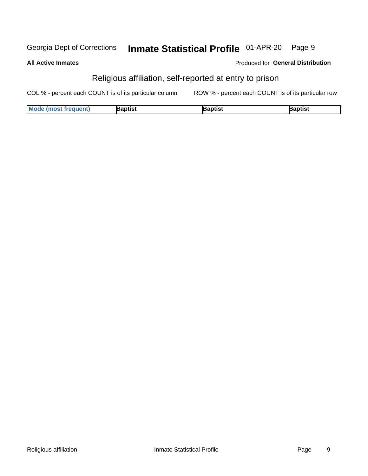#### Inmate Statistical Profile 01-APR-20 Georgia Dept of Corrections Page 9

**All Active Inmates** 

#### Produced for General Distribution

## Religious affiliation, self-reported at entry to prison

COL % - percent each COUNT is of its particular column ROW % - percent each COUNT is of its particular row

| <b>Mode (most frequent)</b> | Baptist | lantiet<br>ναυιιοι | 3aptist |
|-----------------------------|---------|--------------------|---------|
|-----------------------------|---------|--------------------|---------|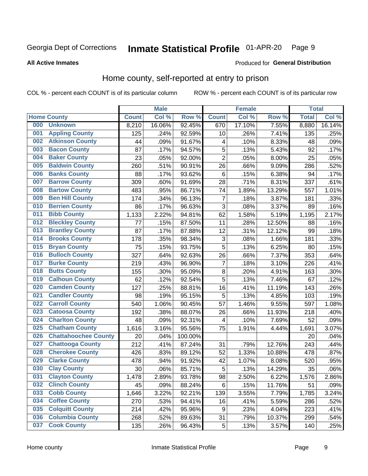#### Inmate Statistical Profile 01-APR-20 Page 9

#### **All Active Inmates**

#### Produced for General Distribution

## Home county, self-reported at entry to prison

COL % - percent each COUNT is of its particular column

|     |                             |              | <b>Male</b> |                  |                | <b>Female</b> |        | <b>Total</b> |        |
|-----|-----------------------------|--------------|-------------|------------------|----------------|---------------|--------|--------------|--------|
|     | <b>Home County</b>          | <b>Count</b> | Col %       | Row <sup>%</sup> | <b>Count</b>   | Col %         | Row %  | <b>Total</b> | Col %  |
| 000 | <b>Unknown</b>              | 8,210        | 16.06%      | 92.45%           | 670            | 17.10%        | 7.55%  | 8,880        | 16.14% |
| 001 | <b>Appling County</b>       | 125          | .24%        | 92.59%           | 10             | .26%          | 7.41%  | 135          | .25%   |
| 002 | <b>Atkinson County</b>      | 44           | .09%        | 91.67%           | 4              | .10%          | 8.33%  | 48           | .09%   |
| 003 | <b>Bacon County</b>         | 87           | .17%        | 94.57%           | 5              | .13%          | 5.43%  | 92           | .17%   |
| 004 | <b>Baker County</b>         | 23           | .05%        | 92.00%           | $\overline{2}$ | .05%          | 8.00%  | 25           | .05%   |
| 005 | <b>Baldwin County</b>       | 260          | .51%        | 90.91%           | 26             | .66%          | 9.09%  | 286          | .52%   |
| 006 | <b>Banks County</b>         | 88           | .17%        | 93.62%           | $\,6$          | .15%          | 6.38%  | 94           | .17%   |
| 007 | <b>Barrow County</b>        | 309          | .60%        | 91.69%           | 28             | .71%          | 8.31%  | 337          | .61%   |
| 008 | <b>Bartow County</b>        | 483          | .95%        | 86.71%           | 74             | 1.89%         | 13.29% | 557          | 1.01%  |
| 009 | <b>Ben Hill County</b>      | 174          | .34%        | 96.13%           | 7              | .18%          | 3.87%  | 181          | .33%   |
| 010 | <b>Berrien County</b>       | 86           | .17%        | 96.63%           | $\mathbf{3}$   | .08%          | 3.37%  | 89           | .16%   |
| 011 | <b>Bibb County</b>          | 1,133        | 2.22%       | 94.81%           | 62             | 1.58%         | 5.19%  | 1,195        | 2.17%  |
| 012 | <b>Bleckley County</b>      | 77           | .15%        | 87.50%           | 11             | .28%          | 12.50% | 88           | .16%   |
| 013 | <b>Brantley County</b>      | 87           | .17%        | 87.88%           | 12             | .31%          | 12.12% | 99           | .18%   |
| 014 | <b>Brooks County</b>        | 178          | .35%        | 98.34%           | $\mathbf{3}$   | .08%          | 1.66%  | 181          | .33%   |
| 015 | <b>Bryan County</b>         | 75           | .15%        | 93.75%           | 5              | .13%          | 6.25%  | 80           | .15%   |
| 016 | <b>Bulloch County</b>       | 327          | .64%        | 92.63%           | 26             | .66%          | 7.37%  | 353          | .64%   |
| 017 | <b>Burke County</b>         | 219          | .43%        | 96.90%           | 7              | .18%          | 3.10%  | 226          | .41%   |
| 018 | <b>Butts County</b>         | 155          | .30%        | 95.09%           | $\bf 8$        | .20%          | 4.91%  | 163          | .30%   |
| 019 | <b>Calhoun County</b>       | 62           | .12%        | 92.54%           | 5              | .13%          | 7.46%  | 67           | .12%   |
| 020 | <b>Camden County</b>        | 127          | .25%        | 88.81%           | 16             | .41%          | 11.19% | 143          | .26%   |
| 021 | <b>Candler County</b>       | 98           | .19%        | 95.15%           | 5              | .13%          | 4.85%  | 103          | .19%   |
| 022 | <b>Carroll County</b>       | 540          | 1.06%       | 90.45%           | 57             | 1.46%         | 9.55%  | 597          | 1.08%  |
| 023 | <b>Catoosa County</b>       | 192          | .38%        | 88.07%           | 26             | .66%          | 11.93% | 218          | .40%   |
| 024 | <b>Charlton County</b>      | 48           | .09%        | 92.31%           | 4              | .10%          | 7.69%  | 52           | .09%   |
| 025 | <b>Chatham County</b>       | 1,616        | 3.16%       | 95.56%           | 75             | 1.91%         | 4.44%  | 1,691        | 3.07%  |
| 026 | <b>Chattahoochee County</b> | 20           | .04%        | 100.00%          |                |               |        | 20           | .04%   |
| 027 | <b>Chattooga County</b>     | 212          | .41%        | 87.24%           | 31             | .79%          | 12.76% | 243          | .44%   |
| 028 | <b>Cherokee County</b>      | 426          | .83%        | 89.12%           | 52             | 1.33%         | 10.88% | 478          | .87%   |
| 029 | <b>Clarke County</b>        | 478          | .94%        | 91.92%           | 42             | 1.07%         | 8.08%  | 520          | .95%   |
| 030 | <b>Clay County</b>          | 30           | .06%        | 85.71%           | 5              | .13%          | 14.29% | 35           | .06%   |
| 031 | <b>Clayton County</b>       | 1,478        | 2.89%       | 93.78%           | 98             | 2.50%         | 6.22%  | 1,576        | 2.86%  |
| 032 | <b>Clinch County</b>        | 45           | .09%        | 88.24%           | 6              | .15%          | 11.76% | 51           | .09%   |
| 033 | <b>Cobb County</b>          | 1,646        | 3.22%       | 92.21%           | 139            | 3.55%         | 7.79%  | 1,785        | 3.24%  |
| 034 | <b>Coffee County</b>        | 270          | .53%        | 94.41%           | 16             | .41%          | 5.59%  | 286          | .52%   |
| 035 | <b>Colquitt County</b>      | 214          | .42%        | 95.96%           | 9              | .23%          | 4.04%  | 223          | .41%   |
| 036 | <b>Columbia County</b>      | 268          | .52%        | 89.63%           | 31             | .79%          | 10.37% | 299          | .54%   |
| 037 | <b>Cook County</b>          | 135          | .26%        | 96.43%           | $\sqrt{5}$     | .13%          | 3.57%  | 140          | .25%   |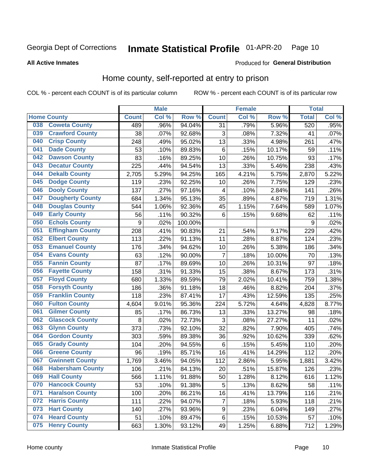#### Inmate Statistical Profile 01-APR-20 Page 10

**All Active Inmates** 

#### **Produced for General Distribution**

#### Home county, self-reported at entry to prison

COL % - percent each COUNT is of its particular column

|     |                         |              | <b>Male</b> |         |                 | <b>Female</b> |        | <b>Total</b> |       |
|-----|-------------------------|--------------|-------------|---------|-----------------|---------------|--------|--------------|-------|
|     | <b>Home County</b>      | <b>Count</b> | Col %       | Row %   | <b>Count</b>    | Col %         | Row %  | <b>Total</b> | Col%  |
| 038 | <b>Coweta County</b>    | 489          | .96%        | 94.04%  | $\overline{31}$ | .79%          | 5.96%  | 520          | .95%  |
| 039 | <b>Crawford County</b>  | 38           | .07%        | 92.68%  | 3               | .08%          | 7.32%  | 41           | .07%  |
| 040 | <b>Crisp County</b>     | 248          | .49%        | 95.02%  | 13              | .33%          | 4.98%  | 261          | .47%  |
| 041 | <b>Dade County</b>      | 53           | .10%        | 89.83%  | 6               | .15%          | 10.17% | 59           | .11%  |
| 042 | <b>Dawson County</b>    | 83           | .16%        | 89.25%  | 10              | .26%          | 10.75% | 93           | .17%  |
| 043 | <b>Decatur County</b>   | 225          | .44%        | 94.54%  | 13              | .33%          | 5.46%  | 238          | .43%  |
| 044 | <b>Dekalb County</b>    | 2,705        | 5.29%       | 94.25%  | 165             | 4.21%         | 5.75%  | 2,870        | 5.22% |
| 045 | <b>Dodge County</b>     | 119          | .23%        | 92.25%  | 10              | .26%          | 7.75%  | 129          | .23%  |
| 046 | <b>Dooly County</b>     | 137          | .27%        | 97.16%  | 4               | .10%          | 2.84%  | 141          | .26%  |
| 047 | <b>Dougherty County</b> | 684          | 1.34%       | 95.13%  | 35              | .89%          | 4.87%  | 719          | 1.31% |
| 048 | <b>Douglas County</b>   | 544          | 1.06%       | 92.36%  | 45              | 1.15%         | 7.64%  | 589          | 1.07% |
| 049 | <b>Early County</b>     | 56           | .11%        | 90.32%  | 6               | .15%          | 9.68%  | 62           | .11%  |
| 050 | <b>Echols County</b>    | 9            | .02%        | 100.00% |                 |               |        | 9            | .02%  |
| 051 | <b>Effingham County</b> | 208          | .41%        | 90.83%  | 21              | .54%          | 9.17%  | 229          | .42%  |
| 052 | <b>Elbert County</b>    | 113          | .22%        | 91.13%  | 11              | .28%          | 8.87%  | 124          | .23%  |
| 053 | <b>Emanuel County</b>   | 176          | .34%        | 94.62%  | 10              | .26%          | 5.38%  | 186          | .34%  |
| 054 | <b>Evans County</b>     | 63           | .12%        | 90.00%  | 7               | .18%          | 10.00% | 70           | .13%  |
| 055 | <b>Fannin County</b>    | 87           | .17%        | 89.69%  | 10              | .26%          | 10.31% | 97           | .18%  |
| 056 | <b>Fayette County</b>   | 158          | .31%        | 91.33%  | 15              | .38%          | 8.67%  | 173          | .31%  |
| 057 | <b>Floyd County</b>     | 680          | 1.33%       | 89.59%  | 79              | 2.02%         | 10.41% | 759          | 1.38% |
| 058 | <b>Forsyth County</b>   | 186          | .36%        | 91.18%  | 18              | .46%          | 8.82%  | 204          | .37%  |
| 059 | <b>Franklin County</b>  | 118          | .23%        | 87.41%  | 17              | .43%          | 12.59% | 135          | .25%  |
| 060 | <b>Fulton County</b>    | 4,604        | 9.01%       | 95.36%  | 224             | 5.72%         | 4.64%  | 4,828        | 8.77% |
| 061 | <b>Gilmer County</b>    | 85           | .17%        | 86.73%  | 13              | .33%          | 13.27% | 98           | .18%  |
| 062 | <b>Glascock County</b>  | 8            | .02%        | 72.73%  | 3               | .08%          | 27.27% | 11           | .02%  |
| 063 | <b>Glynn County</b>     | 373          | .73%        | 92.10%  | 32              | .82%          | 7.90%  | 405          | .74%  |
| 064 | <b>Gordon County</b>    | 303          | .59%        | 89.38%  | 36              | .92%          | 10.62% | 339          | .62%  |
| 065 | <b>Grady County</b>     | 104          | .20%        | 94.55%  | 6               | .15%          | 5.45%  | 110          | .20%  |
| 066 | <b>Greene County</b>    | 96           | .19%        | 85.71%  | 16              | .41%          | 14.29% | 112          | .20%  |
| 067 | <b>Gwinnett County</b>  | 1,769        | 3.46%       | 94.05%  | 112             | 2.86%         | 5.95%  | 1,881        | 3.42% |
| 068 | <b>Habersham County</b> | 106          | .21%        | 84.13%  | 20              | .51%          | 15.87% | 126          | .23%  |
| 069 | <b>Hall County</b>      | 566          | 1.11%       | 91.88%  | 50              | 1.28%         | 8.12%  | 616          | 1.12% |
| 070 | <b>Hancock County</b>   | 53           | .10%        | 91.38%  | 5               | .13%          | 8.62%  | 58           | .11%  |
| 071 | <b>Haralson County</b>  | 100          | .20%        | 86.21%  | 16              | .41%          | 13.79% | 116          | .21%  |
| 072 | <b>Harris County</b>    | 111          | .22%        | 94.07%  | $\overline{7}$  | .18%          | 5.93%  | 118          | .21%  |
| 073 | <b>Hart County</b>      | 140          | .27%        | 93.96%  | 9               | .23%          | 6.04%  | 149          | .27%  |
| 074 | <b>Heard County</b>     | 51           | .10%        | 89.47%  | 6               | .15%          | 10.53% | 57           | .10%  |
| 075 | <b>Henry County</b>     | 663          | 1.30%       | 93.12%  | 49              | 1.25%         | 6.88%  | 712          | 1.29% |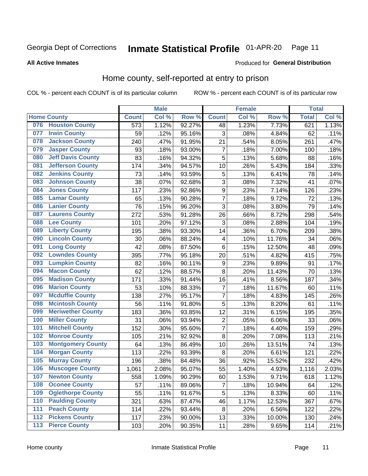#### Inmate Statistical Profile 01-APR-20 Page 11

#### **All Active Inmates**

### **Produced for General Distribution**

### Home county, self-reported at entry to prison

COL % - percent each COUNT is of its particular column

|                  |                          |              | <b>Male</b> |        |                  | <b>Female</b> |                  | <b>Total</b> |       |
|------------------|--------------------------|--------------|-------------|--------|------------------|---------------|------------------|--------------|-------|
|                  | <b>Home County</b>       | <b>Count</b> | Col %       | Row %  | <b>Count</b>     | Col %         | Row <sup>%</sup> | <b>Total</b> | Col % |
| 076              | <b>Houston County</b>    | 573          | 1.12%       | 92.27% | 48               | 1.23%         | 7.73%            | 621          | 1.13% |
| 077              | <b>Irwin County</b>      | 59           | .12%        | 95.16% | 3                | .08%          | 4.84%            | 62           | .11%  |
| 078              | <b>Jackson County</b>    | 240          | .47%        | 91.95% | 21               | .54%          | 8.05%            | 261          | .47%  |
| 079              | <b>Jasper County</b>     | 93           | .18%        | 93.00% | $\overline{7}$   | .18%          | 7.00%            | 100          | .18%  |
| 080              | <b>Jeff Davis County</b> | 83           | .16%        | 94.32% | 5                | .13%          | 5.68%            | 88           | .16%  |
| 081              | <b>Jefferson County</b>  | 174          | .34%        | 94.57% | 10               | .26%          | 5.43%            | 184          | .33%  |
| 082              | <b>Jenkins County</b>    | 73           | .14%        | 93.59% | 5                | .13%          | 6.41%            | 78           | .14%  |
| 083              | <b>Johnson County</b>    | 38           | .07%        | 92.68% | 3                | .08%          | 7.32%            | 41           | .07%  |
| 084              | <b>Jones County</b>      | 117          | .23%        | 92.86% | $\boldsymbol{9}$ | .23%          | 7.14%            | 126          | .23%  |
| 085              | <b>Lamar County</b>      | 65           | .13%        | 90.28% | $\overline{7}$   | .18%          | 9.72%            | 72           | .13%  |
| 086              | <b>Lanier County</b>     | 76           | .15%        | 96.20% | $\overline{3}$   | .08%          | 3.80%            | 79           | .14%  |
| 087              | <b>Laurens County</b>    | 272          | .53%        | 91.28% | 26               | .66%          | 8.72%            | 298          | .54%  |
| 088              | <b>Lee County</b>        | 101          | .20%        | 97.12% | 3                | .08%          | 2.88%            | 104          | .19%  |
| 089              | <b>Liberty County</b>    | 195          | .38%        | 93.30% | 14               | .36%          | 6.70%            | 209          | .38%  |
| 090              | <b>Lincoln County</b>    | 30           | .06%        | 88.24% | 4                | .10%          | 11.76%           | 34           | .06%  |
| 091              | <b>Long County</b>       | 42           | .08%        | 87.50% | 6                | .15%          | 12.50%           | 48           | .09%  |
| 092              | <b>Lowndes County</b>    | 395          | .77%        | 95.18% | 20               | .51%          | 4.82%            | 415          | .75%  |
| 093              | <b>Lumpkin County</b>    | 82           | .16%        | 90.11% | $\boldsymbol{9}$ | .23%          | 9.89%            | 91           | .17%  |
| 094              | <b>Macon County</b>      | 62           | .12%        | 88.57% | 8                | .20%          | 11.43%           | 70           | .13%  |
| 095              | <b>Madison County</b>    | 171          | .33%        | 91.44% | 16               | .41%          | 8.56%            | 187          | .34%  |
| 096              | <b>Marion County</b>     | 53           | .10%        | 88.33% | $\overline{7}$   | .18%          | 11.67%           | 60           | .11%  |
| 097              | <b>Mcduffie County</b>   | 138          | .27%        | 95.17% | $\overline{7}$   | .18%          | 4.83%            | 145          | .26%  |
| 098              | <b>Mcintosh County</b>   | 56           | .11%        | 91.80% | $\overline{5}$   | .13%          | 8.20%            | 61           | .11%  |
| 099              | <b>Meriwether County</b> | 183          | .36%        | 93.85% | 12               | .31%          | 6.15%            | 195          | .35%  |
| 100              | <b>Miller County</b>     | 31           | .06%        | 93.94% | $\overline{2}$   | .05%          | 6.06%            | 33           | .06%  |
| 101              | <b>Mitchell County</b>   | 152          | .30%        | 95.60% | $\overline{7}$   | .18%          | 4.40%            | 159          | .29%  |
| 102              | <b>Monroe County</b>     | 105          | .21%        | 92.92% | 8                | .20%          | 7.08%            | 113          | .21%  |
| 103              | <b>Montgomery County</b> | 64           | .13%        | 86.49% | 10               | .26%          | 13.51%           | 74           | .13%  |
| 104              | <b>Morgan County</b>     | 113          | .22%        | 93.39% | 8                | .20%          | 6.61%            | 121          | .22%  |
| 105              | <b>Murray County</b>     | 196          | .38%        | 84.48% | 36               | .92%          | 15.52%           | 232          | .42%  |
| 106              | <b>Muscogee County</b>   | 1,061        | 2.08%       | 95.07% | 55               | 1.40%         | 4.93%            | 1,116        | 2.03% |
| 107              | <b>Newton County</b>     | 558          | 1.09%       | 90.29% | 60               | 1.53%         | 9.71%            | 618          | 1.12% |
| 108              | <b>Oconee County</b>     | 57           | .11%        | 89.06% | 7                | .18%          | 10.94%           | 64           | .12%  |
| 109              | <b>Oglethorpe County</b> | 55           | .11%        | 91.67% | 5                | .13%          | 8.33%            | 60           | .11%  |
| 110              | <b>Paulding County</b>   | 321          | .63%        | 87.47% | 46               | 1.17%         | 12.53%           | 367          | .67%  |
| 111              | <b>Peach County</b>      | 114          | .22%        | 93.44% | 8                | .20%          | 6.56%            | 122          | .22%  |
| $\overline{112}$ | <b>Pickens County</b>    | 117          | .23%        | 90.00% | 13               | .33%          | 10.00%           | 130          | .24%  |
| 113              | <b>Pierce County</b>     | 103          | .20%        | 90.35% | 11               | .28%          | 9.65%            | 114          | .21%  |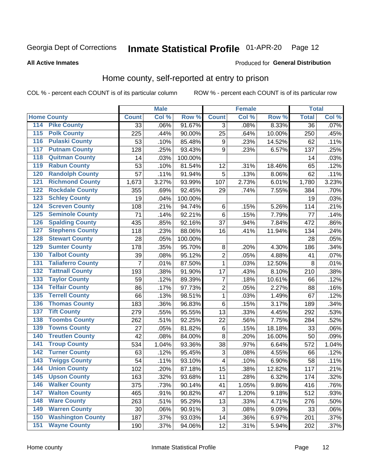## Inmate Statistical Profile 01-APR-20 Page 12

#### **All Active Inmates**

#### Produced for General Distribution

### Home county, self-reported at entry to prison

COL % - percent each COUNT is of its particular column

|                  |                          |              | <b>Male</b> |         |                         | <b>Female</b> |        | <b>Total</b>    |       |
|------------------|--------------------------|--------------|-------------|---------|-------------------------|---------------|--------|-----------------|-------|
|                  | <b>Home County</b>       | <b>Count</b> | Col %       | Row %   | <b>Count</b>            | Col %         | Row %  | <b>Total</b>    | Col % |
| 114              | <b>Pike County</b>       | 33           | .06%        | 91.67%  | 3                       | .08%          | 8.33%  | $\overline{36}$ | .07%  |
| 115              | <b>Polk County</b>       | 225          | .44%        | 90.00%  | 25                      | .64%          | 10.00% | 250             | .45%  |
| 116              | <b>Pulaski County</b>    | 53           | .10%        | 85.48%  | $\boldsymbol{9}$        | .23%          | 14.52% | 62              | .11%  |
| 117              | <b>Putnam County</b>     | 128          | .25%        | 93.43%  | 9                       | .23%          | 6.57%  | 137             | .25%  |
| 118              | <b>Quitman County</b>    | 14           | .03%        | 100.00% |                         |               |        | 14              | .03%  |
| 119              | <b>Rabun County</b>      | 53           | .10%        | 81.54%  | 12                      | .31%          | 18.46% | 65              | .12%  |
| 120              | <b>Randolph County</b>   | 57           | .11%        | 91.94%  | 5                       | .13%          | 8.06%  | 62              | .11%  |
| 121              | <b>Richmond County</b>   | 1,673        | 3.27%       | 93.99%  | 107                     | 2.73%         | 6.01%  | 1,780           | 3.23% |
| 122              | <b>Rockdale County</b>   | 355          | .69%        | 92.45%  | 29                      | .74%          | 7.55%  | 384             | .70%  |
| 123              | <b>Schley County</b>     | 19           | .04%        | 100.00% |                         |               |        | 19              | .03%  |
| 124              | <b>Screven County</b>    | 108          | .21%        | 94.74%  | $\,6$                   | .15%          | 5.26%  | 114             | .21%  |
| 125              | <b>Seminole County</b>   | 71           | .14%        | 92.21%  | $\,6$                   | .15%          | 7.79%  | 77              | .14%  |
| 126              | <b>Spalding County</b>   | 435          | .85%        | 92.16%  | 37                      | .94%          | 7.84%  | 472             | .86%  |
| 127              | <b>Stephens County</b>   | 118          | .23%        | 88.06%  | 16                      | .41%          | 11.94% | 134             | .24%  |
| 128              | <b>Stewart County</b>    | 28           | .05%        | 100.00% |                         |               |        | 28              | .05%  |
| 129              | <b>Sumter County</b>     | 178          | .35%        | 95.70%  | 8                       | .20%          | 4.30%  | 186             | .34%  |
| 130              | <b>Talbot County</b>     | 39           | .08%        | 95.12%  | $\overline{2}$          | .05%          | 4.88%  | 41              | .07%  |
| 131              | <b>Taliaferro County</b> | 7            | .01%        | 87.50%  | 1                       | .03%          | 12.50% | 8               | .01%  |
| 132              | <b>Tattnall County</b>   | 193          | .38%        | 91.90%  | 17                      | .43%          | 8.10%  | 210             | .38%  |
| 133              | <b>Taylor County</b>     | 59           | .12%        | 89.39%  | $\overline{7}$          | .18%          | 10.61% | 66              | .12%  |
| 134              | <b>Telfair County</b>    | 86           | .17%        | 97.73%  | $\overline{2}$          | .05%          | 2.27%  | 88              | .16%  |
| 135              | <b>Terrell County</b>    | 66           | .13%        | 98.51%  | $\mathbf{1}$            | .03%          | 1.49%  | 67              | .12%  |
| 136              | <b>Thomas County</b>     | 183          | .36%        | 96.83%  | $\,6$                   | .15%          | 3.17%  | 189             | .34%  |
| 137              | <b>Tift County</b>       | 279          | .55%        | 95.55%  | 13                      | .33%          | 4.45%  | 292             | .53%  |
| 138              | <b>Toombs County</b>     | 262          | .51%        | 92.25%  | 22                      | .56%          | 7.75%  | 284             | .52%  |
| 139              | <b>Towns County</b>      | 27           | .05%        | 81.82%  | $\,6$                   | .15%          | 18.18% | 33              | .06%  |
| 140              | <b>Treutlen County</b>   | 42           | .08%        | 84.00%  | 8                       | .20%          | 16.00% | 50              | .09%  |
| 141              | <b>Troup County</b>      | 534          | 1.04%       | 93.36%  | 38                      | .97%          | 6.64%  | 572             | 1.04% |
| $\overline{142}$ | <b>Turner County</b>     | 63           | .12%        | 95.45%  | $\sqrt{3}$              | .08%          | 4.55%  | 66              | .12%  |
| 143              | <b>Twiggs County</b>     | 54           | .11%        | 93.10%  | $\overline{\mathbf{4}}$ | .10%          | 6.90%  | 58              | .11%  |
| 144              | <b>Union County</b>      | 102          | .20%        | 87.18%  | 15                      | .38%          | 12.82% | 117             | .21%  |
| 145              | <b>Upson County</b>      | 163          | .32%        | 93.68%  | 11                      | .28%          | 6.32%  | 174             | .32%  |
| 146              | <b>Walker County</b>     | 375          | .73%        | 90.14%  | 41                      | 1.05%         | 9.86%  | 416             | .76%  |
| 147              | <b>Walton County</b>     | 465          | .91%        | 90.82%  | 47                      | 1.20%         | 9.18%  | 512             | .93%  |
| 148              | <b>Ware County</b>       | 263          | .51%        | 95.29%  | 13                      | .33%          | 4.71%  | 276             | .50%  |
| 149              | <b>Warren County</b>     | 30           | .06%        | 90.91%  | 3                       | .08%          | 9.09%  | 33              | .06%  |
| 150              | <b>Washington County</b> | 187          | .37%        | 93.03%  | 14                      | .36%          | 6.97%  | 201             | .37%  |
| 151              | <b>Wayne County</b>      | 190          | .37%        | 94.06%  | 12                      | .31%          | 5.94%  | 202             | .37%  |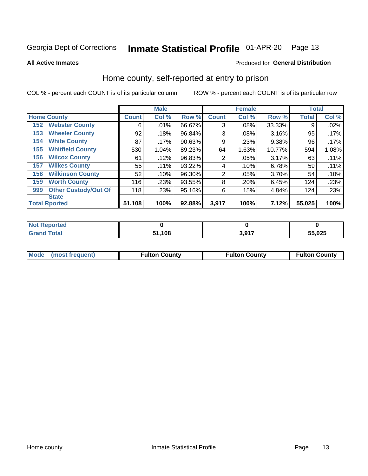#### Inmate Statistical Profile 01-APR-20 Page 13

**All Active Inmates** 

#### Produced for General Distribution

#### Home county, self-reported at entry to prison

COL % - percent each COUNT is of its particular column

|     |                             |              | <b>Male</b> |        |                | <b>Female</b> |        | <b>Total</b> |       |
|-----|-----------------------------|--------------|-------------|--------|----------------|---------------|--------|--------------|-------|
|     | <b>Home County</b>          | <b>Count</b> | Col %       | Row %  | <b>Count</b>   | Col %         | Row %  | <b>Total</b> | Col % |
| 152 | <b>Webster County</b>       | 6            | .01%        | 66.67% | 3              | .08%          | 33.33% | 9            | .02%  |
| 153 | <b>Wheeler County</b>       | 92           | .18%        | 96.84% | 3              | .08%          | 3.16%  | 95           | .17%  |
| 154 | <b>White County</b>         | 87           | $.17\%$     | 90.63% | 9              | .23%          | 9.38%  | 96           | .17%  |
| 155 | <b>Whitfield County</b>     | 530          | 1.04%       | 89.23% | 64             | 1.63%         | 10.77% | 594          | 1.08% |
| 156 | <b>Wilcox County</b>        | 61           | .12%        | 96.83% | 2              | .05%          | 3.17%  | 63           | .11%  |
| 157 | <b>Wilkes County</b>        | 55           | .11%        | 93.22% | 4              | .10%          | 6.78%  | 59           | .11%  |
| 158 | <b>Wilkinson County</b>     | 52           | .10%        | 96.30% | $\overline{2}$ | .05%          | 3.70%  | 54           | .10%  |
| 159 | <b>Worth County</b>         | 116          | .23%        | 93.55% | 8              | .20%          | 6.45%  | 124          | .23%  |
| 999 | <b>Other Custody/Out Of</b> | 118          | .23%        | 95.16% | 6              | .15%          | 4.84%  | 124          | .23%  |
|     | <b>State</b>                |              |             |        |                |               |        |              |       |
|     | <b>Total Rported</b>        | 51,108       | 100%        | 92.88% | 3,917          | 100%          | 7.12%  | 55,025       | 100%  |

| 'Not<br>Reported |               |      |             |
|------------------|---------------|------|-------------|
| <b>Total</b>     | 108. ا<br>E4. | 2017 | 55,025<br>. |

| Mode (most frequent) | <b>Fulton County</b> | <b>Fulton County</b> | <b>Fulton County</b> |
|----------------------|----------------------|----------------------|----------------------|
|                      |                      |                      |                      |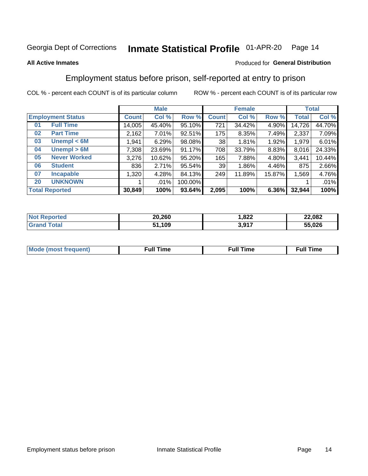#### Inmate Statistical Profile 01-APR-20 Page 14

#### **All Active Inmates**

#### Produced for General Distribution

### Employment status before prison, self-reported at entry to prison

COL % - percent each COUNT is of its particular column

|                                    | <b>Male</b> |          |         |              | <b>Female</b> | <b>Total</b> |        |        |
|------------------------------------|-------------|----------|---------|--------------|---------------|--------------|--------|--------|
| <b>Employment Status</b>           | Count l     | Col %    | Row %   | <b>Count</b> | Col %         | Row %        | Total  | Col %  |
| <b>Full Time</b><br>0 <sub>1</sub> | 14,005      | 45.40%   | 95.10%  | 721          | 34.42%        | 4.90%        | 14,726 | 44.70% |
| <b>Part Time</b><br>02             | 2,162       | $7.01\%$ | 92.51%  | 175          | 8.35%         | 7.49%        | 2,337  | 7.09%  |
| Unempl $<$ 6M<br>03                | 1,941       | 6.29%    | 98.08%  | 38           | 1.81%         | 1.92%        | 1,979  | 6.01%  |
| Unempl > 6M<br>04                  | 7,308       | 23.69%   | 91.17%  | 708          | 33.79%        | 8.83%        | 8,016  | 24.33% |
| <b>Never Worked</b><br>05          | 3,276       | 10.62%   | 95.20%  | 165          | 7.88%         | 4.80%        | 3,441  | 10.44% |
| <b>Student</b><br>06               | 836         | 2.71%    | 95.54%  | 39           | 1.86%         | 4.46%        | 875    | 2.66%  |
| <b>Incapable</b><br>07             | 1,320       | 4.28%    | 84.13%  | 249          | 11.89%        | 15.87%       | 1,569  | 4.76%  |
| <b>UNKNOWN</b><br>20               |             | .01%     | 100.00% |              |               |              |        | .01%   |
| <b>Total Reported</b>              | 30,849      | 100%     | 93.64%  | 2,095        | 100%          | 6.36%        | 32,944 | 100%   |

| <b>Not Reported</b>   | 20,260 | .822  | 22,082 |
|-----------------------|--------|-------|--------|
| Total<br><b>Grand</b> | .109   | 3,917 | 55,026 |

| <b>Mode (most frequent)</b> | Full Time | <b>Full Time</b> | Time |
|-----------------------------|-----------|------------------|------|
|                             |           |                  |      |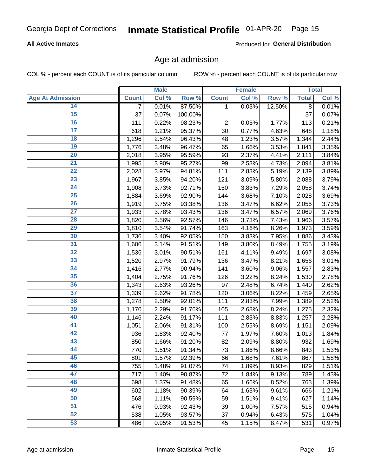#### **All Active Inmates**

Produced for General Distribution

#### Age at admission

COL % - percent each COUNT is of its particular column

|                         |                | <b>Male</b> |         |                | <b>Female</b> |        |              | <b>Total</b> |
|-------------------------|----------------|-------------|---------|----------------|---------------|--------|--------------|--------------|
| <b>Age At Admission</b> | <b>Count</b>   | Col %       | Row %   | <b>Count</b>   | Col %         | Row %  | <b>Total</b> | Col %        |
| 14                      | $\overline{7}$ | 0.01%       | 87.50%  | 1              | 0.03%         | 12.50% | 8            | 0.01%        |
| $\overline{15}$         | 37             | 0.07%       | 100.00% |                |               |        | 37           | 0.07%        |
| 16                      | 111            | 0.22%       | 98.23%  | $\overline{2}$ | 0.05%         | 1.77%  | 113          | 0.21%        |
| $\overline{17}$         | 618            | 1.21%       | 95.37%  | 30             | 0.77%         | 4.63%  | 648          | 1.18%        |
| $\overline{18}$         | 1,296          | 2.54%       | 96.43%  | 48             | 1.23%         | 3.57%  | 1,344        | 2.44%        |
| 19                      | 1,776          | 3.48%       | 96.47%  | 65             | 1.66%         | 3.53%  | 1,841        | 3.35%        |
| 20                      | 2,018          | 3.95%       | 95.59%  | 93             | 2.37%         | 4.41%  | 2,111        | 3.84%        |
| $\overline{21}$         | 1,995          | 3.90%       | 95.27%  | 99             | 2.53%         | 4.73%  | 2,094        | 3.81%        |
| $\overline{22}$         | 2,028          | 3.97%       | 94.81%  | 111            | 2.83%         | 5.19%  | 2,139        | 3.89%        |
| 23                      | 1,967          | 3.85%       | 94.20%  | 121            | 3.09%         | 5.80%  | 2,088        | 3.79%        |
| $\overline{24}$         | 1,908          | 3.73%       | 92.71%  | 150            | 3.83%         | 7.29%  | 2,058        | 3.74%        |
| $\overline{25}$         | 1,884          | 3.69%       | 92.90%  | 144            | 3.68%         | 7.10%  | 2,028        | 3.69%        |
| 26                      | 1,919          | 3.75%       | 93.38%  | 136            | 3.47%         | 6.62%  | 2,055        | 3.73%        |
| $\overline{27}$         | 1,933          | 3.78%       | 93.43%  | 136            | 3.47%         | 6.57%  | 2,069        | 3.76%        |
| 28                      | 1,820          | 3.56%       | 92.57%  | 146            | 3.73%         | 7.43%  | 1,966        | 3.57%        |
| 29                      | 1,810          | 3.54%       | 91.74%  | 163            | 4.16%         | 8.26%  | 1,973        | 3.59%        |
| 30                      | 1,736          | 3.40%       | 92.05%  | 150            | 3.83%         | 7.95%  | 1,886        | 3.43%        |
| $\overline{31}$         | 1,606          | 3.14%       | 91.51%  | 149            | 3.80%         | 8.49%  | 1,755        | 3.19%        |
| 32                      | 1,536          | 3.01%       | 90.51%  | 161            | 4.11%         | 9.49%  | 1,697        | 3.08%        |
| 33                      | 1,520          | 2.97%       | 91.79%  | 136            | 3.47%         | 8.21%  | 1,656        | 3.01%        |
| 34                      | 1,416          | 2.77%       | 90.94%  | 141            | 3.60%         | 9.06%  | 1,557        | 2.83%        |
| 35                      | 1,404          | 2.75%       | 91.76%  | 126            | 3.22%         | 8.24%  | 1,530        | 2.78%        |
| 36                      | 1,343          | 2.63%       | 93.26%  | 97             | 2.48%         | 6.74%  | 1,440        | 2.62%        |
| $\overline{37}$         | 1,339          | 2.62%       | 91.78%  | 120            | 3.06%         | 8.22%  | 1,459        | 2.65%        |
| 38                      | 1,278          | 2.50%       | 92.01%  | 111            | 2.83%         | 7.99%  | 1,389        | 2.52%        |
| 39                      | 1,170          | 2.29%       | 91.76%  | 105            | 2.68%         | 8.24%  | 1,275        | 2.32%        |
| 40                      | 1,146          | 2.24%       | 91.17%  | 111            | 2.83%         | 8.83%  | 1,257        | 2.28%        |
| 41                      | 1,051          | 2.06%       | 91.31%  | 100            | 2.55%         | 8.69%  | 1,151        | 2.09%        |
| 42                      | 936            | 1.83%       | 92.40%  | 77             | 1.97%         | 7.60%  | 1,013        | 1.84%        |
| 43                      | 850            | 1.66%       | 91.20%  | 82             | 2.09%         | 8.80%  | 932          | 1.69%        |
| 44                      | 770            | 1.51%       | 91.34%  | 73             | 1.86%         | 8.66%  | 843          | 1.53%        |
| 45                      | 801            | 1.57%       | 92.39%  | 66             | 1.68%         | 7.61%  | 867          | 1.58%        |
| 46                      | 755            | 1.48%       | 91.07%  | 74             | 1.89%         | 8.93%  | 829          | 1.51%        |
| 47                      | 717            | 1.40%       | 90.87%  | 72             | 1.84%         | 9.13%  | 789          | 1.43%        |
| 48                      | 698            | 1.37%       | 91.48%  | 65             | 1.66%         | 8.52%  | 763          | 1.39%        |
| 49                      | 602            | 1.18%       | 90.39%  | 64             | 1.63%         | 9.61%  | 666          | 1.21%        |
| 50                      | 568            | 1.11%       | 90.59%  | 59             | 1.51%         | 9.41%  | 627          | 1.14%        |
| 51                      | 476            | 0.93%       | 92.43%  | 39             | 1.00%         | 7.57%  | 515          | 0.94%        |
| 52                      | 538            | 1.05%       | 93.57%  | 37             | 0.94%         | 6.43%  | 575          | 1.04%        |
| $\overline{53}$         | 486            | 0.95%       | 91.53%  | 45             | 1.15%         | 8.47%  | 531          | 0.97%        |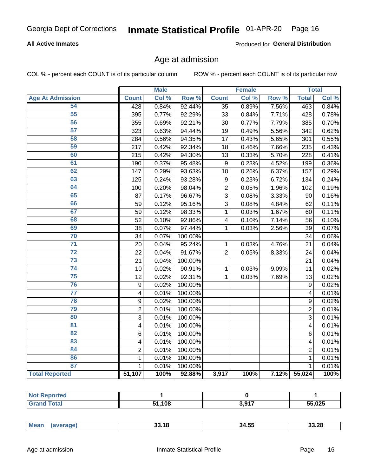#### **All Active Inmates**

Produced for General Distribution

#### Age at admission

COL % - percent each COUNT is of its particular column

|                         |                         | <b>Male</b> |                  |                  | <b>Female</b> |       |                | <b>Total</b> |
|-------------------------|-------------------------|-------------|------------------|------------------|---------------|-------|----------------|--------------|
| <b>Age At Admission</b> | <b>Count</b>            | Col %       | Row <sup>%</sup> | <b>Count</b>     | Col %         | Row % | <b>Total</b>   | Col %        |
| 54                      | 428                     | 0.84%       | 92.44%           | $\overline{35}$  | 0.89%         | 7.56% | 463            | 0.84%        |
| 55                      | 395                     | 0.77%       | 92.29%           | 33               | 0.84%         | 7.71% | 428            | 0.78%        |
| 56                      | 355                     | 0.69%       | 92.21%           | 30               | 0.77%         | 7.79% | 385            | 0.70%        |
| 57                      | 323                     | 0.63%       | 94.44%           | 19               | 0.49%         | 5.56% | 342            | 0.62%        |
| 58                      | 284                     | 0.56%       | 94.35%           | 17               | 0.43%         | 5.65% | 301            | 0.55%        |
| 59                      | 217                     | 0.42%       | 92.34%           | 18               | 0.46%         | 7.66% | 235            | 0.43%        |
| 60                      | $\overline{215}$        | 0.42%       | 94.30%           | 13               | 0.33%         | 5.70% | 228            | 0.41%        |
| 61                      | 190                     | 0.37%       | 95.48%           | 9                | 0.23%         | 4.52% | 199            | 0.36%        |
| 62                      | 147                     | 0.29%       | 93.63%           | 10               | 0.26%         | 6.37% | 157            | 0.29%        |
| 63                      | 125                     | 0.24%       | 93.28%           | $\boldsymbol{9}$ | 0.23%         | 6.72% | 134            | 0.24%        |
| 64                      | 100                     | 0.20%       | 98.04%           | $\overline{c}$   | 0.05%         | 1.96% | 102            | 0.19%        |
| 65                      | 87                      | 0.17%       | 96.67%           | $\overline{3}$   | 0.08%         | 3.33% | 90             | 0.16%        |
| 66                      | 59                      | 0.12%       | 95.16%           | $\overline{3}$   | 0.08%         | 4.84% | 62             | 0.11%        |
| 67                      | 59                      | 0.12%       | 98.33%           | 1                | 0.03%         | 1.67% | 60             | 0.11%        |
| 68                      | 52                      | 0.10%       | 92.86%           | 4                | 0.10%         | 7.14% | 56             | 0.10%        |
| 69                      | 38                      | 0.07%       | 97.44%           | $\mathbf 1$      | 0.03%         | 2.56% | 39             | 0.07%        |
| 70                      | 34                      | 0.07%       | 100.00%          |                  |               |       | 34             | 0.06%        |
| $\overline{71}$         | 20                      | 0.04%       | 95.24%           | 1                | 0.03%         | 4.76% | 21             | 0.04%        |
| $\overline{72}$         | 22                      | 0.04%       | 91.67%           | $\overline{2}$   | 0.05%         | 8.33% | 24             | 0.04%        |
| 73                      | 21                      | 0.04%       | 100.00%          |                  |               |       | 21             | 0.04%        |
| 74                      | 10                      | 0.02%       | 90.91%           | $\mathbf{1}$     | 0.03%         | 9.09% | 11             | 0.02%        |
| 75                      | 12                      | 0.02%       | 92.31%           | $\mathbf{1}$     | 0.03%         | 7.69% | 13             | 0.02%        |
| 76                      | 9                       | 0.02%       | 100.00%          |                  |               |       | 9              | 0.02%        |
| $\overline{77}$         | $\overline{\mathbf{4}}$ | 0.01%       | 100.00%          |                  |               |       | 4              | 0.01%        |
| 78                      | 9                       | 0.02%       | 100.00%          |                  |               |       | 9              | 0.02%        |
| 79                      | $\overline{2}$          | 0.01%       | 100.00%          |                  |               |       | $\overline{2}$ | 0.01%        |
| 80                      | 3                       | 0.01%       | 100.00%          |                  |               |       | $\overline{3}$ | 0.01%        |
| $\overline{81}$         | $\overline{\mathbf{4}}$ | 0.01%       | 100.00%          |                  |               |       | 4              | 0.01%        |
| $\overline{82}$         | 6                       | 0.01%       | 100.00%          |                  |               |       | 6              | 0.01%        |
| 83                      | 4                       | 0.01%       | 100.00%          |                  |               |       | 4              | 0.01%        |
| 84                      | $\overline{2}$          | 0.01%       | 100.00%          |                  |               |       | $\overline{2}$ | 0.01%        |
| 86                      | $\mathbf 1$             | 0.01%       | 100.00%          |                  |               |       | 1              | 0.01%        |
| 87                      | $\mathbf{1}$            | 0.01%       | 100.00%          |                  |               |       | $\mathbf{1}$   | 0.01%        |
| <b>Total Reported</b>   | 51,107                  | 100%        | 92.88%           | 3,917            | 100%          | 7.12% | 55,024         | 100%         |

| τeα<br> |            |                |        |
|---------|------------|----------------|--------|
|         | ,108<br>E4 | 2017<br>יו טוע | 55,025 |

| Mes<br>הג הה<br>33.28<br>34.55<br>33.18<br>ан<br>$\cdots$ |
|-----------------------------------------------------------|
|-----------------------------------------------------------|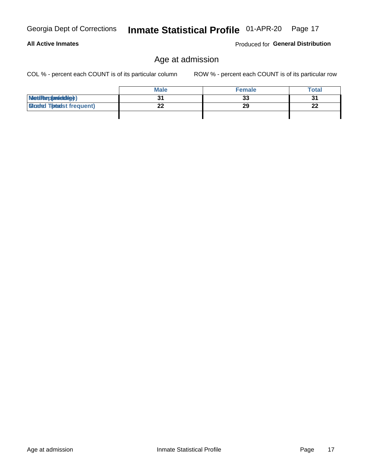Produced for General Distribution

## Age at admission

COL % - percent each COUNT is of its particular column

|                                  | <b>Male</b> | <b>Female</b> | Total   |
|----------------------------------|-------------|---------------|---------|
| MetiRep(anicidig)                |             | 33            | 2.<br>ີ |
| <b>Micaded Tomadst frequent)</b> | ົ           | 29            | ົາງ     |
|                                  |             |               |         |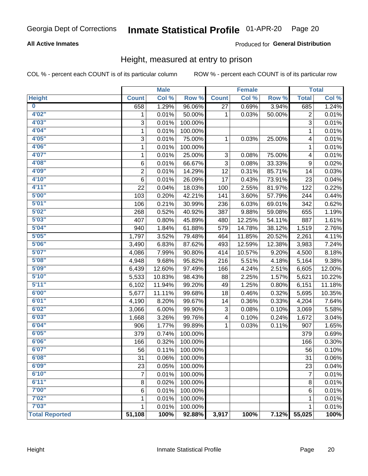#### **All Active Inmates**

#### Produced for General Distribution

#### Height, measured at entry to prison

COL % - percent each COUNT is of its particular column

|                       |                | <b>Male</b> |         |              | <b>Female</b>             |        |                | <b>Total</b> |
|-----------------------|----------------|-------------|---------|--------------|---------------------------|--------|----------------|--------------|
| <b>Height</b>         | <b>Count</b>   | Col %       | Row %   | <b>Count</b> | $\overline{\text{Col 9}}$ | Row %  | <b>Total</b>   | Col %        |
| $\bf{0}$              | 658            | 1.29%       | 96.06%  | 27           | 0.69%                     | 3.94%  | 685            | 1.24%        |
| 4'02"                 | 1              | 0.01%       | 50.00%  | 1            | 0.03%                     | 50.00% | 2              | 0.01%        |
| 4'03''                | 3              | 0.01%       | 100.00% |              |                           |        | 3              | 0.01%        |
| 4'04"                 | $\mathbf 1$    | 0.01%       | 100.00% |              |                           |        | $\mathbf{1}$   | 0.01%        |
| 4'05"                 | 3              | 0.01%       | 75.00%  | 1            | 0.03%                     | 25.00% | 4              | 0.01%        |
| 4'06"                 | 1              | 0.01%       | 100.00% |              |                           |        | 1              | 0.01%        |
| 4'07"                 | $\mathbf{1}$   | 0.01%       | 25.00%  | 3            | 0.08%                     | 75.00% | 4              | 0.01%        |
| 4'08"                 | 6              | 0.01%       | 66.67%  | 3            | 0.08%                     | 33.33% | 9              | 0.02%        |
| 4'09"                 | $\overline{2}$ | 0.01%       | 14.29%  | 12           | 0.31%                     | 85.71% | 14             | 0.03%        |
| 4'10"                 | 6              | 0.01%       | 26.09%  | 17           | 0.43%                     | 73.91% | 23             | 0.04%        |
| 4'11''                | 22             | 0.04%       | 18.03%  | 100          | 2.55%                     | 81.97% | 122            | 0.22%        |
| 5'00''                | 103            | 0.20%       | 42.21%  | 141          | 3.60%                     | 57.79% | 244            | 0.44%        |
| 5'01"                 | 106            | 0.21%       | 30.99%  | 236          | 6.03%                     | 69.01% | 342            | 0.62%        |
| 5'02"                 | 268            | 0.52%       | 40.92%  | 387          | 9.88%                     | 59.08% | 655            | 1.19%        |
| 5'03''                | 407            | 0.80%       | 45.89%  | 480          | 12.25%                    | 54.11% | 887            | 1.61%        |
| 5'04"                 | 940            | 1.84%       | 61.88%  | 579          | 14.78%                    | 38.12% | 1,519          | 2.76%        |
| 5'05"                 | 1,797          | 3.52%       | 79.48%  | 464          | 11.85%                    | 20.52% | 2,261          | 4.11%        |
| 5'06''                | 3,490          | 6.83%       | 87.62%  | 493          | 12.59%                    | 12.38% | 3,983          | 7.24%        |
| 5'07"                 | 4,086          | 7.99%       | 90.80%  | 414          | 10.57%                    | 9.20%  | 4,500          | 8.18%        |
| 5'08''                | 4,948          | 9.68%       | 95.82%  | 216          | 5.51%                     | 4.18%  | 5,164          | 9.38%        |
| 5'09''                | 6,439          | 12.60%      | 97.49%  | 166          | 4.24%                     | 2.51%  | 6,605          | 12.00%       |
| 5'10''                | 5,533          | 10.83%      | 98.43%  | 88           | 2.25%                     | 1.57%  | 5,621          | 10.22%       |
| 5'11''                | 6,102          | 11.94%      | 99.20%  | 49           | 1.25%                     | 0.80%  | 6,151          | 11.18%       |
| 6'00''                | 5,677          | 11.11%      | 99.68%  | 18           | 0.46%                     | 0.32%  | 5,695          | 10.35%       |
| 6'01''                | 4,190          | 8.20%       | 99.67%  | 14           | 0.36%                     | 0.33%  | 4,204          | 7.64%        |
| 6'02"                 | 3,066          | 6.00%       | 99.90%  | 3            | 0.08%                     | 0.10%  | 3,069          | 5.58%        |
| 6'03''                | 1,668          | 3.26%       | 99.76%  | 4            | 0.10%                     | 0.24%  | 1,672          | 3.04%        |
| 6'04"                 | 906            | 1.77%       | 99.89%  | 1            | 0.03%                     | 0.11%  | 907            | 1.65%        |
| 6'05"                 | 379            | 0.74%       | 100.00% |              |                           |        | 379            | 0.69%        |
| 6'06''                | 166            | 0.32%       | 100.00% |              |                           |        | 166            | 0.30%        |
| 6'07''                | 56             | 0.11%       | 100.00% |              |                           |        | 56             | 0.10%        |
| 6'08''                | 31             | 0.06%       | 100.00% |              |                           |        | 31             | 0.06%        |
| 6'09''                | 23             | 0.05%       | 100.00% |              |                           |        | 23             | 0.04%        |
| 6'10''                | 7              | 0.01%       | 100.00% |              |                           |        | $\overline{7}$ | 0.01%        |
| 6'11''                | 8              | 0.02%       | 100.00% |              |                           |        | $\bf 8$        | 0.01%        |
| 7'00"                 | 6              | 0.01%       | 100.00% |              |                           |        | $\,6$          | 0.01%        |
| 7'02"                 | 1              | 0.01%       | 100.00% |              |                           |        | 1              | 0.01%        |
| 7'03''                | 1              | 0.01%       | 100.00% |              |                           |        | 1              | 0.01%        |
| <b>Total Reported</b> | 51,108         | 100%        | 92.88%  | 3,917        | 100%                      | 7.12%  | 55,025         | 100%         |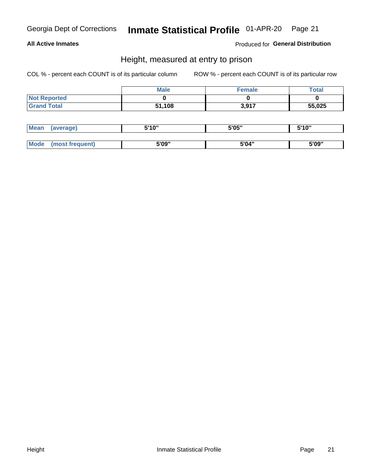#### **All Active Inmates**

Produced for General Distribution

#### Height, measured at entry to prison

COL % - percent each COUNT is of its particular column

|                     | <b>Male</b> | <b>Female</b> | <b>Total</b> |
|---------------------|-------------|---------------|--------------|
| <b>Not Reported</b> |             |               |              |
| <b>Grand Total</b>  | 51,108      | 3,917         | 55,025       |

| <b>Mean</b> | erage) | 5'10" | 5'05" | <b>CIA AIL</b><br>. . |
|-------------|--------|-------|-------|-----------------------|
|             |        |       |       |                       |
| <b>Mode</b> |        | 5'09" | 5'04" | 5'09"                 |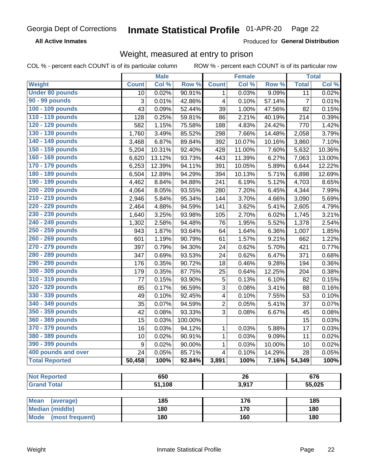**All Active Inmates** 

Produced for General Distribution

## Weight, measured at entry to prison

COL % - percent each COUNT is of its particular column ROW % - percent each COUNT is of its particular row

|                                     |              | <b>Male</b> |                 |                | <b>Female</b> |                  |                | <b>Total</b> |
|-------------------------------------|--------------|-------------|-----------------|----------------|---------------|------------------|----------------|--------------|
| <b>Weight</b>                       | <b>Count</b> | Col %       | Row %           | <b>Count</b>   | Col %         | Row <sup>%</sup> | <b>Total</b>   | Col %        |
| <b>Under 80 pounds</b>              | 10           | 0.02%       | 90.91%          | 1              | 0.03%         | 9.09%            | 11             | 0.02%        |
| 90 - 99 pounds                      | 3            | 0.01%       | 42.86%          | 4              | 0.10%         | 57.14%           | $\overline{7}$ | 0.01%        |
| 100 - 109 pounds                    | 43           | 0.09%       | 52.44%          | 39             | 1.00%         | 47.56%           | 82             | 0.15%        |
| 110 - 119 pounds                    | 128          | 0.25%       | 59.81%          | 86             | 2.21%         | 40.19%           | 214            | 0.39%        |
| 120 - 129 pounds                    | 582          | 1.15%       | 75.58%          | 188            | 4.83%         | 24.42%           | 770            | 1.42%        |
| 130 - 139 pounds                    | 1,760        | 3.49%       | 85.52%          | 298            | 7.66%         | 14.48%           | 2,058          | 3.79%        |
| 140 - 149 pounds                    | 3,468        | 6.87%       | 89.84%          | 392            | 10.07%        | 10.16%           | 3,860          | 7.10%        |
| 150 - 159 pounds                    | 5,204        | 10.31%      | 92.40%          | 428            | 11.00%        | 7.60%            | 5,632          | 10.36%       |
| 160 - 169 pounds                    | 6,620        | 13.12%      | 93.73%          | 443            | 11.39%        | 6.27%            | 7,063          | 13.00%       |
| 170 - 179 pounds                    | 6,253        | 12.39%      | 94.11%          | 391            | 10.05%        | 5.89%            | 6,644          | 12.22%       |
| 180 - 189 pounds                    | 6,504        | 12.89%      | 94.29%          | 394            | 10.13%        | 5.71%            | 6,898          | 12.69%       |
| 190 - 199 pounds                    | 4,462        | 8.84%       | 94.88%          | 241            | 6.19%         | 5.12%            | 4,703          | 8.65%        |
| 200 - 209 pounds                    | 4,064        | 8.05%       | 93.55%          | 280            | 7.20%         | 6.45%            | 4,344          | 7.99%        |
| 210 - 219 pounds                    | 2,946        | 5.84%       | 95.34%          | 144            | 3.70%         | 4.66%            | 3,090          | 5.69%        |
| 220 - 229 pounds                    | 2,464        | 4.88%       | 94.59%          | 141            | 3.62%         | 5.41%            | 2,605          | 4.79%        |
| 230 - 239 pounds                    | 1,640        | 3.25%       | 93.98%          | 105            | 2.70%         | 6.02%            | 1,745          | 3.21%        |
| 240 - 249 pounds                    | 1,302        | 2.58%       | 94.48%          | 76             | 1.95%         | 5.52%            | 1,378          | 2.54%        |
| 250 - 259 pounds                    | 943          | 1.87%       | 93.64%          | 64             | 1.64%         | 6.36%            | 1,007          | 1.85%        |
| 260 - 269 pounds                    | 601          | 1.19%       | 90.79%          | 61             | 1.57%         | 9.21%            | 662            | 1.22%        |
| 270 - 279 pounds                    | 397          | 0.79%       | 94.30%          | 24             | 0.62%         | 5.70%            | 421            | 0.77%        |
| 280 - 289 pounds                    | 347          | 0.69%       | 93.53%          | 24             | 0.62%         | 6.47%            | 371            | 0.68%        |
| 290 - 299 pounds                    | 176          | 0.35%       | 90.72%          | 18             | 0.46%         | 9.28%            | 194            | 0.36%        |
| 300 - 309 pounds                    | 179          | 0.35%       | 87.75%          | 25             | 0.64%         | 12.25%           | 204            | 0.38%        |
| 310 - 319 pounds                    | 77           | 0.15%       | 93.90%          | 5              | 0.13%         | 6.10%            | 82             | 0.15%        |
| 320 - 329 pounds                    | 85           | 0.17%       | 96.59%          | $\sqrt{3}$     | 0.08%         | 3.41%            | 88             | 0.16%        |
| 330 - 339 pounds                    | 49           | 0.10%       | 92.45%          | 4              | 0.10%         | 7.55%            | 53             | 0.10%        |
| 340 - 349 pounds                    | 35           | 0.07%       | 94.59%          | $\overline{2}$ | 0.05%         | 5.41%            | 37             | 0.07%        |
| 350 - 359 pounds                    | 42           | 0.08%       | 93.33%          | 3              | 0.08%         | 6.67%            | 45             | 0.08%        |
| 360 - 369 pounds                    | 15           | 0.03%       | 100.00%         |                |               |                  | 15             | 0.03%        |
| 370 - 379 pounds                    | 16           | 0.03%       | 94.12%          | $\mathbf{1}$   | 0.03%         | 5.88%            | 17             | 0.03%        |
| 380 - 389 pounds                    | 10           | 0.02%       | 90.91%          | $\mathbf{1}$   | 0.03%         | 9.09%            | 11             | 0.02%        |
| 390 - 399 pounds                    | 9            | 0.02%       | $90.00\%$       | 1              | 0.03%         | 10.00%           | 10             | 0.02%        |
| 400 pounds and over                 | 24           | 0.05%       | 85.71%          | 4              | 0.10%         | 14.29%           | 28             | 0.05%        |
| <b>Total Reported</b>               | 50,458       | 100%        | 92.84%          | 3,891          | 100%          | 7.16%            | 54,349         | 100%         |
|                                     |              |             |                 |                |               |                  |                |              |
| <b>Not Reported</b>                 | 650          |             | $\overline{26}$ |                |               | 676              |                |              |
| <b>Grand Total</b>                  |              | 51,108      |                 | 3,917          |               |                  | 55,025         |              |
| <b>Mean</b>                         |              | 185         |                 |                |               |                  |                |              |
| (average)<br><b>Median (middle)</b> |              | 180         |                 | 176<br>170     |               |                  | 185<br>180     |              |
| <b>Mode</b><br>(most frequent)      |              | 180         |                 |                | 160           |                  |                | 180          |
|                                     |              |             |                 |                |               |                  |                |              |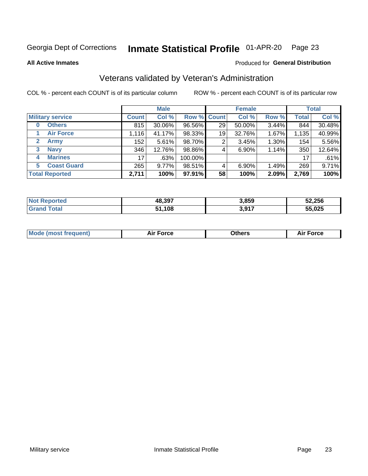#### Inmate Statistical Profile 01-APR-20 Page 23

**All Active Inmates** 

#### Produced for General Distribution

## Veterans validated by Veteran's Administration

COL % - percent each COUNT is of its particular column

|                             |                 | <b>Male</b> |             |    | <b>Female</b> |       |              | <b>Total</b> |
|-----------------------------|-----------------|-------------|-------------|----|---------------|-------|--------------|--------------|
| <b>Military service</b>     | <b>Count</b>    | Col %       | Row % Count |    | Col %         | Row % | <b>Total</b> | Col %        |
| <b>Others</b><br>$\bf{0}$   | 815             | 30.06%      | 96.56%      | 29 | 50.00%        | 3.44% | 844          | 30.48%       |
| <b>Air Force</b>            | 1,116           | 41.17%      | 98.33%      | 19 | 32.76%        | 1.67% | 1,135        | 40.99%       |
| $\mathbf{2}$<br><b>Army</b> | 152             | 5.61%       | 98.70%      | 2  | 3.45%         | 1.30% | 154          | 5.56%        |
| <b>Navy</b><br>3            | 346             | 12.76%      | 98.86%      | 4  | 6.90%         | 1.14% | 350          | 12.64%       |
| <b>Marines</b><br>4         | 17 <sub>1</sub> | .63%        | 100.00%     |    |               |       | 17           | .61%         |
| <b>Coast Guard</b><br>5     | 265             | $9.77\%$    | 98.51%      | 4  | 6.90%         | 1.49% | 269          | 9.71%        |
| <b>Total Reported</b>       | 2,711           | 100%        | 97.91%      | 58 | 100%          | 2.09% | 2,769        | 100%         |

| <b>Not</b><br>Reported | 48,397 | 3,859 | 52,256 |
|------------------------|--------|-------|--------|
| <b>Fotal</b>           | 1,108  | 3,917 | 55,025 |

|  |  | <b>Mode (most frequent)</b> | <b>Force</b><br>Aır | วthers | orce |
|--|--|-----------------------------|---------------------|--------|------|
|--|--|-----------------------------|---------------------|--------|------|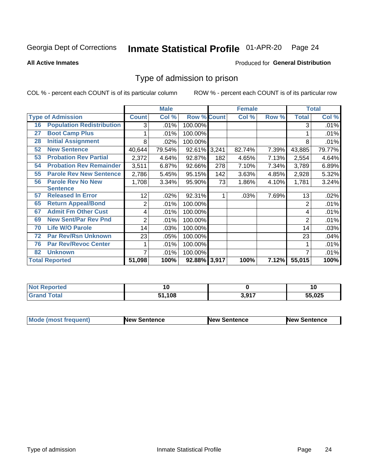#### Inmate Statistical Profile 01-APR-20 Page 24

**All Active Inmates** 

#### Produced for General Distribution

### Type of admission to prison

COL % - percent each COUNT is of its particular column

|    |                                  |              | <b>Male</b> |                    |     | <b>Female</b> |       |              | <b>Total</b> |
|----|----------------------------------|--------------|-------------|--------------------|-----|---------------|-------|--------------|--------------|
|    | <b>Type of Admission</b>         | <b>Count</b> | Col %       | <b>Row % Count</b> |     | Col %         | Row % | <b>Total</b> | Col %        |
| 16 | <b>Population Redistribution</b> | 3            | .01%        | 100.00%            |     |               |       | 3            | .01%         |
| 27 | <b>Boot Camp Plus</b>            |              | .01%        | 100.00%            |     |               |       |              | .01%         |
| 28 | <b>Initial Assignment</b>        | 8            | .02%        | 100.00%            |     |               |       | 8            | .01%         |
| 52 | <b>New Sentence</b>              | 40,644       | 79.54%      | 92.61% 3,241       |     | 82.74%        | 7.39% | 43,885       | 79.77%       |
| 53 | <b>Probation Rev Partial</b>     | 2,372        | 4.64%       | 92.87%             | 182 | 4.65%         | 7.13% | 2,554        | 4.64%        |
| 54 | <b>Probation Rev Remainder</b>   | 3,511        | 6.87%       | 92.66%             | 278 | 7.10%         | 7.34% | 3,789        | 6.89%        |
| 55 | <b>Parole Rev New Sentence</b>   | 2,786        | 5.45%       | 95.15%             | 142 | 3.63%         | 4.85% | 2,928        | 5.32%        |
| 56 | <b>Parole Rev No New</b>         | 1,708        | 3.34%       | 95.90%             | 73  | 1.86%         | 4.10% | 1,781        | 3.24%        |
|    | <b>Sentence</b>                  |              |             |                    |     |               |       |              |              |
| 57 | <b>Released In Error</b>         | 12           | .02%        | 92.31%             | 1   | .03%          | 7.69% | 13           | .02%         |
| 65 | <b>Return Appeal/Bond</b>        | 2            | .01%        | 100.00%            |     |               |       | 2            | .01%         |
| 67 | <b>Admit Fm Other Cust</b>       | 4            | .01%        | 100.00%            |     |               |       | 4            | .01%         |
| 69 | <b>New Sent/Par Rev Pnd</b>      | 2            | .01%        | 100.00%            |     |               |       | 2            | .01%         |
| 70 | <b>Life W/O Parole</b>           | 14           | .03%        | 100.00%            |     |               |       | 14           | .03%         |
| 72 | <b>Par Rev/Rsn Unknown</b>       | 23           | .05%        | 100.00%            |     |               |       | 23           | .04%         |
| 76 | <b>Par Rev/Revoc Center</b>      |              | .01%        | 100.00%            |     |               |       |              | .01%         |
| 82 | <b>Unknown</b>                   |              | .01%        | 100.00%            |     |               |       | 7            | .01%         |
|    | <b>Total Reported</b>            | 51,098       | 100%        | 92.88% 3,917       |     | 100%          | 7.12% | 55,015       | 100%         |

| 'No<br><b>Reported</b> |        |              | 10     |
|------------------------|--------|--------------|--------|
| <b>Total</b><br>Gr:    | 51,108 | 3 Q17<br>J.J | 55,025 |

| <b>Mode (most frequent)</b> | <b>New Sentence</b> | <b>New Sentence</b> | <b>New Sentence</b> |
|-----------------------------|---------------------|---------------------|---------------------|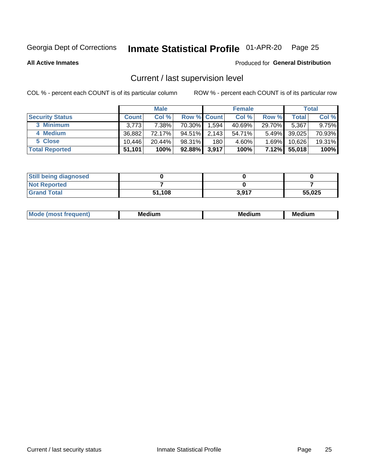## Inmate Statistical Profile 01-APR-20 Page 25

**All Active Inmates** 

#### Produced for General Distribution

## Current / last supervision level

COL % - percent each COUNT is of its particular column

|                        |              | <b>Male</b> |                    |       | <b>Female</b> |          |        | <b>Total</b> |
|------------------------|--------------|-------------|--------------------|-------|---------------|----------|--------|--------------|
| <b>Security Status</b> | <b>Count</b> | Col %       | <b>Row % Count</b> |       | Col %         | Row %    | Total  | Col %        |
| 3 Minimum              | 3,773        | 7.38%       | 70.30%             | 1,594 | 40.69%        | 29.70%   | 5,367  | $9.75\%$     |
| 4 Medium               | 36,882       | 72.17%      | 94.51%             | 2,143 | 54.71%        | $5.49\%$ | 39,025 | 70.93%       |
| 5 Close                | 10.446       | $20.44\%$   | 98.31%             | 180   | 4.60%         | $1.69\%$ | 10,626 | 19.31%       |
| <b>Total Reported</b>  | 51,101       | 100%        | $92.88\%$          | 3,917 | 100%          | 7.12%    | 55,018 | 100%         |

| <b>Still being diagnosed</b> |        |       |        |
|------------------------------|--------|-------|--------|
| <b>Not Reported</b>          |        |       |        |
| <b>Grand Total</b>           | 51,108 | 3,917 | 55,025 |

| $M_{\Omega}$ | Me<br>edium<br>____ | Мє<br>dium<br>_____ | Medium<br> |
|--------------|---------------------|---------------------|------------|
|              |                     |                     |            |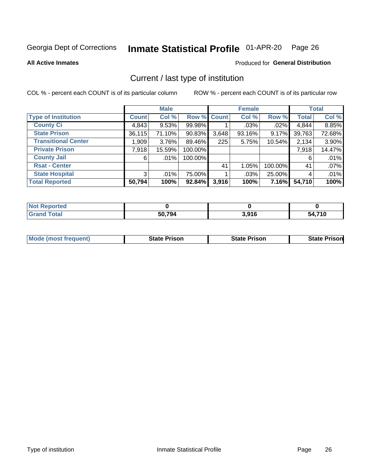#### Inmate Statistical Profile 01-APR-20 Page 26

**All Active Inmates** 

#### Produced for General Distribution

## Current / last type of institution

COL % - percent each COUNT is of its particular column

|                            |                | <b>Male</b> |             |       | <b>Female</b> |         |              | <b>Total</b> |
|----------------------------|----------------|-------------|-------------|-------|---------------|---------|--------------|--------------|
| <b>Type of Institution</b> | <b>Count</b>   | Col %       | Row % Count |       | Col %         | Row %   | <b>Total</b> | Col %        |
| <b>County Ci</b>           | 4,843          | 9.53%       | 99.98%      |       | $.03\%$       | $.02\%$ | 4,844        | 8.85%        |
| <b>State Prison</b>        | 36,115         | 71.10%      | $90.83\%$   | 3,648 | 93.16%        | 9.17%   | 39,763       | 72.68%       |
| <b>Transitional Center</b> | 1,909          | 3.76%       | 89.46%      | 225   | 5.75%         | 10.54%  | 2,134        | 3.90%        |
| <b>Private Prison</b>      | 7,918          | 15.59%      | 100.00%     |       |               |         | 7,918        | 14.47%       |
| <b>County Jail</b>         | 6              | $.01\%$     | 100.00%     |       |               |         | 6            | .01%         |
| <b>Rsat - Center</b>       |                |             |             | 41    | 1.05%         | 100.00% | 41           | .07%         |
| <b>State Hospital</b>      | 3 <sup>1</sup> | $.01\%$     | 75.00%      |       | .03%          | 25.00%  | 4            | .01%         |
| <b>Total Reported</b>      | 50,794         | 100%        | 92.84%      | 3,916 | 100%          | 7.16%   | 54,710       | 100%         |

| Reported<br> |        |       |                    |
|--------------|--------|-------|--------------------|
| <b>Total</b> | 50,794 | 3,916 | 21.71C<br>54<br>טו |

| <b>Mode (most frequent)</b> | <b>State Prison</b> | <b>State Prison</b> | <b>State Prison</b> |
|-----------------------------|---------------------|---------------------|---------------------|
|                             |                     |                     |                     |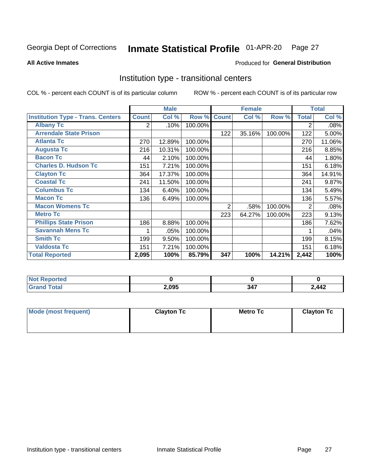#### Inmate Statistical Profile 01-APR-20 Page 27

#### **All Active Inmates**

## **Produced for General Distribution**

### Institution type - transitional centers

COL % - percent each COUNT is of its particular column

|                                          |              | <b>Male</b> |         |              | <b>Female</b> |         |                | <b>Total</b> |
|------------------------------------------|--------------|-------------|---------|--------------|---------------|---------|----------------|--------------|
| <b>Institution Type - Trans. Centers</b> | <b>Count</b> | Col %       | Row %   | <b>Count</b> | Col %         | Row %   | <b>Total</b>   | Col %        |
| <b>Albany Tc</b>                         | 2            | .10%        | 100.00% |              |               |         | 2              | .08%         |
| <b>Arrendale State Prison</b>            |              |             |         | 122          | 35.16%        | 100.00% | 122            | 5.00%        |
| <b>Atlanta Tc</b>                        | 270          | 12.89%      | 100.00% |              |               |         | 270            | 11.06%       |
| <b>Augusta Tc</b>                        | 216          | 10.31%      | 100.00% |              |               |         | 216            | 8.85%        |
| <b>Bacon Tc</b>                          | 44           | 2.10%       | 100.00% |              |               |         | 44             | 1.80%        |
| <b>Charles D. Hudson Tc</b>              | 151          | 7.21%       | 100.00% |              |               |         | 151            | 6.18%        |
| <b>Clayton Tc</b>                        | 364          | 17.37%      | 100.00% |              |               |         | 364            | 14.91%       |
| <b>Coastal Tc</b>                        | 241          | 11.50%      | 100.00% |              |               |         | 241            | 9.87%        |
| <b>Columbus Tc</b>                       | 134          | 6.40%       | 100.00% |              |               |         | 134            | 5.49%        |
| <b>Macon Tc</b>                          | 136          | 6.49%       | 100.00% |              |               |         | 136            | 5.57%        |
| <b>Macon Womens Tc</b>                   |              |             |         | 2            | .58%          | 100.00% | $\overline{2}$ | .08%         |
| <b>Metro Tc</b>                          |              |             |         | 223          | 64.27%        | 100.00% | 223            | 9.13%        |
| <b>Phillips State Prison</b>             | 186          | 8.88%       | 100.00% |              |               |         | 186            | 7.62%        |
| <b>Savannah Mens Tc</b>                  | 1            | .05%        | 100.00% |              |               |         |                | .04%         |
| <b>Smith Tc</b>                          | 199          | 9.50%       | 100.00% |              |               |         | 199            | 8.15%        |
| <b>Valdosta Tc</b>                       | 151          | 7.21%       | 100.00% |              |               |         | 151            | 6.18%        |
| <b>Total Reported</b>                    | 2,095        | 100%        | 85.79%  | 347          | 100%          | 14.21%  | 2,442          | 100%         |

| <b>Reported</b><br><b>NOT</b> |       |           |                  |
|-------------------------------|-------|-----------|------------------|
| ™otal                         | 2,095 | .<br>- 16 | $2$ $442$<br>,,, |

| Mode (most frequent) | <b>Clayton Tc</b> | Metro Tc | <b>Clayton Tc</b> |
|----------------------|-------------------|----------|-------------------|
|                      |                   |          |                   |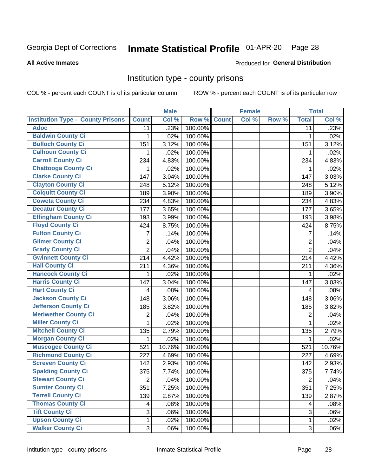## Inmate Statistical Profile 01-APR-20 Page 28

**All Active Inmates** 

#### Produced for General Distribution

#### Institution type - county prisons

COL % - percent each COUNT is of its particular column

|                                          |                  | <b>Male</b> |         |              | <b>Female</b> |       |                | <b>Total</b> |
|------------------------------------------|------------------|-------------|---------|--------------|---------------|-------|----------------|--------------|
| <b>Institution Type - County Prisons</b> | <b>Count</b>     | Col %       | Row %   | <b>Count</b> | Col %         | Row % | <b>Total</b>   | Col %        |
| <b>Adoc</b>                              | 11               | .23%        | 100.00% |              |               |       | 11             | .23%         |
| <b>Baldwin County Ci</b>                 | 1                | .02%        | 100.00% |              |               |       | 1              | .02%         |
| <b>Bulloch County Ci</b>                 | 151              | 3.12%       | 100.00% |              |               |       | 151            | 3.12%        |
| <b>Calhoun County Ci</b>                 | 1                | .02%        | 100.00% |              |               |       | 1              | .02%         |
| <b>Carroll County Ci</b>                 | 234              | 4.83%       | 100.00% |              |               |       | 234            | 4.83%        |
| <b>Chattooga County Ci</b>               | 1                | .02%        | 100.00% |              |               |       | 1              | .02%         |
| <b>Clarke County Ci</b>                  | 147              | 3.04%       | 100.00% |              |               |       | 147            | 3.03%        |
| <b>Clayton County Ci</b>                 | 248              | 5.12%       | 100.00% |              |               |       | 248            | 5.12%        |
| <b>Colquitt County Ci</b>                | 189              | 3.90%       | 100.00% |              |               |       | 189            | 3.90%        |
| <b>Coweta County Ci</b>                  | 234              | 4.83%       | 100.00% |              |               |       | 234            | 4.83%        |
| <b>Decatur County Ci</b>                 | 177              | 3.65%       | 100.00% |              |               |       | 177            | 3.65%        |
| <b>Effingham County Ci</b>               | 193              | 3.99%       | 100.00% |              |               |       | 193            | 3.98%        |
| <b>Floyd County Ci</b>                   | 424              | 8.75%       | 100.00% |              |               |       | 424            | 8.75%        |
| <b>Fulton County Ci</b>                  | 7                | .14%        | 100.00% |              |               |       | 7              | .14%         |
| <b>Gilmer County Ci</b>                  | $\overline{2}$   | .04%        | 100.00% |              |               |       | $\overline{2}$ | .04%         |
| <b>Grady County Ci</b>                   | $\overline{2}$   | .04%        | 100.00% |              |               |       | $\overline{2}$ | .04%         |
| <b>Gwinnett County Ci</b>                | $\overline{2}14$ | 4.42%       | 100.00% |              |               |       | 214            | 4.42%        |
| <b>Hall County Ci</b>                    | 211              | 4.36%       | 100.00% |              |               |       | 211            | 4.36%        |
| <b>Hancock County Ci</b>                 | 1                | .02%        | 100.00% |              |               |       | 1              | .02%         |
| <b>Harris County Ci</b>                  | 147              | 3.04%       | 100.00% |              |               |       | 147            | 3.03%        |
| <b>Hart County Ci</b>                    | 4                | .08%        | 100.00% |              |               |       | 4              | .08%         |
| <b>Jackson County Ci</b>                 | 148              | 3.06%       | 100.00% |              |               |       | 148            | 3.06%        |
| Jefferson County Ci                      | 185              | 3.82%       | 100.00% |              |               |       | 185            | 3.82%        |
| <b>Meriwether County Ci</b>              | 2                | .04%        | 100.00% |              |               |       | $\overline{2}$ | .04%         |
| <b>Miller County Ci</b>                  | 1                | .02%        | 100.00% |              |               |       | $\mathbf{1}$   | .02%         |
| <b>Mitchell County Ci</b>                | 135              | 2.79%       | 100.00% |              |               |       | 135            | 2.79%        |
| <b>Morgan County Ci</b>                  | 1                | .02%        | 100.00% |              |               |       | 1              | .02%         |
| <b>Muscogee County Ci</b>                | 521              | 10.76%      | 100.00% |              |               |       | 521            | 10.76%       |
| <b>Richmond County Ci</b>                | 227              | 4.69%       | 100.00% |              |               |       | 227            | 4.69%        |
| <b>Screven County Ci</b>                 | 142              | 2.93%       | 100.00% |              |               |       | 142            | 2.93%        |
| <b>Spalding County Ci</b>                | 375              | 7.74%       | 100.00% |              |               |       | 375            | 7.74%        |
| <b>Stewart County Ci</b>                 | $\overline{2}$   | .04%        | 100.00% |              |               |       | $\overline{2}$ | .04%         |
| <b>Sumter County Ci</b>                  | 351              | 7.25%       | 100.00% |              |               |       | 351            | 7.25%        |
| <b>Terrell County Ci</b>                 | 139              | 2.87%       | 100.00% |              |               |       | 139            | 2.87%        |
| <b>Thomas County Ci</b>                  | 4                | .08%        | 100.00% |              |               |       | 4              | .08%         |
| <b>Tift County Ci</b>                    | 3                | .06%        | 100.00% |              |               |       | 3              | .06%         |
| <b>Upson County Ci</b>                   | 1                | .02%        | 100.00% |              |               |       | 1              | .02%         |
| <b>Walker County Ci</b>                  | 3                | .06%        | 100.00% |              |               |       | 3              | .06%         |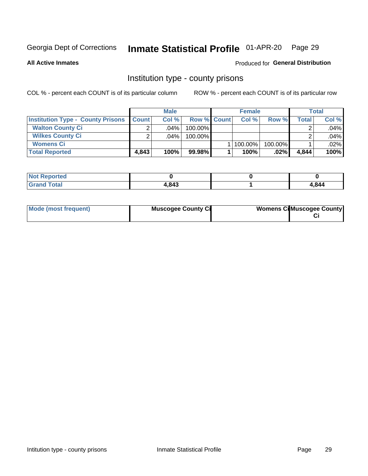## Inmate Statistical Profile 01-APR-20 Page 29

**All Active Inmates** 

#### Produced for General Distribution

#### Institution type - county prisons

COL % - percent each COUNT is of its particular column

|                                          |              | <b>Male</b> |                    | <b>Female</b> |         |       | <b>Total</b> |
|------------------------------------------|--------------|-------------|--------------------|---------------|---------|-------|--------------|
| <b>Institution Type - County Prisons</b> | <b>Count</b> | Col%        | <b>Row % Count</b> | Col%          | Row %   | Total | Col %        |
| <b>Walton County Ci</b>                  | ⌒            | $.04\%$     | 100.00%            |               |         |       | .04%         |
| <b>Wilkes County Ci</b>                  |              | $.04\%$     | 100.00%            |               |         |       | .04%         |
| <b>Womens Ci</b>                         |              |             |                    | 100.00%       | 100.00% |       | .02%         |
| <b>Total Reported</b>                    | 4.843        | 100%        | 99.98%             | 100%          | .02%    | 4.844 | 100%         |

| <b>NOT</b><br>rtea |      |       |
|--------------------|------|-------|
| _____              | .843 | 1,844 |

| Mode (most frequent) | <b>Muscogee County Ci</b> | <b>Womens CilMuscogee County</b> |
|----------------------|---------------------------|----------------------------------|
|----------------------|---------------------------|----------------------------------|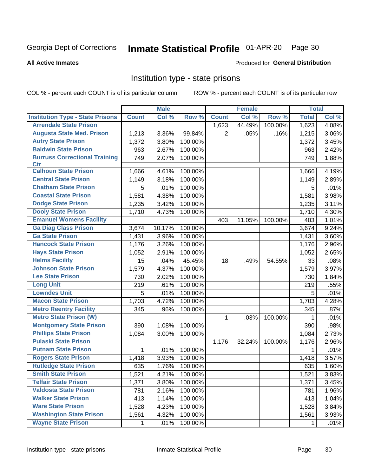#### Inmate Statistical Profile 01-APR-20 Page 30

#### **All Active Inmates**

#### Produced for General Distribution

#### Institution type - state prisons

COL % - percent each COUNT is of its particular column

|                                         |              | <b>Male</b> |         |              | <b>Female</b> |         | <b>Total</b> |       |
|-----------------------------------------|--------------|-------------|---------|--------------|---------------|---------|--------------|-------|
| <b>Institution Type - State Prisons</b> | <b>Count</b> | Col %       | Row %   | <b>Count</b> | Col %         | Row %   | <b>Total</b> | Col % |
| <b>Arrendale State Prison</b>           |              |             |         | 1,623        | 44.49%        | 100.00% | 1,623        | 4.08% |
| <b>Augusta State Med. Prison</b>        | 1,213        | 3.36%       | 99.84%  | 2            | .05%          | .16%    | 1,215        | 3.06% |
| <b>Autry State Prison</b>               | 1,372        | 3.80%       | 100.00% |              |               |         | 1,372        | 3.45% |
| <b>Baldwin State Prison</b>             | 963          | 2.67%       | 100.00% |              |               |         | 963          | 2.42% |
| <b>Burruss Correctional Training</b>    | 749          | 2.07%       | 100.00% |              |               |         | 749          | 1.88% |
| <b>Ctr</b>                              |              |             |         |              |               |         |              |       |
| <b>Calhoun State Prison</b>             | 1,666        | 4.61%       | 100.00% |              |               |         | 1,666        | 4.19% |
| <b>Central State Prison</b>             | 1,149        | 3.18%       | 100.00% |              |               |         | 1,149        | 2.89% |
| <b>Chatham State Prison</b>             | 5            | .01%        | 100.00% |              |               |         | 5            | .01%  |
| <b>Coastal State Prison</b>             | 1,581        | 4.38%       | 100.00% |              |               |         | 1,581        | 3.98% |
| <b>Dodge State Prison</b>               | 1,235        | 3.42%       | 100.00% |              |               |         | 1,235        | 3.11% |
| <b>Dooly State Prison</b>               | 1,710        | 4.73%       | 100.00% |              |               |         | 1,710        | 4.30% |
| <b>Emanuel Womens Facility</b>          |              |             |         | 403          | 11.05%        | 100.00% | 403          | 1.01% |
| <b>Ga Diag Class Prison</b>             | 3,674        | 10.17%      | 100.00% |              |               |         | 3,674        | 9.24% |
| <b>Ga State Prison</b>                  | 1,431        | 3.96%       | 100.00% |              |               |         | 1,431        | 3.60% |
| <b>Hancock State Prison</b>             | 1,176        | 3.26%       | 100.00% |              |               |         | 1,176        | 2.96% |
| <b>Hays State Prison</b>                | 1,052        | 2.91%       | 100.00% |              |               |         | 1,052        | 2.65% |
| <b>Helms Facility</b>                   | 15           | .04%        | 45.45%  | 18           | .49%          | 54.55%  | 33           | .08%  |
| <b>Johnson State Prison</b>             | 1,579        | 4.37%       | 100.00% |              |               |         | 1,579        | 3.97% |
| <b>Lee State Prison</b>                 | 730          | 2.02%       | 100.00% |              |               |         | 730          | 1.84% |
| <b>Long Unit</b>                        | 219          | .61%        | 100.00% |              |               |         | 219          | .55%  |
| <b>Lowndes Unit</b>                     | 5            | .01%        | 100.00% |              |               |         | 5            | .01%  |
| <b>Macon State Prison</b>               | 1,703        | 4.72%       | 100.00% |              |               |         | 1,703        | 4.28% |
| <b>Metro Reentry Facility</b>           | 345          | .96%        | 100.00% |              |               |         | 345          | .87%  |
| <b>Metro State Prison (W)</b>           |              |             |         | 1            | .03%          | 100.00% | 1            | .01%  |
| <b>Montgomery State Prison</b>          | 390          | 1.08%       | 100.00% |              |               |         | 390          | .98%  |
| <b>Phillips State Prison</b>            | 1,084        | 3.00%       | 100.00% |              |               |         | 1,084        | 2.73% |
| <b>Pulaski State Prison</b>             |              |             |         | 1,176        | 32.24%        | 100.00% | 1,176        | 2.96% |
| <b>Putnam State Prison</b>              | 1            | .01%        | 100.00% |              |               |         | 1            | .01%  |
| <b>Rogers State Prison</b>              | 1,418        | 3.93%       | 100.00% |              |               |         | 1,418        | 3.57% |
| <b>Rutledge State Prison</b>            | 635          | 1.76%       | 100.00% |              |               |         | 635          | 1.60% |
| <b>Smith State Prison</b>               | 1,521        | 4.21%       | 100.00% |              |               |         | 1,521        | 3.83% |
| <b>Telfair State Prison</b>             | 1,371        | 3.80%       | 100.00% |              |               |         | 1,371        | 3.45% |
| <b>Valdosta State Prison</b>            | 781          | 2.16%       | 100.00% |              |               |         | 781          | 1.96% |
| <b>Walker State Prison</b>              | 413          | 1.14%       | 100.00% |              |               |         | 413          | 1.04% |
| <b>Ware State Prison</b>                | 1,528        | 4.23%       | 100.00% |              |               |         | 1,528        | 3.84% |
| <b>Washington State Prison</b>          | 1,561        | 4.32%       | 100.00% |              |               |         | 1,561        | 3.93% |
| <b>Wayne State Prison</b>               | 1            | .01%        | 100.00% |              |               |         | 1            | .01%  |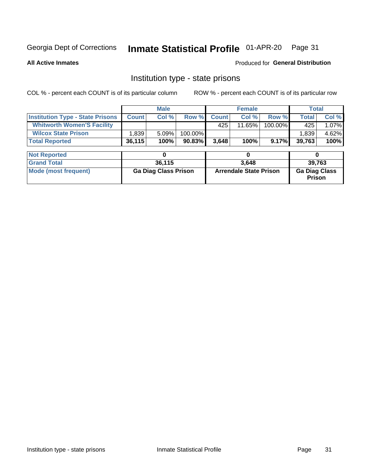## Inmate Statistical Profile 01-APR-20 Page 31

**All Active Inmates** 

Produced for General Distribution

#### Institution type - state prisons

COL % - percent each COUNT is of its particular column ROW % - percent each COUNT is of its particular row

|                                         |              | <b>Male</b>                 |         | <b>Female</b> |                               |         | <b>Total</b>                          |       |
|-----------------------------------------|--------------|-----------------------------|---------|---------------|-------------------------------|---------|---------------------------------------|-------|
| <b>Institution Type - State Prisons</b> | <b>Count</b> | Col %                       | Row %   | <b>Count</b>  | Col %                         | Row %   | <b>Total</b>                          | Col % |
| <b>Whitworth Women'S Facility</b>       |              |                             |         | 425           | 11.65%                        | 100.00% | 425                                   | 1.07% |
| <b>Wilcox State Prison</b>              | 1,839        | 5.09%                       | 100.00% |               |                               |         | 1,839                                 | 4.62% |
| <b>Total Reported</b>                   | 36,115       | 100%                        | 90.83%  | 3,648         | 100%                          | 9.17%   | 39,763                                | 100%  |
| <b>Not Reported</b>                     |              | 0                           |         |               | 0                             |         | 0                                     |       |
|                                         |              |                             |         |               |                               |         |                                       |       |
| <b>Grand Total</b>                      |              | 36,115                      |         |               | 3.648                         |         | 39,763                                |       |
| <b>Mode (most frequent)</b>             |              | <b>Ga Diag Class Prison</b> |         |               | <b>Arrendale State Prison</b> |         | <b>Ga Diag Class</b><br><b>Prison</b> |       |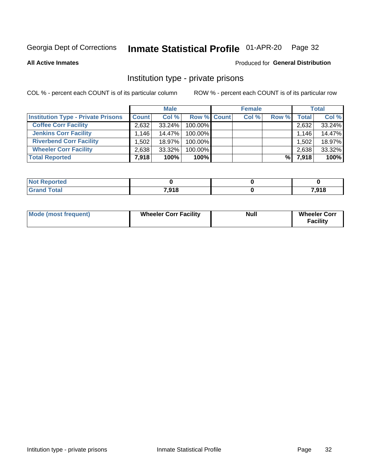## Inmate Statistical Profile 01-APR-20 Page 32

**All Active Inmates** 

#### Produced for General Distribution

### Institution type - private prisons

COL % - percent each COUNT is of its particular column

|                                           |              | <b>Male</b> |                    | <b>Female</b> |       |       | <b>Total</b> |
|-------------------------------------------|--------------|-------------|--------------------|---------------|-------|-------|--------------|
| <b>Institution Type - Private Prisons</b> | <b>Count</b> | Col %       | <b>Row % Count</b> | Col %         | Row % | Total | Col %        |
| <b>Coffee Corr Facility</b>               | 2,632        | $33.24\%$   | 100.00%            |               |       | 2,632 | 33.24%       |
| <b>Jenkins Corr Facility</b>              | 1,146        | 14.47%      | 100.00%            |               |       | 1,146 | 14.47%       |
| <b>Riverbend Corr Facility</b>            | ا 502. ا     | 18.97%      | 100.00%            |               |       | 1,502 | 18.97%       |
| <b>Wheeler Corr Facility</b>              | 2,638        | 33.32%      | 100.00%            |               |       | 2,638 | 33.32%       |
| <b>Total Reported</b>                     | 7,918        | 100%        | $100\%$            |               | %     | 7,918 | 100%         |

| <b>Not</b><br><b>Reported</b> |       |       |
|-------------------------------|-------|-------|
| <b>Total</b>                  | 7,918 | 7,918 |

| <b>Mode (most frequent)</b> | <b>Wheeler Corr Facility</b> | <b>Null</b> | <b>Wheeler Corr</b><br><b>Facility</b> |
|-----------------------------|------------------------------|-------------|----------------------------------------|
|-----------------------------|------------------------------|-------------|----------------------------------------|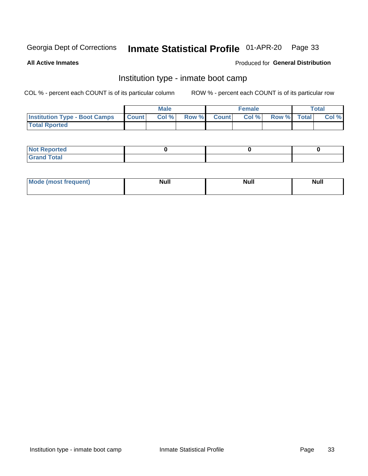#### Inmate Statistical Profile 01-APR-20 Page 33

**All Active Inmates** 

#### Produced for General Distribution

## Institution type - inmate boot camp

COL % - percent each COUNT is of its particular column

|                                      |              | <b>Male</b> |               |              | <b>Female</b> |             | <b>Total</b> |
|--------------------------------------|--------------|-------------|---------------|--------------|---------------|-------------|--------------|
| <b>Institution Type - Boot Camps</b> | <b>Count</b> | Col %       | <b>Row %I</b> | <b>Count</b> | Col %         | Row % Total | Col %        |
| <b>Total Rported</b>                 |              |             |               |              |               |             |              |

| <b>Not Reported</b>            |  |  |
|--------------------------------|--|--|
| <b>Total</b><br>C <sub>r</sub> |  |  |

| <b>AhoM</b><br>st frequent)<br>TIMOS | <b>Null</b> | <b>Null</b> | <b>Null</b> |
|--------------------------------------|-------------|-------------|-------------|
|                                      |             |             |             |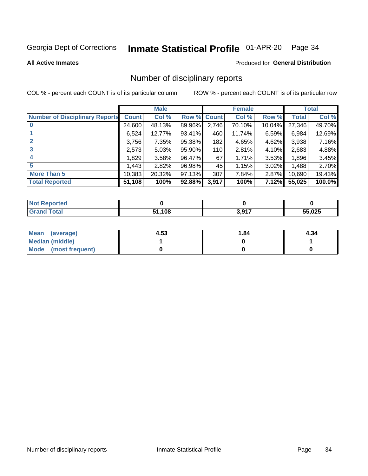#### Inmate Statistical Profile 01-APR-20 Page 34

#### **All Active Inmates**

#### Produced for General Distribution

### Number of disciplinary reports

COL % - percent each COUNT is of its particular column

|                                       |              | <b>Male</b> |        |              | <b>Female</b> |           |              | <b>Total</b> |
|---------------------------------------|--------------|-------------|--------|--------------|---------------|-----------|--------------|--------------|
| <b>Number of Disciplinary Reports</b> | <b>Count</b> | Col %       | Row %  | <b>Count</b> | Col %         | Row %     | <b>Total</b> | Col %        |
|                                       | 24,600       | 48.13%      | 89.96% | 2,746        | 70.10%        | $10.04\%$ | 27,346       | 49.70%       |
|                                       | 6,524        | 12.77%      | 93.41% | 460          | 11.74%        | 6.59%     | 6,984        | 12.69%       |
| $\mathbf{2}$                          | 3,756        | 7.35%       | 95.38% | 182          | 4.65%         | $4.62\%$  | 3,938        | 7.16%        |
| 3                                     | 2,573        | 5.03%       | 95.90% | 110          | 2.81%         | 4.10%     | 2,683        | 4.88%        |
|                                       | 1,829        | 3.58%       | 96.47% | 67           | 1.71%         | $3.53\%$  | 1,896        | 3.45%        |
| 5                                     | 1,443        | 2.82%       | 96.98% | 45           | 1.15%         | 3.02%     | 1,488        | 2.70%        |
| <b>More Than 5</b>                    | 10,383       | 20.32%      | 97.13% | 307          | 7.84%         | 2.87%     | 10,690       | 19.43%       |
| <b>Total Reported</b>                 | 51,108       | 100%        | 92.88% | 3,917        | 100%          | 7.12%     | 55,025       | 100.0%       |

| วrted<br>NO: |      |      |        |
|--------------|------|------|--------|
| <b>Total</b> | .108 | 2017 | 55,025 |

| Mean (average)       | 4.53 | 1.84 | 4.34 |
|----------------------|------|------|------|
| Median (middle)      |      |      |      |
| Mode (most frequent) |      |      |      |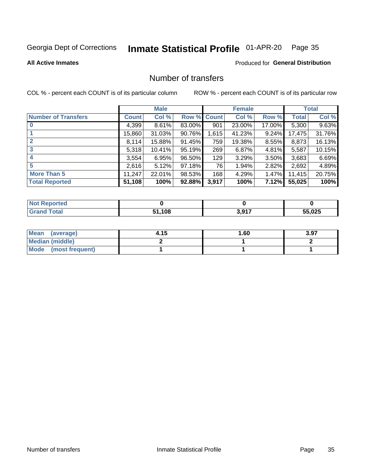## Inmate Statistical Profile 01-APR-20 Page 35

#### **All Active Inmates**

#### Produced for General Distribution

## Number of transfers

COL % - percent each COUNT is of its particular column

|                            |         | <b>Male</b> |             |       | <b>Female</b> |          |              | <b>Total</b> |
|----------------------------|---------|-------------|-------------|-------|---------------|----------|--------------|--------------|
| <b>Number of Transfers</b> | Count l | Col %       | Row % Count |       | Col %         | Row %    | <b>Total</b> | Col %        |
|                            | 4,399   | 8.61%       | 83.00%      | 901   | 23.00%        | 17.00%   | 5,300        | 9.63%        |
|                            | 15,860  | 31.03%      | 90.76%      | 1,615 | 41.23%        | $9.24\%$ | 17,475       | 31.76%       |
| $\mathbf{2}$               | 8,114   | 15.88%      | 91.45%      | 759   | 19.38%        | 8.55%    | 8,873        | 16.13%       |
| 3                          | 5,318   | 10.41%      | 95.19%      | 269   | 6.87%         | 4.81%    | 5,587        | 10.15%       |
|                            | 3,554   | 6.95%       | 96.50%      | 129   | 3.29%         | 3.50%    | 3,683        | 6.69%        |
| 5                          | 2,616   | 5.12%       | 97.18%      | 76    | 1.94%         | 2.82%    | 2,692        | 4.89%        |
| <b>More Than 5</b>         | 11,247  | 22.01%      | 98.53%      | 168   | 4.29%         | $1.47\%$ | 11,415       | 20.75%       |
| <b>Total Reported</b>      | 51,108  | 100%        | 92.88%      | 3,917 | 100%          | 7.12%    | 55,025       | 100%         |

| <b>Not Reported</b> |      |                       |        |
|---------------------|------|-----------------------|--------|
| <b>Total</b>        | .108 | 2.047<br><b>UIJII</b> | 55,025 |

| Mean (average)       | 4.15 | 1.60 | 3.97 |
|----------------------|------|------|------|
| Median (middle)      |      |      |      |
| Mode (most frequent) |      |      |      |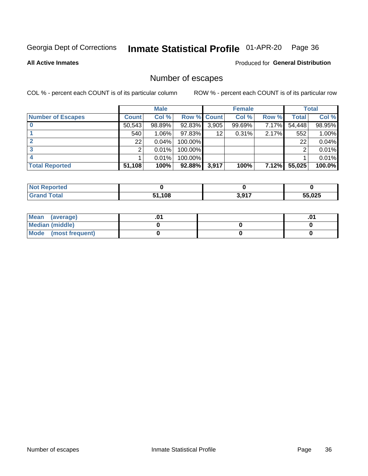## Inmate Statistical Profile 01-APR-20 Page 36

**All Active Inmates** 

#### Produced for General Distribution

## Number of escapes

COL % - percent each COUNT is of its particular column

|                          |              | <b>Male</b> |                    |       | <b>Female</b> |       |        | <b>Total</b> |
|--------------------------|--------------|-------------|--------------------|-------|---------------|-------|--------|--------------|
| <b>Number of Escapes</b> | <b>Count</b> | Col %       | <b>Row % Count</b> |       | Col %         | Row % | Total  | Col %        |
|                          | 50,543       | 98.89%      | 92.83%             | 3,905 | 99.69%        | 7.17% | 54,448 | 98.95%       |
|                          | 540          | 1.06%       | 97.83%             | 12    | 0.31%         | 2.17% | 552    | $1.00\%$     |
|                          | 22           | 0.04%       | 100.00%            |       |               |       | 22     | 0.04%        |
|                          | າ            | 0.01%       | 100.00%            |       |               |       | ◠      | $0.01\%$     |
|                          |              | 0.01%       | 100.00%            |       |               |       |        | 0.01%        |
| <b>Total Reported</b>    | 51,108       | 100%        | 92.88%             | 3,917 | 100%          | 7.12% | 55,025 | $100.0\%$    |

| <b>Not Reported</b> |        |                      |       |
|---------------------|--------|----------------------|-------|
| Total               | 51,108 | 2017<br><b>J.J.I</b> | 5.025 |

| Mean (average)         |  | .0 <sup>4</sup> |
|------------------------|--|-----------------|
| <b>Median (middle)</b> |  |                 |
| Mode (most frequent)   |  |                 |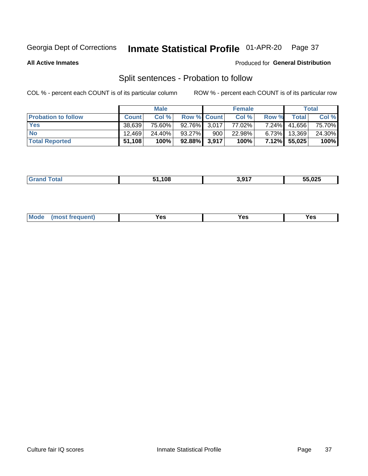#### Inmate Statistical Profile 01-APR-20 Page 37

**All Active Inmates** 

#### Produced for General Distribution

## Split sentences - Probation to follow

COL % - percent each COUNT is of its particular column

|                            |              | <b>Male</b> |                    |     | <b>Female</b> |          |              | <b>Total</b> |
|----------------------------|--------------|-------------|--------------------|-----|---------------|----------|--------------|--------------|
| <b>Probation to follow</b> | <b>Count</b> | Col%        | <b>Row % Count</b> |     | Col %         | Row %    | Total        | Col %        |
| <b>Yes</b>                 | 38.639       | 75.60%      | $92.76\%$ 3.017    |     | 77.02%        | $7.24\%$ | 41,656       | 75.70%       |
| <b>No</b>                  | 12.469       | 24.40%      | $93.27\%$          | 900 | 22.98%        | $6.73\%$ | 13,369       | 24.30%       |
| <b>Total Reported</b>      | 51,108       | 100%        | $92.88\%$ 3,917    |     | 100%          |          | 7.12% 55,025 | 100%         |

| .108 | 3.917 | 55,025 |
|------|-------|--------|
|      |       |        |

| M<br>reauent)<br>/٥<br>$\sim$<br>v.,<br>.<br>w<br>$\cdot$ - $\cdot$ |  |  |  |  |  |
|---------------------------------------------------------------------|--|--|--|--|--|
|---------------------------------------------------------------------|--|--|--|--|--|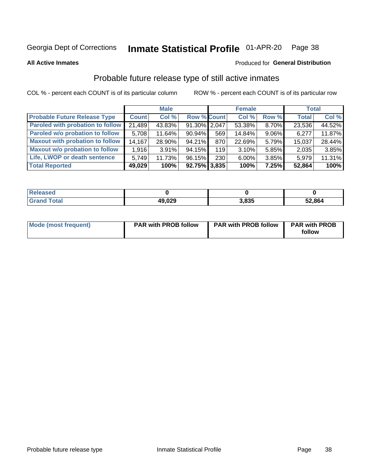#### Inmate Statistical Profile 01-APR-20 Page 38

**All Active Inmates** 

### Produced for General Distribution

## Probable future release type of still active inmates

COL % - percent each COUNT is of its particular column

|                                         |              | <b>Male</b> |                    |     | <b>Female</b> |          | <b>Total</b> |        |
|-----------------------------------------|--------------|-------------|--------------------|-----|---------------|----------|--------------|--------|
| <b>Probable Future Release Type</b>     | <b>Count</b> | Col %       | <b>Row % Count</b> |     | Col %         | Row %    | <b>Total</b> | Col %  |
| <b>Paroled with probation to follow</b> | 21,489       | 43.83%      | $91.30\%$ 2,047    |     | 53.38%        | 8.70%    | 23,536       | 44.52% |
| Paroled w/o probation to follow         | 5,708        | 11.64%      | 90.94%             | 569 | 14.84%        | $9.06\%$ | 6,277        | 11.87% |
| <b>Maxout with probation to follow</b>  | 14,167       | 28.90%      | 94.21%             | 870 | 22.69%        | 5.79%    | 15,037       | 28.44% |
| <b>Maxout w/o probation to follow</b>   | 1,916        | $3.91\%$    | 94.15%             | 119 | 3.10%         | 5.85%    | 2,035        | 3.85%  |
| Life, LWOP or death sentence            | 5.749        | 11.73%      | 96.15%             | 230 | $6.00\%$      | $3.85\%$ | 5,979        | 11.31% |
| <b>Total Reported</b>                   | 49,029       | 100%        | $92.75\%$ 3,835    |     | 100%          | 7.25%    | 52,864       | 100%   |

| <b>ota</b> | 49,029<br>ДЧ | 3,835 | 52,864 |
|------------|--------------|-------|--------|

| <b>Mode (most frequent)</b> | <b>PAR with PROB follow</b> | <b>PAR with PROB follow</b> | <b>PAR with PROB</b> |
|-----------------------------|-----------------------------|-----------------------------|----------------------|
|                             |                             |                             | follow               |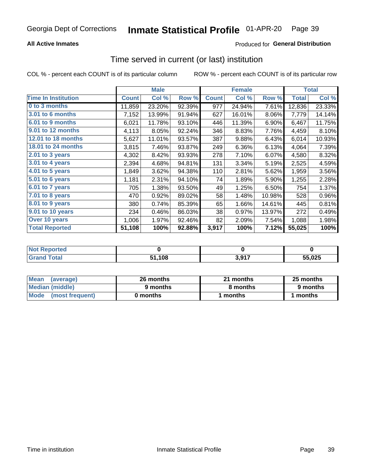## **All Active Inmates**

## Produced for General Distribution

## Time served in current (or last) institution

COL % - percent each COUNT is of its particular column

|                            | <b>Male</b>  |        | <b>Female</b> |              |        | <b>Total</b> |              |        |
|----------------------------|--------------|--------|---------------|--------------|--------|--------------|--------------|--------|
| <b>Time In Institution</b> | <b>Count</b> | Col %  | Row %         | <b>Count</b> | Col %  | Row %        | <b>Total</b> | Col %  |
| 0 to 3 months              | 11,859       | 23.20% | 92.39%        | 977          | 24.94% | 7.61%        | 12,836       | 23.33% |
| <b>3.01 to 6 months</b>    | 7,152        | 13.99% | 91.94%        | 627          | 16.01% | 8.06%        | 7,779        | 14.14% |
| 6.01 to 9 months           | 6,021        | 11.78% | 93.10%        | 446          | 11.39% | 6.90%        | 6,467        | 11.75% |
| 9.01 to 12 months          | 4,113        | 8.05%  | 92.24%        | 346          | 8.83%  | 7.76%        | 4,459        | 8.10%  |
| 12.01 to 18 months         | 5,627        | 11.01% | 93.57%        | 387          | 9.88%  | 6.43%        | 6,014        | 10.93% |
| <b>18.01 to 24 months</b>  | 3,815        | 7.46%  | 93.87%        | 249          | 6.36%  | 6.13%        | 4,064        | 7.39%  |
| $2.01$ to 3 years          | 4,302        | 8.42%  | 93.93%        | 278          | 7.10%  | 6.07%        | 4,580        | 8.32%  |
| $3.01$ to 4 years          | 2,394        | 4.68%  | 94.81%        | 131          | 3.34%  | 5.19%        | 2,525        | 4.59%  |
| 4.01 to 5 years            | 1,849        | 3.62%  | 94.38%        | 110          | 2.81%  | 5.62%        | 1,959        | 3.56%  |
| 5.01 to 6 years            | 1,181        | 2.31%  | 94.10%        | 74           | 1.89%  | 5.90%        | 1,255        | 2.28%  |
| 6.01 to 7 years            | 705          | 1.38%  | 93.50%        | 49           | 1.25%  | 6.50%        | 754          | 1.37%  |
| 7.01 to 8 years            | 470          | 0.92%  | 89.02%        | 58           | 1.48%  | 10.98%       | 528          | 0.96%  |
| $8.01$ to 9 years          | 380          | 0.74%  | 85.39%        | 65           | 1.66%  | 14.61%       | 445          | 0.81%  |
| 9.01 to 10 years           | 234          | 0.46%  | 86.03%        | 38           | 0.97%  | 13.97%       | 272          | 0.49%  |
| Over 10 years              | 1,006        | 1.97%  | 92.46%        | 82           | 2.09%  | 7.54%        | 1,088        | 1.98%  |
| <b>Total Reported</b>      | 51,108       | 100%   | 92.88%        | 3,917        | 100%   | 7.12%        | 55,025       | 100%   |

| neo<br><b>NOT</b> |             |                 |        |
|-------------------|-------------|-----------------|--------|
|                   | .108<br>EA. | 2017<br>v,v 1 . | 55.025 |

| <b>Mean</b><br>(average) | 26 months | 21 months | 25 months |
|--------------------------|-----------|-----------|-----------|
| Median (middle)          | 9 months  | 8 months  | 9 months  |
| Mode (most frequent)     | 0 months  | months    | l months  |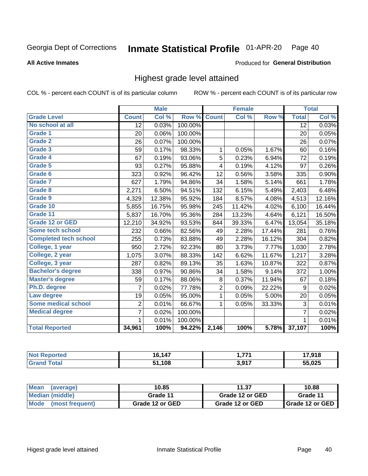### Inmate Statistical Profile 01-APR-20 Page 40

### **All Active Inmates**

### Produced for General Distribution

## Highest grade level attained

COL % - percent each COUNT is of its particular column

|                              |                 | <b>Male</b> |         |                | <b>Female</b> |        |                 | <b>Total</b> |
|------------------------------|-----------------|-------------|---------|----------------|---------------|--------|-----------------|--------------|
| <b>Grade Level</b>           | <b>Count</b>    | Col %       | Row %   | <b>Count</b>   | Col %         | Row %  | <b>Total</b>    | Col %        |
| No school at all             | $\overline{12}$ | 0.03%       | 100.00% |                |               |        | $\overline{12}$ | 0.03%        |
| <b>Grade 1</b>               | 20              | 0.06%       | 100.00% |                |               |        | 20              | 0.05%        |
| <b>Grade 2</b>               | 26              | 0.07%       | 100.00% |                |               |        | 26              | 0.07%        |
| Grade 3                      | 59              | 0.17%       | 98.33%  | $\mathbf{1}$   | 0.05%         | 1.67%  | 60              | 0.16%        |
| <b>Grade 4</b>               | 67              | 0.19%       | 93.06%  | 5              | 0.23%         | 6.94%  | 72              | 0.19%        |
| Grade 5                      | 93              | 0.27%       | 95.88%  | 4              | 0.19%         | 4.12%  | 97              | 0.26%        |
| Grade 6                      | 323             | 0.92%       | 96.42%  | 12             | 0.56%         | 3.58%  | 335             | 0.90%        |
| <b>Grade 7</b>               | 627             | 1.79%       | 94.86%  | 34             | 1.58%         | 5.14%  | 661             | 1.78%        |
| Grade 8                      | 2,271           | 6.50%       | 94.51%  | 132            | 6.15%         | 5.49%  | 2,403           | 6.48%        |
| Grade 9                      | 4,329           | 12.38%      | 95.92%  | 184            | 8.57%         | 4.08%  | 4,513           | 12.16%       |
| Grade 10                     | 5,855           | 16.75%      | 95.98%  | 245            | 11.42%        | 4.02%  | 6,100           | 16.44%       |
| Grade 11                     | 5,837           | 16.70%      | 95.36%  | 284            | 13.23%        | 4.64%  | 6,121           | 16.50%       |
| Grade 12 or GED              | 12,210          | 34.92%      | 93.53%  | 844            | 39.33%        | 6.47%  | 13,054          | 35.18%       |
| <b>Some tech school</b>      | 232             | 0.66%       | 82.56%  | 49             | 2.28%         | 17.44% | 281             | 0.76%        |
| <b>Completed tech school</b> | 255             | 0.73%       | 83.88%  | 49             | 2.28%         | 16.12% | 304             | 0.82%        |
| College, 1 year              | 950             | 2.72%       | 92.23%  | 80             | 3.73%         | 7.77%  | 1,030           | 2.78%        |
| College, 2 year              | 1,075           | 3.07%       | 88.33%  | 142            | 6.62%         | 11.67% | 1,217           | 3.28%        |
| College, 3 year              | 287             | 0.82%       | 89.13%  | 35             | 1.63%         | 10.87% | 322             | 0.87%        |
| <b>Bachelor's degree</b>     | 338             | 0.97%       | 90.86%  | 34             | 1.58%         | 9.14%  | 372             | 1.00%        |
| <b>Master's degree</b>       | 59              | 0.17%       | 88.06%  | 8              | 0.37%         | 11.94% | 67              | 0.18%        |
| Ph.D. degree                 | 7               | 0.02%       | 77.78%  | $\overline{2}$ | 0.09%         | 22.22% | 9               | 0.02%        |
| Law degree                   | 19              | 0.05%       | 95.00%  | $\mathbf{1}$   | 0.05%         | 5.00%  | 20              | 0.05%        |
| <b>Some medical school</b>   | $\overline{2}$  | 0.01%       | 66.67%  | 1              | 0.05%         | 33.33% | 3               | 0.01%        |
| <b>Medical degree</b>        | $\overline{7}$  | 0.02%       | 100.00% |                |               |        | 7               | 0.02%        |
|                              | $\mathbf 1$     | 0.01%       | 100.00% |                |               |        | 1               | 0.01%        |
| <b>Total Reported</b>        | 34,961          | 100%        | 94.22%  | 2,146          | 100%          | 5.78%  | 37,107          | 100%         |

| 147<br>16 | 774  | 7 01 0<br>. 0 |
|-----------|------|---------------|
| ,108      | 2017 | <b>55 025</b> |

| <b>Mean</b><br>(average) | 10.85           | 11.37           | 10.88           |
|--------------------------|-----------------|-----------------|-----------------|
| Median (middle)          | Grade 11        | Grade 12 or GED | Grade 11        |
| Mode<br>(most frequent)  | Grade 12 or GED | Grade 12 or GED | Grade 12 or GED |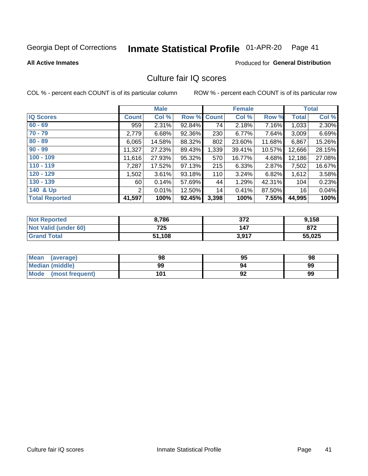### Inmate Statistical Profile 01-APR-20 Page 41

**All Active Inmates** 

## **Produced for General Distribution**

# Culture fair IQ scores

COL % - percent each COUNT is of its particular column

|                       |                | <b>Male</b> |                    |       | <b>Female</b> |        |              | <b>Total</b> |
|-----------------------|----------------|-------------|--------------------|-------|---------------|--------|--------------|--------------|
| <b>IQ Scores</b>      | <b>Count</b>   | Col %       | <b>Row % Count</b> |       | Col %         | Row %  | <b>Total</b> | Col %        |
| $60 - 69$             | 959            | 2.31%       | 92.84%             | 74    | 2.18%         | 7.16%  | 1,033        | 2.30%        |
| $70 - 79$             | 2,779          | 6.68%       | 92.36%             | 230   | 6.77%         | 7.64%  | 3,009        | 6.69%        |
| $80 - 89$             | 6,065          | 14.58%      | 88.32%             | 802   | 23.60%        | 11.68% | 6,867        | 15.26%       |
| $90 - 99$             | 11,327         | 27.23%      | 89.43%             | 1,339 | 39.41%        | 10.57% | 12,666       | 28.15%       |
| $100 - 109$           | 11,616         | 27.93%      | $95.32\%$          | 570   | 16.77%        | 4.68%  | 12,186       | 27.08%       |
| $110 - 119$           | 7,287          | 17.52%      | $97.13\%$          | 215   | 6.33%         | 2.87%  | 7,502        | 16.67%       |
| $120 - 129$           | 1,502          | 3.61%       | 93.18%             | 110   | 3.24%         | 6.82%  | 1,612        | 3.58%        |
| $130 - 139$           | 60 l           | 0.14%       | 57.69%             | 44    | 1.29%         | 42.31% | 104          | 0.23%        |
| 140 & Up              | $\overline{2}$ | 0.01%       | 12.50%             | 14    | 0.41%         | 87.50% | 16           | 0.04%        |
| <b>Total Reported</b> | 41,597         | 100%        | 92.45%             | 3,398 | 100%          | 7.55%  | 44,995       | 100%         |

| <b>Not Reported</b>         | 8,786  | 372   | 9,158  |
|-----------------------------|--------|-------|--------|
| <b>Not Valid (under 60)</b> | 725    | 147   | 872    |
| <b>Grand Total</b>          | 51,108 | 3,917 | 55,025 |

| <b>Mean</b><br>(average) | 98  | 95 | 98 |
|--------------------------|-----|----|----|
| <b>Median (middle)</b>   | 99  | 94 | 99 |
| Mode<br>(most frequent)  | 101 | 92 | 99 |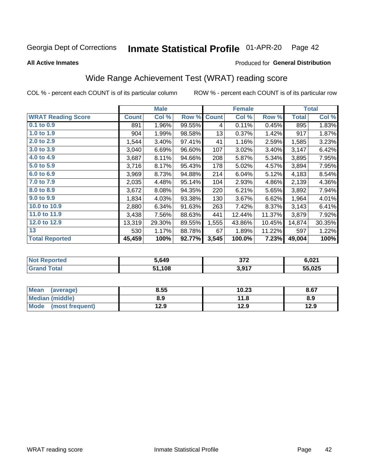### Inmate Statistical Profile 01-APR-20 Page 42

**All Active Inmates** 

### Produced for General Distribution

# Wide Range Achievement Test (WRAT) reading score

COL % - percent each COUNT is of its particular column

|                           |              | <b>Male</b> |        |              | <b>Female</b> |        |              | <b>Total</b> |
|---------------------------|--------------|-------------|--------|--------------|---------------|--------|--------------|--------------|
| <b>WRAT Reading Score</b> | <b>Count</b> | Col %       | Row %  | <b>Count</b> | Col %         | Row %  | <b>Total</b> | Col %        |
| $0.1$ to $0.9$            | 891          | 1.96%       | 99.55% | 4            | 0.11%         | 0.45%  | 895          | 1.83%        |
| 1.0 to 1.9                | 904          | 1.99%       | 98.58% | 13           | 0.37%         | 1.42%  | 917          | 1.87%        |
| 2.0 to 2.9                | 1,544        | 3.40%       | 97.41% | 41           | 1.16%         | 2.59%  | 1,585        | 3.23%        |
| 3.0 to 3.9                | 3,040        | 6.69%       | 96.60% | 107          | 3.02%         | 3.40%  | 3,147        | 6.42%        |
| 4.0 to 4.9                | 3,687        | 8.11%       | 94.66% | 208          | 5.87%         | 5.34%  | 3,895        | 7.95%        |
| 5.0 to 5.9                | 3,716        | 8.17%       | 95.43% | 178          | 5.02%         | 4.57%  | 3,894        | 7.95%        |
| 6.0 to 6.9                | 3,969        | 8.73%       | 94.88% | 214          | 6.04%         | 5.12%  | 4,183        | 8.54%        |
| 7.0 to 7.9                | 2,035        | 4.48%       | 95.14% | 104          | 2.93%         | 4.86%  | 2,139        | 4.36%        |
| 8.0 to 8.9                | 3,672        | 8.08%       | 94.35% | 220          | 6.21%         | 5.65%  | 3,892        | 7.94%        |
| 9.0 to 9.9                | 1,834        | 4.03%       | 93.38% | 130          | 3.67%         | 6.62%  | 1,964        | 4.01%        |
| 10.0 to 10.9              | 2,880        | 6.34%       | 91.63% | 263          | 7.42%         | 8.37%  | 3,143        | 6.41%        |
| 11.0 to 11.9              | 3,438        | 7.56%       | 88.63% | 441          | 12.44%        | 11.37% | 3,879        | 7.92%        |
| 12.0 to 12.9              | 13,319       | 29.30%      | 89.55% | 1,555        | 43.86%        | 10.45% | 14,874       | 30.35%       |
| 13                        | 530          | 1.17%       | 88.78% | 67           | 1.89%         | 11.22% | 597          | 1.22%        |
| <b>Total Reported</b>     | 45,459       | 100%        | 92.77% | 3,545        | 100.0%        | 7.23%  | 49,004       | 100%         |

| <b>Reported</b><br><b>Not F</b> | 649.ز | 272<br>- 21 4           | 6,021  |
|---------------------------------|-------|-------------------------|--------|
| Total<br>'Grano                 | ,108  | <b>3 Q17</b><br><b></b> | 55,025 |

| <b>Mean</b><br>(average) | 8.55 | 10.23 | 8.67 |
|--------------------------|------|-------|------|
| <b>Median (middle)</b>   | 8.9  | 11.8  | 8.9  |
| Mode<br>(most frequent)  | l2.9 | 12.9  | 12.9 |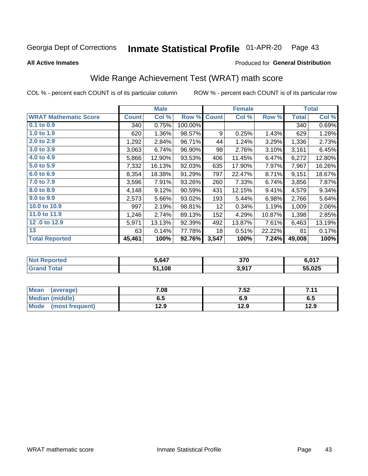### Inmate Statistical Profile 01-APR-20 Page 43

Produced for General Distribution

### **All Active Inmates**

# Wide Range Achievement Test (WRAT) math score

COL % - percent each COUNT is of its particular column

|                              |              | <b>Male</b> |         |                 | <b>Female</b> |        |              | <b>Total</b> |
|------------------------------|--------------|-------------|---------|-----------------|---------------|--------|--------------|--------------|
| <b>WRAT Mathematic Score</b> | <b>Count</b> | Col %       | Row %   | <b>Count</b>    | Col %         | Row %  | <b>Total</b> | Col %        |
| 0.1 to 0.9                   | 340          | 0.75%       | 100.00% |                 |               |        | 340          | 0.69%        |
| 1.0 to 1.9                   | 620          | 1.36%       | 98.57%  | 9               | 0.25%         | 1.43%  | 629          | 1.28%        |
| 2.0 to 2.9                   | 1,292        | 2.84%       | 96.71%  | 44              | 1.24%         | 3.29%  | 1,336        | 2.73%        |
| 3.0 to 3.9                   | 3,063        | 6.74%       | 96.90%  | 98              | 2.76%         | 3.10%  | 3,161        | 6.45%        |
| 4.0 to 4.9                   | 5,866        | 12.90%      | 93.53%  | 406             | 11.45%        | 6.47%  | 6,272        | 12.80%       |
| 5.0 to 5.9                   | 7,332        | 16.13%      | 92.03%  | 635             | 17.90%        | 7.97%  | 7,967        | 16.26%       |
| 6.0 to 6.9                   | 8,354        | 18.38%      | 91.29%  | 797             | 22.47%        | 8.71%  | 9,151        | 18.67%       |
| 7.0 to 7.9                   | 3,596        | 7.91%       | 93.26%  | 260             | 7.33%         | 6.74%  | 3,856        | 7.87%        |
| 8.0 to 8.9                   | 4,148        | 9.12%       | 90.59%  | 431             | 12.15%        | 9.41%  | 4,579        | 9.34%        |
| 9.0 to 9.9                   | 2,573        | 5.66%       | 93.02%  | 193             | 5.44%         | 6.98%  | 2,766        | 5.64%        |
| 10.0 to 10.9                 | 997          | 2.19%       | 98.81%  | 12 <sub>2</sub> | 0.34%         | 1.19%  | 1,009        | 2.06%        |
| 11.0 to 11.9                 | 1,246        | 2.74%       | 89.13%  | 152             | 4.29%         | 10.87% | 1,398        | 2.85%        |
| 12.0 to 12.9                 | 5,971        | 13.13%      | 92.39%  | 492             | 13.87%        | 7.61%  | 6,463        | 13.19%       |
| 13                           | 63           | 0.14%       | 77.78%  | 18              | 0.51%         | 22.22% | 81           | 0.17%        |
| <b>Total Reported</b>        | 45,461       | 100%        | 92.76%  | 3,547           | 100%          | 7.24%  | 49,008       | 100%         |

| <b>Reported</b><br><b>NO</b> t | 5,647 | 370               | 6,017  |
|--------------------------------|-------|-------------------|--------|
| 'otal                          | ,108  | <b>3 Q17</b><br>. | 55,025 |

| Mean<br>(average)    | 7.08 | 7.52 | 711<br>. |
|----------------------|------|------|----------|
| Median (middle)      | ხ. J | 6.9  | 6.5      |
| Mode (most frequent) | 12.9 | 12.9 | 12.9     |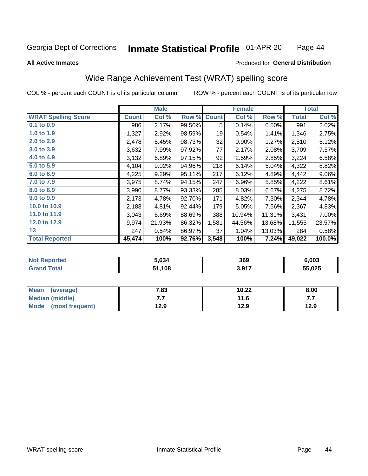### Inmate Statistical Profile 01-APR-20 Page 44

### **All Active Inmates**

### Produced for General Distribution

## Wide Range Achievement Test (WRAT) spelling score

COL % - percent each COUNT is of its particular column

|                            |              | <b>Male</b> |        |              | <b>Female</b> |        |              | <b>Total</b> |
|----------------------------|--------------|-------------|--------|--------------|---------------|--------|--------------|--------------|
| <b>WRAT Spelling Score</b> | <b>Count</b> | Col %       | Row %  | <b>Count</b> | Col %         | Row %  | <b>Total</b> | Col %        |
| 0.1 to 0.9                 | 986          | 2.17%       | 99.50% | 5            | 0.14%         | 0.50%  | 991          | 2.02%        |
| 1.0 to 1.9                 | 1,327        | 2.92%       | 98.59% | 19           | 0.54%         | 1.41%  | 1,346        | 2.75%        |
| 2.0 to 2.9                 | 2,478        | 5.45%       | 98.73% | 32           | 0.90%         | 1.27%  | 2,510        | 5.12%        |
| 3.0 to 3.9                 | 3,632        | 7.99%       | 97.92% | 77           | 2.17%         | 2.08%  | 3,709        | 7.57%        |
| 4.0 to 4.9                 | 3,132        | 6.89%       | 97.15% | 92           | 2.59%         | 2.85%  | 3,224        | 6.58%        |
| 5.0 to 5.9                 | 4,104        | 9.02%       | 94.96% | 218          | 6.14%         | 5.04%  | 4,322        | 8.82%        |
| 6.0 to 6.9                 | 4,225        | 9.29%       | 95.11% | 217          | 6.12%         | 4.89%  | 4,442        | $9.06\%$     |
| 7.0 to 7.9                 | 3,975        | 8.74%       | 94.15% | 247          | 6.96%         | 5.85%  | 4,222        | 8.61%        |
| 8.0 to 8.9                 | 3,990        | 8.77%       | 93.33% | 285          | 8.03%         | 6.67%  | 4,275        | 8.72%        |
| 9.0 to 9.9                 | 2,173        | 4.78%       | 92.70% | 171          | 4.82%         | 7.30%  | 2,344        | 4.78%        |
| 10.0 to 10.9               | 2,188        | 4.81%       | 92.44% | 179          | 5.05%         | 7.56%  | 2,367        | 4.83%        |
| 11.0 to 11.9               | 3,043        | 6.69%       | 88.69% | 388          | 10.94%        | 11.31% | 3,431        | 7.00%        |
| 12.0 to 12.9               | 9,974        | 21.93%      | 86.32% | 1,581        | 44.56%        | 13.68% | 11,555       | 23.57%       |
| 13                         | 247          | 0.54%       | 86.97% | 37           | 1.04%         | 13.03% | 284          | 0.58%        |
| <b>Total Reported</b>      | 45,474       | 100%        | 92.76% | 3,548        | 100%          | 7.24%  | 49,022       | 100.0%       |

| ттес.<br>NO    | 5.634 | 369                  | 6.003  |
|----------------|-------|----------------------|--------|
| $\overline{a}$ | .108  | 2017<br><b>U.JII</b> | 55,025 |

| <b>Mean</b><br>(average) | 7.83 | 10.22 | 8.00 |
|--------------------------|------|-------|------|
| Median (middle)          | .    | 11.6  | .    |
| Mode<br>(most frequent)  | 12.9 | 12.9  | 12.9 |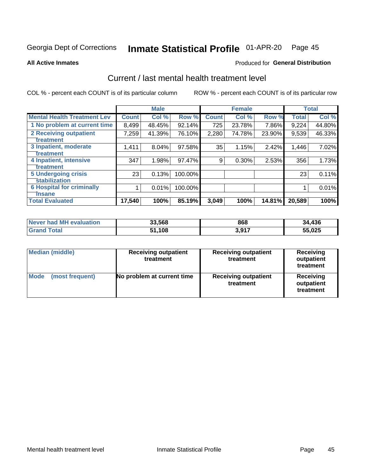### Inmate Statistical Profile 01-APR-20 Page 45

**All Active Inmates** 

## **Produced for General Distribution**

# Current / last mental health treatment level

COL % - percent each COUNT is of its particular column

|                                    |              | <b>Male</b> |           |              | <b>Female</b> |        |              | <b>Total</b> |
|------------------------------------|--------------|-------------|-----------|--------------|---------------|--------|--------------|--------------|
| <b>Mental Health Treatment Lev</b> | <b>Count</b> | Col %       | Row %     | <b>Count</b> | Col %         | Row %  | <b>Total</b> | Col %        |
| 1 No problem at current time       | 8,499        | 48.45%      | $92.14\%$ | 725          | 23.78%        | 7.86%  | 9,224        | 44.80%       |
| 2 Receiving outpatient             | 7,259        | 41.39%      | 76.10%    | 2,280        | 74.78%        | 23.90% | 9,539        | 46.33%       |
| <b>Treatment</b>                   |              |             |           |              |               |        |              |              |
| 3 Inpatient, moderate              | 1,411        | 8.04%       | 97.58%    | 35           | 1.15%         | 2.42%  | 1,446        | 7.02%        |
| Treatment                          |              |             |           |              |               |        |              |              |
| 4 Inpatient, intensive             | 347          | 1.98%       | 97.47%    | 9            | 0.30%         | 2.53%  | 356          | 1.73%        |
| <b>Treatment</b>                   |              |             |           |              |               |        |              |              |
| <b>5 Undergoing crisis</b>         | 23           | 0.13%       | 100.00%   |              |               |        | 23           | 0.11%        |
| <b>stabilization</b>               |              |             |           |              |               |        |              |              |
| <b>6 Hospital for criminally</b>   |              | 0.01%       | 100.00%   |              |               |        |              | 0.01%        |
| <b>Tinsane</b>                     |              |             |           |              |               |        |              |              |
| <b>Total Evaluated</b>             | 17,540       | 100%        | 85.19%    | 3,049        | 100%          | 14.81% | 20,589       | 100%         |

| Never had MH evaluation | 33,568 | 868   | 34,436 |
|-------------------------|--------|-------|--------|
| <b>Grand Total</b>      | 51,108 | 3,917 | 55,025 |

| <b>Median (middle)</b>         | <b>Receiving outpatient</b><br>treatment | <b>Receiving outpatient</b><br>treatment | Receiving<br>outpatient<br>treatment |  |  |
|--------------------------------|------------------------------------------|------------------------------------------|--------------------------------------|--|--|
| <b>Mode</b><br>(most frequent) | No problem at current time               | <b>Receiving outpatient</b><br>treatment | Receiving<br>outpatient<br>treatment |  |  |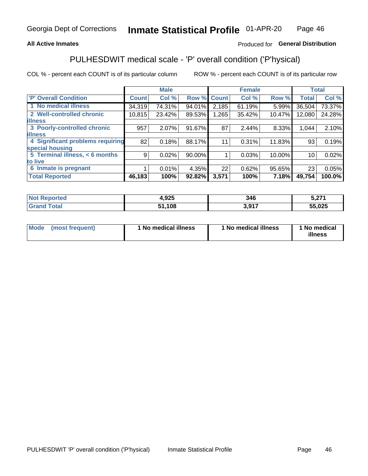## **All Active Inmates**

## Produced for General Distribution

# PULHESDWIT medical scale - 'P' overall condition ('P'hysical)

COL % - percent each COUNT is of its particular column

|                                  |              | <b>Male</b> |        |              | <b>Female</b> |        |              | <b>Total</b> |
|----------------------------------|--------------|-------------|--------|--------------|---------------|--------|--------------|--------------|
| 'P' Overall Condition            | <b>Count</b> | Col %       | Row %  | <b>Count</b> | Col %         | Row %  | <b>Total</b> | Col %        |
| 1 No medical illness             | 34,319       | 74.31%      | 94.01% | 2,185        | 61.19%        | 5.99%  | 36,504       | 73.37%       |
| 2 Well-controlled chronic        | 10,815       | 23.42%      | 89.53% | 1,265        | 35.42%        | 10.47% | 12,080       | 24.28%       |
| <b>lillness</b>                  |              |             |        |              |               |        |              |              |
| 3 Poorly-controlled chronic      | 957          | $2.07\%$    | 91.67% | 87           | 2.44%         | 8.33%  | 1,044        | 2.10%        |
| <b>illness</b>                   |              |             |        |              |               |        |              |              |
| 4 Significant problems requiring | 82           | 0.18%       | 88.17% | 11           | 0.31%         | 11.83% | 93           | 0.19%        |
| special housing                  |              |             |        |              |               |        |              |              |
| 5 Terminal illness, < 6 months   | 9            | 0.02%       | 90.00% |              | 0.03%         | 10.00% | 10           | 0.02%        |
| to live                          |              |             |        |              |               |        |              |              |
| 6 Inmate is pregnant             |              | 0.01%       | 4.35%  | 22           | 0.62%         | 95.65% | 23           | 0.05%        |
| <b>Total Reported</b>            | 46,183       | 100%        | 92.82% | 3,571        | 100%          | 7.18%  | 49,754       | 100.0%       |

| Teo | <b>OOE</b><br>נגע, | 346  | $E = 27$<br><b></b> |
|-----|--------------------|------|---------------------|
|     | ,108               | .017 | 55,025              |

| Mode | (most frequent) | 1 No medical illness | 1 No medical illness | 1 No medical<br>illness |
|------|-----------------|----------------------|----------------------|-------------------------|
|------|-----------------|----------------------|----------------------|-------------------------|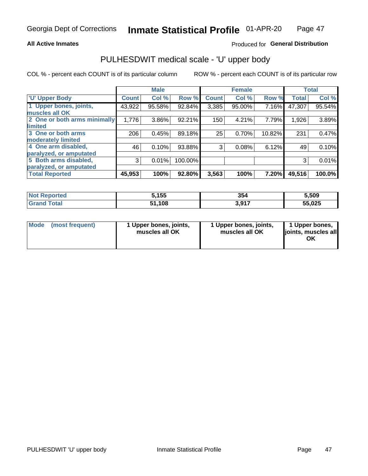### **All Active Inmates**

## Produced for General Distribution

# PULHESDWIT medical scale - 'U' upper body

COL % - percent each COUNT is of its particular column

|                              |              | <b>Male</b> |           |              | <b>Female</b> |        |              | <b>Total</b> |
|------------------------------|--------------|-------------|-----------|--------------|---------------|--------|--------------|--------------|
| <b>U' Upper Body</b>         | <b>Count</b> | Col %       | Row %     | <b>Count</b> | Col %         | Row %  | <b>Total</b> | Col %        |
| 1 Upper bones, joints,       | 43,922       | 95.58%      | 92.84%    | 3,385        | 95.00%        | 7.16%  | 47,307       | 95.54%       |
| muscles all OK               |              |             |           |              |               |        |              |              |
| 2 One or both arms minimally | 1,776        | 3.86%       | $92.21\%$ | 150          | 4.21%         | 7.79%  | 1,926        | 3.89%        |
| limited                      |              |             |           |              |               |        |              |              |
| 3 One or both arms           | 206          | 0.45%       | 89.18%    | 25           | 0.70%         | 10.82% | 231          | 0.47%        |
| <b>moderately limited</b>    |              |             |           |              |               |        |              |              |
| 4 One arm disabled,          | 46           | 0.10%       | 93.88%    | 3            | 0.08%         | 6.12%  | 49           | 0.10%        |
| paralyzed, or amputated      |              |             |           |              |               |        |              |              |
| 5 Both arms disabled,        | 3            | 0.01%       | 100.00%   |              |               |        | 3            | 0.01%        |
| paralyzed, or amputated      |              |             |           |              |               |        |              |              |
| <b>Total Reported</b>        | 45,953       | 100%        | 92.80%    | 3,563        | 100%          | 7.20%  | 49,516       | 100.0%       |

| <b>Not Reported</b> | 5,155        | 354   | 5,509  |
|---------------------|--------------|-------|--------|
| <b>Total</b>        | 51,108<br>54 | 3,917 | 55,025 |

| Mode (most frequent) | 1 Upper bones, joints,<br>muscles all OK | 1 Upper bones, joints,<br>muscles all OK | 1 Upper bones,<br>joints, muscles all<br>ΟK |
|----------------------|------------------------------------------|------------------------------------------|---------------------------------------------|
|----------------------|------------------------------------------|------------------------------------------|---------------------------------------------|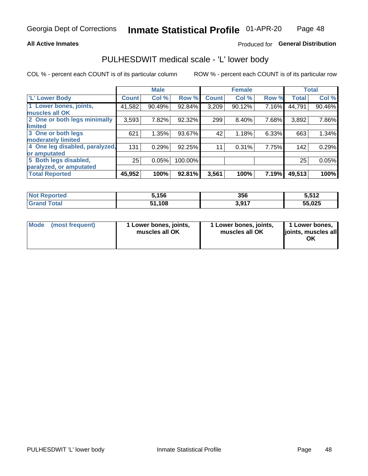### **All Active Inmates**

## Produced for General Distribution

## PULHESDWIT medical scale - 'L' lower body

COL % - percent each COUNT is of its particular column

|                                |               | <b>Male</b> |         |              | <b>Female</b> |       |              | <b>Total</b> |
|--------------------------------|---------------|-------------|---------|--------------|---------------|-------|--------------|--------------|
| 'L' Lower Body                 | <b>Count!</b> | Col %       | Row %   | <b>Count</b> | Col %         | Row % | <b>Total</b> | Col %        |
| 1 Lower bones, joints,         | 41,582        | 90.49%      | 92.84%  | 3,209        | 90.12%        | 7.16% | 44,791       | 90.46%       |
| muscles all OK                 |               |             |         |              |               |       |              |              |
| 2 One or both legs minimally   | 3,593         | 7.82%       | 92.32%  | 299          | 8.40%         | 7.68% | 3,892        | 7.86%        |
| limited                        |               |             |         |              |               |       |              |              |
| 3 One or both legs             | 621           | 1.35%       | 93.67%  | 42           | 1.18%         | 6.33% | 663          | 1.34%        |
| moderately limited             |               |             |         |              |               |       |              |              |
| 4 One leg disabled, paralyzed, | 131           | 0.29%       | 92.25%  | 11           | 0.31%         | 7.75% | 142          | 0.29%        |
| or amputated                   |               |             |         |              |               |       |              |              |
| 5 Both legs disabled,          | 25            | 0.05%       | 100.00% |              |               |       | 25           | 0.05%        |
| paralyzed, or amputated        |               |             |         |              |               |       |              |              |
| <b>Total Reported</b>          | 45,952        | 100%        | 92.81%  | 3,561        | 100%          | 7.19% | 49,513       | 100%         |

| <b>Not Reported</b>   | 5,156  | 356       | 5,512  |
|-----------------------|--------|-----------|--------|
| <b>Total</b><br>Granc | 51,108 | 2017<br>. | 55,025 |

| Mode | (most frequent) | 1 Lower bones, joints,<br>muscles all OK | 1 Lower bones, joints,<br>muscles all OK | 1 Lower bones,<br>joints, muscles all<br>ΟK |
|------|-----------------|------------------------------------------|------------------------------------------|---------------------------------------------|
|------|-----------------|------------------------------------------|------------------------------------------|---------------------------------------------|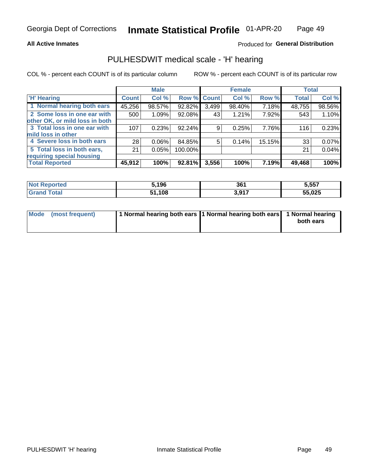### **All Active Inmates**

## Produced for General Distribution

## PULHESDWIT medical scale - 'H' hearing

COL % - percent each COUNT is of its particular column

|                                |              | <b>Male</b> |             |       | <b>Female</b> |        | <b>Total</b> |        |
|--------------------------------|--------------|-------------|-------------|-------|---------------|--------|--------------|--------|
| <b>'H' Hearing</b>             | <b>Count</b> | Col %       | Row % Count |       | Col %         | Row %  | <b>Total</b> | Col %  |
| 1 Normal hearing both ears     | 45,256       | 98.57%      | 92.82%      | 3,499 | 98.40%        | 7.18%  | 48,755       | 98.56% |
| 2 Some loss in one ear with    | 500          | 1.09%       | 92.08%      | 43    | 1.21%         | 7.92%  | 543          | 1.10%  |
| other OK, or mild loss in both |              |             |             |       |               |        |              |        |
| 3 Total loss in one ear with   | 107          | 0.23%       | 92.24%      | 9     | 0.25%         | 7.76%  | 116          | 0.23%  |
| mild loss in other             |              |             |             |       |               |        |              |        |
| 4 Severe loss in both ears     | 28           | 0.06%       | 84.85%      | 5     | 0.14%         | 15.15% | 33           | 0.07%  |
| 5 Total loss in both ears,     | 21           | 0.05%       | 100.00%     |       |               |        | 21           | 0.04%  |
| requiring special housing      |              |             |             |       |               |        |              |        |
| <b>Total Reported</b>          | 45,912       | 100%        | 92.81%      | 3,556 | 100%          | 7.19%  | 49,468       | 100%   |

| ∵norted and  | ,196        | 261<br>ו טע           | 5.557  |
|--------------|-------------|-----------------------|--------|
| <b>Total</b> | .108<br>E4. | 2 Q17<br><b>VIJII</b> | 55,025 |

| Mode (most frequent) | 1 Normal hearing both ears 1 Normal hearing both ears 1 Normal hearing |           |
|----------------------|------------------------------------------------------------------------|-----------|
|                      |                                                                        | both ears |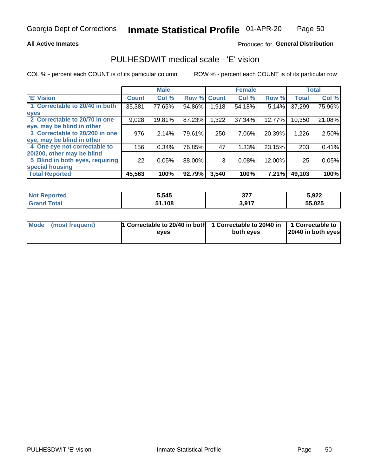### **All Active Inmates**

## Produced for General Distribution

## PULHESDWIT medical scale - 'E' vision

COL % - percent each COUNT is of its particular column

|                                 |              | <b>Male</b> |        |              | <b>Female</b> |        |              | <b>Total</b> |
|---------------------------------|--------------|-------------|--------|--------------|---------------|--------|--------------|--------------|
| 'E' Vision                      | <b>Count</b> | Col %       | Row %  | <b>Count</b> | Col %         | Row %  | <b>Total</b> | Col %        |
| 1 Correctable to 20/40 in both  | 35,381       | 77.65%      | 94.86% | 1,918        | 54.18%        | 5.14%  | 37,299       | 75.96%       |
| eyes                            |              |             |        |              |               |        |              |              |
| 2 Correctable to 20/70 in one   | 9,028        | 19.81%      | 87.23% | 1,322        | 37.34%        | 12.77% | 10,350       | 21.08%       |
| eye, may be blind in other      |              |             |        |              |               |        |              |              |
| 3 Correctable to 20/200 in one  | 976          | 2.14%       | 79.61% | 250          | 7.06%         | 20.39% | 1,226        | 2.50%        |
| eye, may be blind in other      |              |             |        |              |               |        |              |              |
| 4 One eye not correctable to    | 156          | 0.34%       | 76.85% | 47           | 1.33%         | 23.15% | 203          | 0.41%        |
| 20/200, other may be blind      |              |             |        |              |               |        |              |              |
| 5 Blind in both eyes, requiring | 22           | 0.05%       | 88.00% | 3            | 0.08%         | 12.00% | 25           | 0.05%        |
| special housing                 |              |             |        |              |               |        |              |              |
| <b>Total Reported</b>           | 45,563       | 100%        | 92.79% | 3,540        | 100%          | 7.21%  | 49,103       | 100%         |

| <b>Not Reported</b> | 5,545  | 277<br>JI | 5,922  |
|---------------------|--------|-----------|--------|
| <b>Total</b>        | 51,108 | 3,917     | 55,025 |

| Mode (most frequent) | 1 Correctable to 20/40 in both<br>eves | 1 Correctable to 20/40 in   1 Correctable to  <br>both eves | 20/40 in both eyes |
|----------------------|----------------------------------------|-------------------------------------------------------------|--------------------|
|                      |                                        |                                                             |                    |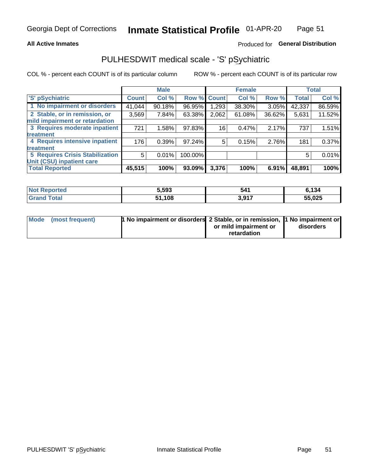### **All Active Inmates**

## Produced for General Distribution

# PULHESDWIT medical scale - 'S' pSychiatric

COL % - percent each COUNT is of its particular column

|                                        |              | <b>Male</b> |         |              | <b>Female</b> |          |              | <b>Total</b> |
|----------------------------------------|--------------|-------------|---------|--------------|---------------|----------|--------------|--------------|
| 'S' pSychiatric                        | <b>Count</b> | Col %       | Row %   | <b>Count</b> | Col %         | Row %    | <b>Total</b> | Col %        |
| 1 No impairment or disorders           | 41,044       | 90.18%      | 96.95%  | .293         | 38.30%        | $3.05\%$ | 42,337       | 86.59%       |
| 2 Stable, or in remission, or          | 3,569        | 7.84%       | 63.38%  | 2,062        | 61.08%        | 36.62%   | 5,631        | 11.52%       |
| mild impairment or retardation         |              |             |         |              |               |          |              |              |
| 3 Requires moderate inpatient          | 721          | 1.58%       | 97.83%  | 16           | 0.47%         | 2.17%    | 737          | 1.51%        |
| treatment                              |              |             |         |              |               |          |              |              |
| 4 Requires intensive inpatient         | 176          | 0.39%       | 97.24%  | 5            | 0.15%         | 2.76%    | 181          | 0.37%        |
| treatment                              |              |             |         |              |               |          |              |              |
| <b>5 Requires Crisis Stabilization</b> | 5            | 0.01%       | 100.00% |              |               |          | 5            | 0.01%        |
| Unit (CSU) inpatient care              |              |             |         |              |               |          |              |              |
| <b>Total Reported</b>                  | 45,515       | 100%        | 93.09%  | 3,376        | 100%          | 6.91%    | 48,891       | 100%         |

| <b>Not Reported</b>   | 5,593  | 541                          | 6,134  |
|-----------------------|--------|------------------------------|--------|
| Total<br><b>Grand</b> | 51,108 | <b>3 Q17</b><br><b>U.JI.</b> | 55,025 |

| Mode (most frequent) | <b>t No impairment or disorders 2 Stable, or in remission, 1 No impairment or</b> |                       |           |
|----------------------|-----------------------------------------------------------------------------------|-----------------------|-----------|
|                      |                                                                                   | or mild impairment or | disorders |
|                      |                                                                                   | retardation           |           |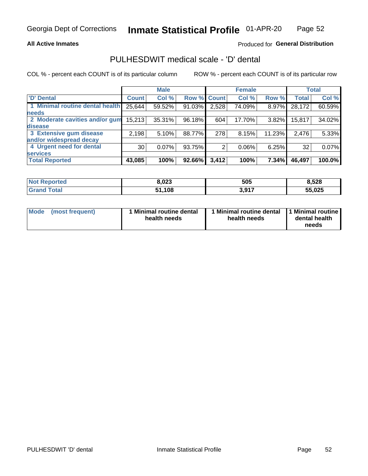### **All Active Inmates**

## Produced for General Distribution

# PULHESDWIT medical scale - 'D' dental

COL % - percent each COUNT is of its particular column

|                                 |                 | <b>Male</b> |        |              | <b>Female</b> |          |              | <b>Total</b> |
|---------------------------------|-----------------|-------------|--------|--------------|---------------|----------|--------------|--------------|
| <b>D'</b> Dental                | <b>Count</b>    | Col %       | Row %  | <b>Count</b> | Col %         | Row %    | <b>Total</b> | Col %        |
| 1 Minimal routine dental health | 25,644          | 59.52%      | 91.03% | 2,528        | 74.09%        | $8.97\%$ | 28,172       | 60.59%       |
| <b>needs</b>                    |                 |             |        |              |               |          |              |              |
| 2 Moderate cavities and/or gum  | 15,213          | 35.31%      | 96.18% | 604          | 17.70%        | $3.82\%$ | 15,817       | 34.02%       |
| disease                         |                 |             |        |              |               |          |              |              |
| 3 Extensive gum disease         | 2,198           | 5.10%       | 88.77% | 278          | 8.15%         | 11.23%   | 2,476        | 5.33%        |
| and/or widespread decay         |                 |             |        |              |               |          |              |              |
| 4 Urgent need for dental        | 30 <sup>1</sup> | $0.07\%$    | 93.75% | 2            | $0.06\%$      | 6.25%    | 32           | 0.07%        |
| <b>services</b>                 |                 |             |        |              |               |          |              |              |
| <b>Total Reported</b>           | 43,085          | 100%        | 92.66% | 3,412        | 100%          | 7.34%    | 46,497       | 100.0%       |

| <b>eported</b><br>NO. | 8,023 | 505   | 8,528  |
|-----------------------|-------|-------|--------|
| <b>otal</b><br>Gr     | ,108  | 3,917 | 55,025 |

| <b>Mode</b> | (most frequent) | <b>Minimal routine dental</b><br>health needs | 1 Minimal routine dental   1 Minimal routine  <br>health needs | dental health<br>needs |
|-------------|-----------------|-----------------------------------------------|----------------------------------------------------------------|------------------------|
|-------------|-----------------|-----------------------------------------------|----------------------------------------------------------------|------------------------|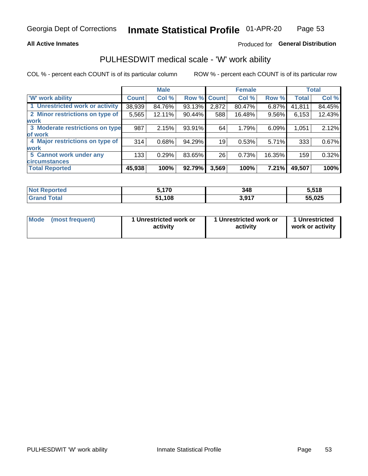### **All Active Inmates**

## Produced for General Distribution

## PULHESDWIT medical scale - 'W' work ability

COL % - percent each COUNT is of its particular column

|                                 |                    | <b>Male</b> |        |             | <b>Female</b> |        |              | <b>Total</b> |
|---------------------------------|--------------------|-------------|--------|-------------|---------------|--------|--------------|--------------|
| 'W' work ability                | Count <sup>1</sup> | Col %       |        | Row % Count | Col %         | Row %  | <b>Total</b> | Col %        |
| 1 Unrestricted work or activity | 38,939             | 84.76%      | 93.13% | 2,872       | 80.47%        | 6.87%  | 41,811       | 84.45%       |
| 2 Minor restrictions on type of | 5,565              | 12.11%      | 90.44% | 588         | 16.48%        | 9.56%  | 6,153        | 12.43%       |
| <b>work</b>                     |                    |             |        |             |               |        |              |              |
| 3 Moderate restrictions on type | 987                | 2.15%       | 93.91% | 64          | 1.79%         | 6.09%  | 1,051        | 2.12%        |
| lof work                        |                    |             |        |             |               |        |              |              |
| 4 Major restrictions on type of | 314                | 0.68%       | 94.29% | 19          | 0.53%         | 5.71%  | 333          | 0.67%        |
| <b>work</b>                     |                    |             |        |             |               |        |              |              |
| 5 Cannot work under any         | 133                | 0.29%       | 83.65% | 26          | 0.73%         | 16.35% | 159          | 0.32%        |
| <b>circumstances</b>            |                    |             |        |             |               |        |              |              |
| <b>Total Reported</b>           | 45,938             | 100%        | 92.79% | 3,569       | 100%          | 7.21%  | 49,507       | 100%         |

| <b>Not Reported</b>            | .170        | 348   | 5,518  |
|--------------------------------|-------------|-------|--------|
| <b>Total</b><br><b>Grand</b> . | 1,108<br>54 | 3,917 | 55,025 |

| Mode            | 1 Unrestricted work or | 1 Unrestricted work or | 1 Unrestricted   |
|-----------------|------------------------|------------------------|------------------|
| (most frequent) | activity               | activity               | work or activity |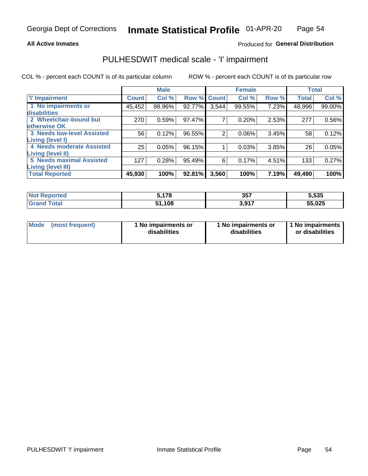### **All Active Inmates**

## Produced for General Distribution

# PULHESDWIT medical scale - 'I' impairment

COL % - percent each COUNT is of its particular column ROW % - percent each COUNT is of its particular row

|                            |              | <b>Male</b> |             |       | <b>Female</b> |       |              | <b>Total</b> |
|----------------------------|--------------|-------------|-------------|-------|---------------|-------|--------------|--------------|
| 'l' Impairment             | <b>Count</b> | Col %       | Row % Count |       | Col %         | Row % | <b>Total</b> | Col %        |
| 1 No impairments or        | 45,452       | 98.96%      | 92.77%      | 3,544 | 99.55%        | 7.23% | 48,996       | 99.00%       |
| disabilities               |              |             |             |       |               |       |              |              |
| 2 Wheelchair-bound but     | 270          | 0.59%       | 97.47%      |       | 0.20%         | 2.53% | 277          | 0.56%        |
| otherwise OK               |              |             |             |       |               |       |              |              |
| 3 Needs low-level Assisted | 56           | 0.12%       | 96.55%      | 2     | 0.06%         | 3.45% | 58           | 0.12%        |
| Living (level I)           |              |             |             |       |               |       |              |              |
| 4 Needs moderate Assisted  | 25           | 0.05%       | 96.15%      |       | 0.03%         | 3.85% | 26           | 0.05%        |
| <b>Living (level II)</b>   |              |             |             |       |               |       |              |              |
| 5 Needs maximal Assisted   | 127          | 0.28%       | 95.49%      | 6     | 0.17%         | 4.51% | 133          | 0.27%        |
| <b>Living (level III)</b>  |              |             |             |       |               |       |              |              |
| <b>Total Reported</b>      | 45,930       | 100%        | 92.81%      | 3,560 | 100%          | 7.19% | 49,490       | 100%         |

| Reported<br><b>NOT</b> | 5.178 | 357         | 5,535  |
|------------------------|-------|-------------|--------|
| `otal                  | ,108  | <b>2017</b> | 55,025 |

| Mode | (most frequent) | 1 No impairments or<br>disabilities | 1 No impairments or<br>disabilities | 1 No impairments<br>or disabilities |
|------|-----------------|-------------------------------------|-------------------------------------|-------------------------------------|
|------|-----------------|-------------------------------------|-------------------------------------|-------------------------------------|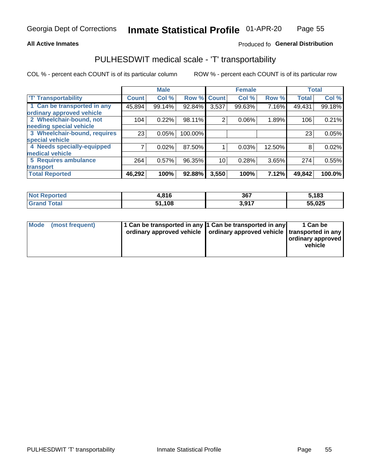### **All Active Inmates**

## Produced fo General Distribution

# PULHESDWIT medical scale - 'T' transportability

COL % - percent each COUNT is of its particular column

|                              |              | <b>Male</b> |         |              | <b>Female</b> |        |              | <b>Total</b> |
|------------------------------|--------------|-------------|---------|--------------|---------------|--------|--------------|--------------|
| <b>T' Transportability</b>   | <b>Count</b> | Col %       | Row %   | <b>Count</b> | Col %         | Row %  | <b>Total</b> | Col %        |
| 1 Can be transported in any  | 45,894       | 99.14%      | 92.84%  | 3,537        | 99.63%        | 7.16%  | 49,431       | 99.18%       |
| ordinary approved vehicle    |              |             |         |              |               |        |              |              |
| 2 Wheelchair-bound, not      | 104          | 0.22%       | 98.11%  | 2            | 0.06%         | 1.89%  | 106          | 0.21%        |
| needing special vehicle      |              |             |         |              |               |        |              |              |
| 3 Wheelchair-bound, requires | 23           | 0.05%       | 100.00% |              |               |        | 23           | 0.05%        |
| special vehicle              |              |             |         |              |               |        |              |              |
| 4 Needs specially-equipped   |              | 0.02%       | 87.50%  |              | 0.03%         | 12.50% | 8            | 0.02%        |
| medical vehicle              |              |             |         |              |               |        |              |              |
| <b>5 Requires ambulance</b>  | 264          | 0.57%       | 96.35%  | 10           | 0.28%         | 3.65%  | 274          | 0.55%        |
| transport                    |              |             |         |              |               |        |              |              |
| <b>Total Reported</b>        | 46,292       | 100%        | 92.88%  | 3,550        | 100%          | 7.12%  | 49,842       | 100.0%       |

| ported     | 04C<br>ΠО<br>ŀ.O | 367             | 5,183  |
|------------|------------------|-----------------|--------|
| <b>ota</b> | .108             | <b>2017</b><br> | 55,025 |

|  | Mode (most frequent) | 1 Can be transported in any 1 Can be transported in any<br>ordinary approved vehicle   ordinary approved vehicle   transported in any |  | 1 Can be<br>  ordinary approved  <br>vehicle |
|--|----------------------|---------------------------------------------------------------------------------------------------------------------------------------|--|----------------------------------------------|
|--|----------------------|---------------------------------------------------------------------------------------------------------------------------------------|--|----------------------------------------------|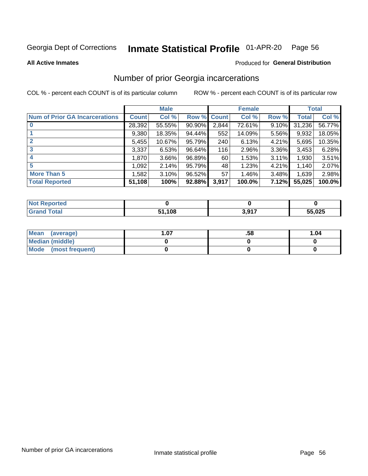### Inmate Statistical Profile 01-APR-20 Page 56

**All Active Inmates** 

## **Produced for General Distribution**

## Number of prior Georgia incarcerations

COL % - percent each COUNT is of its particular column

|                                       |        | <b>Male</b> |             |       | <b>Female</b> |       |        | <b>Total</b> |
|---------------------------------------|--------|-------------|-------------|-------|---------------|-------|--------|--------------|
| <b>Num of Prior GA Incarcerations</b> | Count  | Col %       | Row % Count |       | Col %         | Row % | Total  | Col %        |
|                                       | 28,392 | 55.55%      | $90.90\%$   | 2,844 | 72.61%        | 9.10% | 31,236 | 56.77%       |
|                                       | 9,380  | 18.35%      | 94.44%      | 552   | 14.09%        | 5.56% | 9,932  | 18.05%       |
| $\overline{2}$                        | 5,455  | 10.67%      | 95.79%      | 240   | 6.13%         | 4.21% | 5,695  | 10.35%       |
| 3                                     | 3,337  | 6.53%       | $96.64\%$   | 116   | 2.96%         | 3.36% | 3,453  | 6.28%        |
| $\boldsymbol{4}$                      | 1,870  | 3.66%       | 96.89%      | 60    | 1.53%         | 3.11% | 1,930  | 3.51%        |
| 5                                     | 1,092  | 2.14%       | 95.79%      | 48    | 1.23%         | 4.21% | 1,140  | 2.07%        |
| <b>More Than 5</b>                    | 1.582  | 3.10%       | 96.52%      | 57    | 1.46%         | 3.48% | 1,639  | 2.98%        |
| <b>Total Reported</b>                 | 51,108 | 100%        | 92.88%      | 3,917 | 100.0%        | 7.12% | 55,025 | 100.0%       |

| orted<br>NO.      |      |       |        |
|-------------------|------|-------|--------|
| <b>otal</b><br>Gr | ,108 | 2 Q17 | 55,025 |

| Mean (average)       | .07 | .58 | 1.04 |
|----------------------|-----|-----|------|
| Median (middle)      |     |     |      |
| Mode (most frequent) |     |     |      |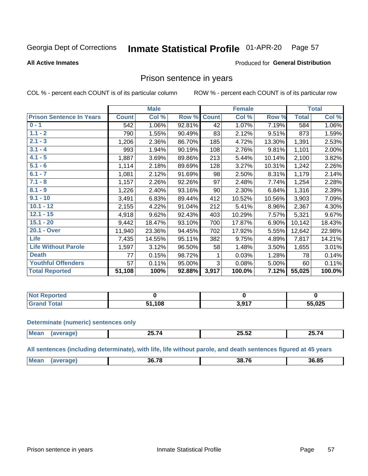#### Inmate Statistical Profile 01-APR-20 Page 57

### **All Active Inmates**

# Produced for General Distribution

## Prison sentence in years

COL % - percent each COUNT is of its particular column

ROW % - percent each COUNT is of its particular row

|                                 |              | <b>Male</b> |        |              | <b>Female</b> |        |              | <b>Total</b> |
|---------------------------------|--------------|-------------|--------|--------------|---------------|--------|--------------|--------------|
| <b>Prison Sentence In Years</b> | <b>Count</b> | Col %       | Row %  | <b>Count</b> | Col %         | Row %  | <b>Total</b> | Col %        |
| $0 - 1$                         | 542          | 1.06%       | 92.81% | 42           | 1.07%         | 7.19%  | 584          | 1.06%        |
| $1.1 - 2$                       | 790          | 1.55%       | 90.49% | 83           | 2.12%         | 9.51%  | 873          | 1.59%        |
| $2.1 - 3$                       | 1,206        | 2.36%       | 86.70% | 185          | 4.72%         | 13.30% | 1,391        | 2.53%        |
| $3.1 - 4$                       | 993          | 1.94%       | 90.19% | 108          | 2.76%         | 9.81%  | 1,101        | 2.00%        |
| $4.1 - 5$                       | 1,887        | 3.69%       | 89.86% | 213          | 5.44%         | 10.14% | 2,100        | 3.82%        |
| $5.1 - 6$                       | 1,114        | 2.18%       | 89.69% | 128          | 3.27%         | 10.31% | 1,242        | 2.26%        |
| $6.1 - 7$                       | 1,081        | 2.12%       | 91.69% | 98           | 2.50%         | 8.31%  | 1,179        | 2.14%        |
| $7.1 - 8$                       | 1,157        | 2.26%       | 92.26% | 97           | 2.48%         | 7.74%  | 1,254        | 2.28%        |
| $8.1 - 9$                       | 1,226        | 2.40%       | 93.16% | 90           | 2.30%         | 6.84%  | 1,316        | 2.39%        |
| $9.1 - 10$                      | 3,491        | 6.83%       | 89.44% | 412          | 10.52%        | 10.56% | 3,903        | 7.09%        |
| $10.1 - 12$                     | 2,155        | 4.22%       | 91.04% | 212          | 5.41%         | 8.96%  | 2,367        | 4.30%        |
| $12.1 - 15$                     | 4,918        | 9.62%       | 92.43% | 403          | 10.29%        | 7.57%  | 5,321        | 9.67%        |
| $15.1 - 20$                     | 9,442        | 18.47%      | 93.10% | 700          | 17.87%        | 6.90%  | 10,142       | 18.43%       |
| 20.1 - Over                     | 11,940       | 23.36%      | 94.45% | 702          | 17.92%        | 5.55%  | 12,642       | 22.98%       |
| <b>Life</b>                     | 7,435        | 14.55%      | 95.11% | 382          | 9.75%         | 4.89%  | 7,817        | 14.21%       |
| <b>Life Without Parole</b>      | 1,597        | 3.12%       | 96.50% | 58           | 1.48%         | 3.50%  | 1,655        | 3.01%        |
| <b>Death</b>                    | 77           | 0.15%       | 98.72% |              | 0.03%         | 1.28%  | 78           | 0.14%        |
| <b>Youthful Offenders</b>       | 57           | 0.11%       | 95.00% | 3            | 0.08%         | 5.00%  | 60           | 0.11%        |
| <b>Total Reported</b>           | 51,108       | 100%        | 92.88% | 3,917        | 100.0%        | 7.12%  | 55,025       | 100.0%       |

| $\mathop{?}$ eportea<br>I NOT |      |                         |        |
|-------------------------------|------|-------------------------|--------|
|                               | .108 | <b>2017</b><br>J.J<br>. | 55,025 |

### **Determinate (numeric) sentences only**

| ' Mea<br>$\cdots$ | -- - -<br><u>. v. l</u><br>____ | --<br>--<br>--<br>ZJ.JZ | ----<br>ግዱ ነ<br>,,<br>. |
|-------------------|---------------------------------|-------------------------|-------------------------|
|                   |                                 |                         |                         |

All sentences (including determinate), with life, life without parole, and death sentences figured at 45 years

| $M\Omega$ : | .78<br>.sn | 38.76 | אם אנ |
|-------------|------------|-------|-------|
|             |            |       |       |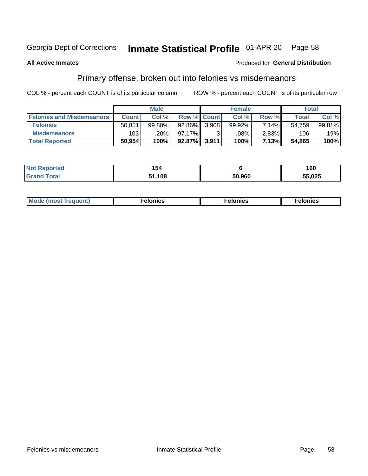#### Inmate Statistical Profile 01-APR-20 Page 58

### **All Active Inmates**

### Produced for General Distribution

# Primary offense, broken out into felonies vs misdemeanors

COL % - percent each COUNT is of its particular column

|                                  | <b>Male</b>  |        |             | <b>Female</b> |         |          | Total  |           |
|----------------------------------|--------------|--------|-------------|---------------|---------|----------|--------|-----------|
| <b>Felonies and Misdemeanors</b> | <b>Count</b> | Col %  | Row % Count |               | Col %   | Row %    | Total  | Col %     |
| <b>Felonies</b>                  | 50,851       | 99.80% | 92.86%      | 3.908         | 99.92%  | $7.14\%$ | 54,759 | $99.81\%$ |
| <b>Misdemeanors</b>              | 103          | .20%   | 97.17%      |               | $.08\%$ | $2.83\%$ | 106    | .19%      |
| <b>Total Reported</b>            | 50,954       | 100%   | 92.87%      | 3,911         | 100%    | 7.13%    | 54,865 | 100%      |

| <b>Not Reported</b>   | 154         |        | 160    |
|-----------------------|-------------|--------|--------|
| <b>Grand</b><br>⊺otal | 1,108<br>-4 | 50,960 | 55,025 |

| M      | .    | nes | onies |
|--------|------|-----|-------|
| nuenti | ____ | .   | .     |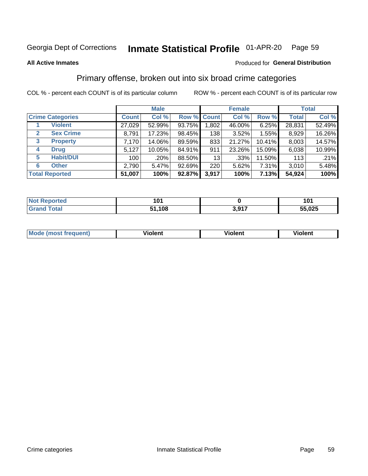#### Inmate Statistical Profile 01-APR-20 Page 59

### **All Active Inmates**

### Produced for General Distribution

## Primary offense, broken out into six broad crime categories

COL % - percent each COUNT is of its particular column

|                                  | <b>Male</b>  |        |        | <b>Female</b> |        |        | <b>Total</b> |        |
|----------------------------------|--------------|--------|--------|---------------|--------|--------|--------------|--------|
| <b>Crime Categories</b>          | <b>Count</b> | Col %  |        | Row % Count   | Col %  | Row %  | <b>Total</b> | Col %  |
| <b>Violent</b>                   | 27,029       | 52.99% | 93.75% | 1,802         | 46.00% | 6.25%  | 28,831       | 52.49% |
| <b>Sex Crime</b><br>$\mathbf{2}$ | 8,791        | 17.23% | 98.45% | 138           | 3.52%  | 1.55%  | 8,929        | 16.26% |
| 3<br><b>Property</b>             | 7,170        | 14.06% | 89.59% | 833           | 21.27% | 10.41% | 8,003        | 14.57% |
| <b>Drug</b><br>4                 | 5,127        | 10.05% | 84.91% | 911           | 23.26% | 15.09% | 6,038        | 10.99% |
| <b>Habit/DUI</b><br>5            | 100          | .20%   | 88.50% | 13            | .33%   | 11.50% | 113          | .21%   |
| <b>Other</b><br>6                | 2,790        | 5.47%  | 92.69% | 220           | 5.62%  | 7.31%  | 3,010        | 5.48%  |
| <b>Total Reported</b>            | 51,007       | 100%   | 92.87% | 3,917         | 100%   | 7.13%  | 54,924       | 100%   |

| rtea<br>NO | n.         |                 | 1 N 1<br>1 V I |
|------------|------------|-----------------|----------------|
| Ento.      | 108<br>E 4 | 2017<br><b></b> | 55,025         |

| M | - --<br>100011 | .<br><b>VIOIGIIL</b> | 1.91311 |
|---|----------------|----------------------|---------|
|   |                |                      |         |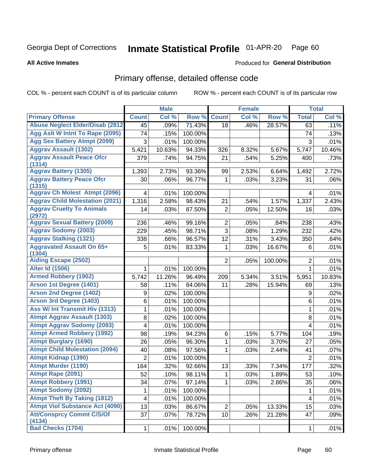#### Inmate Statistical Profile 01-APR-20 Page 60

**All Active Inmates** 

### Produced for General Distribution

# Primary offense, detailed offense code

COL % - percent each COUNT is of its particular column

|                                            |                | <b>Male</b> |         |                | <b>Female</b> |         |                | <b>Total</b> |
|--------------------------------------------|----------------|-------------|---------|----------------|---------------|---------|----------------|--------------|
| <b>Primary Offense</b>                     | <b>Count</b>   | Col %       | Row %   | <b>Count</b>   | Col %         | Row %   | <b>Total</b>   | Col %        |
| <b>Abuse Neglect Elder/Disab (2812)</b>    | 45             | .09%        | 71.43%  | 18             | .46%          | 28.57%  | 63             | .11%         |
| Agg Aslt W Intnt To Rape (2095)            | 74             | .15%        | 100.00% |                |               |         | 74             | .13%         |
| <b>Agg Sex Battery Atmpt (2099)</b>        | 3              | .01%        | 100.00% |                |               |         | 3              | .01%         |
| <b>Aggrav Assault (1302)</b>               | 5,421          | 10.63%      | 94.33%  | 326            | 8.32%         | 5.67%   | 5,747          | 10.46%       |
| <b>Aggrav Assault Peace Ofcr</b>           | 379            | .74%        | 94.75%  | 21             | .54%          | 5.25%   | 400            | .73%         |
| (1314)                                     |                |             |         |                |               |         |                |              |
| <b>Aggrav Battery (1305)</b>               | 1,393          | 2.73%       | 93.36%  | 99             | 2.53%         | 6.64%   | 1,492          | 2.72%        |
| <b>Aggrav Battery Peace Ofcr</b><br>(1315) | 30             | .06%        | 96.77%  | 1              | .03%          | 3.23%   | 31             | .06%         |
| <b>Aggrav Ch Molest Atmpt (2096)</b>       | 4              | .01%        | 100.00% |                |               |         | 4              | .01%         |
| <b>Aggrav Child Molestation (2021)</b>     | 1,316          | 2.58%       | 98.43%  | 21             | .54%          | 1.57%   | 1,337          | 2.43%        |
| <b>Aggrav Cruelty To Animals</b>           | 14             | .03%        | 87.50%  | 2              | .05%          | 12.50%  | 16             | .03%         |
| (2972)                                     |                |             |         |                |               |         |                |              |
| <b>Aggrav Sexual Battery (2009)</b>        | 236            | .46%        | 99.16%  | $\overline{2}$ | .05%          | .84%    | 238            | .43%         |
| <b>Aggrav Sodomy (2003)</b>                | 229            | .45%        | 98.71%  | 3              | .08%          | 1.29%   | 232            | .42%         |
| <b>Aggrav Stalking (1321)</b>              | 338            | .66%        | 96.57%  | 12             | .31%          | 3.43%   | 350            | .64%         |
| <b>Aggravated Assault On 65+</b><br>(1304) | 5              | .01%        | 83.33%  | 1              | .03%          | 16.67%  | 6              | .01%         |
| <b>Aiding Escape (2502)</b>                |                |             |         | $\overline{2}$ | .05%          | 100.00% | $\overline{2}$ | .01%         |
| <b>Alter Id (1506)</b>                     | 1              | .01%        | 100.00% |                |               |         | $\mathbf{1}$   | .01%         |
| <b>Armed Robbery (1902)</b>                | 5,742          | 11.26%      | 96.49%  | 209            | 5.34%         | 3.51%   | 5,951          | 10.83%       |
| Arson 1st Degree (1401)                    | 58             | .11%        | 84.06%  | 11             | .28%          | 15.94%  | 69             | .13%         |
| <b>Arson 2nd Degree (1402)</b>             | 9              | .02%        | 100.00% |                |               |         | 9              | .02%         |
| <b>Arson 3rd Degree (1403)</b>             | 6              | .01%        | 100.00% |                |               |         | 6              | .01%         |
| Ass W/ Int Transmit Hiv (1313)             | 1              | .01%        | 100.00% |                |               |         | $\mathbf{1}$   | .01%         |
| <b>Atmpt Aggrav Assault (1303)</b>         | 8              | .02%        | 100.00% |                |               |         | 8              | .01%         |
| <b>Atmpt Aggrav Sodomy (2093)</b>          | 4              | .01%        | 100.00% |                |               |         | 4              | .01%         |
| <b>Atmpt Armed Robbery (1992)</b>          | 98             | .19%        | 94.23%  | 6              | .15%          | 5.77%   | 104            | .19%         |
| <b>Atmpt Burglary (1690)</b>               | 26             | .05%        | 96.30%  | $\mathbf{1}$   | .03%          | 3.70%   | 27             | .05%         |
| <b>Atmpt Child Molestation (2094)</b>      | 40             | .08%        | 97.56%  | 1              | .03%          | 2.44%   | 41             | .07%         |
| <b>Atmpt Kidnap (1390)</b>                 | $\overline{2}$ | .01%        | 100.00% |                |               |         | $\overline{2}$ | .01%         |
| <b>Atmpt Murder (1190)</b>                 | 164            | .32%        | 92.66%  | 13             | .33%          | 7.34%   | 177            | .32%         |
| Atmpt Rape (2091)                          | 52             | .10%        | 98.11%  | $\overline{1}$ | .03%          | 1.89%   | 53             | .10%         |
| <b>Atmpt Robbery (1991)</b>                | 34             | .07%        | 97.14%  | 1              | .03%          | 2.86%   | 35             | .06%         |
| <b>Atmpt Sodomy (2092)</b>                 | 1              | .01%        | 100.00% |                |               |         | 1              | .01%         |
| <b>Atmpt Theft By Taking (1812)</b>        | 4              | .01%        | 100.00% |                |               |         | 4              | .01%         |
| <b>Atmpt Viol Substance Act (4090)</b>     | 13             | .03%        | 86.67%  | $\overline{2}$ | .05%          | 13.33%  | 15             | .03%         |
| <b>Att/Consprcy Commt C/S/Of</b><br>(4134) | 37             | .07%        | 78.72%  | 10             | .26%          | 21.28%  | 47             | .09%         |
| <b>Bad Checks (1704)</b>                   | $\mathbf{1}$   | .01%        | 100.00% |                |               |         | 1              | .01%         |
|                                            |                |             |         |                |               |         |                |              |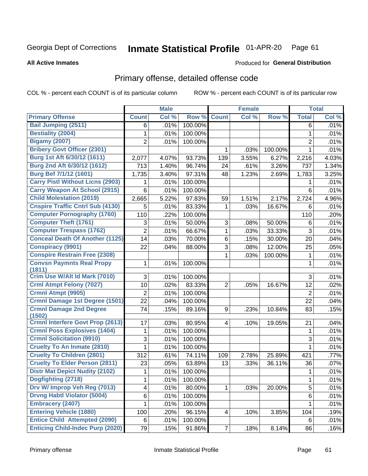#### Inmate Statistical Profile 01-APR-20 Page 61

**All Active Inmates** 

### Produced for General Distribution

# Primary offense, detailed offense code

COL % - percent each COUNT is of its particular column

|                                            |                | <b>Male</b> |         |                | <b>Female</b> |         |                | <b>Total</b> |
|--------------------------------------------|----------------|-------------|---------|----------------|---------------|---------|----------------|--------------|
| <b>Primary Offense</b>                     | <b>Count</b>   | Col %       | Row %   | <b>Count</b>   | Col %         | Row %   | <b>Total</b>   | Col %        |
| <b>Bail Jumping (2511)</b>                 | 6              | .01%        | 100.00% |                |               |         | 6              | .01%         |
| <b>Bestiality (2004)</b>                   | 1              | .01%        | 100.00% |                |               |         | 1              | .01%         |
| <b>Bigamy (2007)</b>                       | $\overline{2}$ | .01%        | 100.00% |                |               |         | $\overline{2}$ | .01%         |
| <b>Bribery Govt Officer (2301)</b>         |                |             |         | 1              | .03%          | 100.00% | $\mathbf{1}$   | .01%         |
| Burg 1st Aft 6/30/12 (1611)                | 2,077          | 4.07%       | 93.73%  | 139            | 3.55%         | 6.27%   | 2,216          | 4.03%        |
| Burg 2nd Aft 6/30/12 (1612)                | 713            | 1.40%       | 96.74%  | 24             | .61%          | 3.26%   | 737            | 1.34%        |
| Burg Bef 7/1/12 (1601)                     | 1,735          | 3.40%       | 97.31%  | 48             | 1.23%         | 2.69%   | 1,783          | 3.25%        |
| <b>Carry Pistl Without Licns (2903)</b>    | 1              | .01%        | 100.00% |                |               |         | 1              | .01%         |
| <b>Carry Weapon At School (2915)</b>       | $6\phantom{a}$ | .01%        | 100.00% |                |               |         | 6              | .01%         |
| <b>Child Molestation (2019)</b>            | 2,665          | 5.22%       | 97.83%  | 59             | 1.51%         | 2.17%   | 2,724          | 4.96%        |
| <b>Cnspire Traffic Cntrl Sub (4130)</b>    | 5              | .01%        | 83.33%  | 1              | .03%          | 16.67%  | 6              | .01%         |
| <b>Computer Pornography (1760)</b>         | 110            | .22%        | 100.00% |                |               |         | 110            | .20%         |
| <b>Computer Theft (1761)</b>               | 3              | .01%        | 50.00%  | 3              | .08%          | 50.00%  | 6              | .01%         |
| <b>Computer Trespass (1762)</b>            | $\overline{2}$ | .01%        | 66.67%  | 1              | .03%          | 33.33%  | 3              | .01%         |
| <b>Conceal Death Of Another (1125)</b>     | 14             | .03%        | 70.00%  | 6              | .15%          | 30.00%  | 20             | .04%         |
| <b>Conspiracy (9901)</b>                   | 22             | .04%        | 88.00%  | 3              | .08%          | 12.00%  | 25             | .05%         |
| <b>Conspire Restrain Free (2308)</b>       |                |             |         | 1              | .03%          | 100.00% | 1              | .01%         |
| <b>Convsn Paymnts Real Propy</b><br>(1811) | 1              | .01%        | 100.00% |                |               |         | 1              | .01%         |
| Crim Use W/Alt Id Mark (7010)              | 3              | .01%        | 100.00% |                |               |         | 3              | .01%         |
| <b>Crml Atmpt Felony (7027)</b>            | 10             | .02%        | 83.33%  | $\overline{2}$ | .05%          | 16.67%  | 12             | .02%         |
| <b>Crmnl Atmpt (9905)</b>                  | $\overline{2}$ | .01%        | 100.00% |                |               |         | $\overline{2}$ | .01%         |
| <b>Crmnl Damage 1st Degree (1501)</b>      | 22             | .04%        | 100.00% |                |               |         | 22             | .04%         |
| <b>Crmnl Damage 2nd Degree</b>             | 74             | .15%        | 89.16%  | 9              | .23%          | 10.84%  | 83             | .15%         |
| (1502)                                     |                |             |         |                |               |         |                |              |
| <b>Crmnl Interfere Govt Prop (2613)</b>    | 17             | .03%        | 80.95%  | $\overline{4}$ | .10%          | 19.05%  | 21             | .04%         |
| <b>Crmnl Poss Explosives (1404)</b>        | 1              | .01%        | 100.00% |                |               |         | $\mathbf{1}$   | .01%         |
| <b>Crmnl Solicitation (9910)</b>           | 3              | .01%        | 100.00% |                |               |         | 3              | .01%         |
| <b>Cruelty To An Inmate (2810)</b>         | 1              | .01%        | 100.00% |                |               |         | 1              | .01%         |
| <b>Cruelty To Children (2801)</b>          | 312            | .61%        | 74.11%  | 109            | 2.78%         | 25.89%  | 421            | .77%         |
| <b>Cruelty To Elder Person (2811)</b>      | 23             | .05%        | 63.89%  | 13             | .33%          | 36.11%  | 36             | .07%         |
| <b>Distr Mat Depict Nudity (2102)</b>      | 1              | .01%        | 100.00% |                |               |         | 1              | .01%         |
| Dogfighting (2718)                         | 1              | .01%        | 100.00% |                |               |         | 1              | .01%         |
| Drv W/ Improp Veh Reg (7013)               | 4              | .01%        | 80.00%  | 1              | .03%          | 20.00%  | 5              | .01%         |
| <b>Drvng Habtl Violator (5004)</b>         | 6              | .01%        | 100.00% |                |               |         | 6              | .01%         |
| <b>Embracery (2407)</b>                    | 1              | .01%        | 100.00% |                |               |         | 1              | .01%         |
| <b>Entering Vehicle (1880)</b>             | 100            | .20%        | 96.15%  | 4              | .10%          | 3.85%   | 104            | .19%         |
| <b>Entice Child Attempted (2090)</b>       | $\,6\,$        | .01%        | 100.00% |                |               |         | 6              | .01%         |
| <b>Enticing Child-Indec Purp (2020)</b>    | 79             | .15%        | 91.86%  | $\overline{7}$ | .18%          | 8.14%   | 86             | .16%         |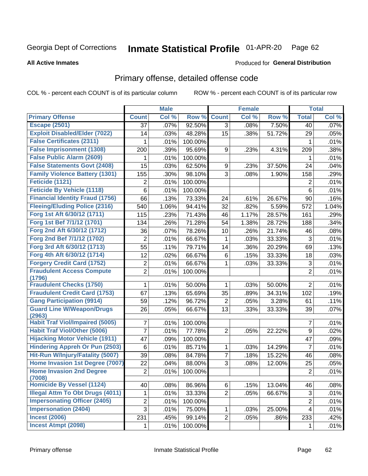### Inmate Statistical Profile 01-APR-20 Page 62

### **All Active Inmates**

### Produced for General Distribution

# Primary offense, detailed offense code

COL % - percent each COUNT is of its particular column

|                                                  |                | <b>Male</b> |         |                | <b>Female</b> |        |                  | <b>Total</b> |
|--------------------------------------------------|----------------|-------------|---------|----------------|---------------|--------|------------------|--------------|
| <b>Primary Offense</b>                           | <b>Count</b>   | Col %       | Row %   | <b>Count</b>   | Col %         | Row %  | <b>Total</b>     | Col %        |
| <b>Escape (2501)</b>                             | 37             | .07%        | 92.50%  | 3              | .08%          | 7.50%  | 40               | .07%         |
| <b>Exploit Disabled/Elder (7022)</b>             | 14             | .03%        | 48.28%  | 15             | .38%          | 51.72% | 29               | .05%         |
| <b>False Certificates (2311)</b>                 | 1              | .01%        | 100.00% |                |               |        | 1                | .01%         |
| <b>False Imprisonment (1308)</b>                 | 200            | .39%        | 95.69%  | 9              | .23%          | 4.31%  | 209              | .38%         |
| <b>False Public Alarm (2609)</b>                 | 1              | .01%        | 100.00% |                |               |        | 1                | .01%         |
| <b>False Statements Govt (2408)</b>              | 15             | .03%        | 62.50%  | 9              | .23%          | 37.50% | 24               | .04%         |
| <b>Family Violence Battery (1301)</b>            | 155            | .30%        | 98.10%  | 3              | .08%          | 1.90%  | 158              | .29%         |
| Feticide (1121)                                  | $\overline{2}$ | .01%        | 100.00% |                |               |        | 2                | .01%         |
| <b>Feticide By Vehicle (1118)</b>                | 6              | .01%        | 100.00% |                |               |        | 6                | .01%         |
| <b>Financial Identity Fraud (1756)</b>           | 66             | .13%        | 73.33%  | 24             | .61%          | 26.67% | 90               | .16%         |
| <b>Fleeing/Eluding Police (2316)</b>             | 540            | 1.06%       | 94.41%  | 32             | .82%          | 5.59%  | 572              | 1.04%        |
| Forg 1st Aft 6/30/12 (1711)                      | 115            | .23%        | 71.43%  | 46             | 1.17%         | 28.57% | 161              | .29%         |
| Forg 1st Bef 7/1/12 (1701)                       | 134            | .26%        | 71.28%  | 54             | 1.38%         | 28.72% | 188              | .34%         |
| Forg 2nd Aft 6/30/12 (1712)                      | 36             | .07%        | 78.26%  | 10             | .26%          | 21.74% | 46               | .08%         |
| Forg 2nd Bef 7/1/12 (1702)                       | $\overline{2}$ | .01%        | 66.67%  | 1              | .03%          | 33.33% | 3                | .01%         |
| Forg 3rd Aft 6/30/12 (1713)                      | 55             | .11%        | 79.71%  | 14             | .36%          | 20.29% | 69               | .13%         |
| Forg 4th Aft 6/30/12 (1714)                      | 12             | .02%        | 66.67%  | 6              | .15%          | 33.33% | 18               | .03%         |
| <b>Forgery Credit Card (1752)</b>                | $\overline{c}$ | .01%        | 66.67%  | 1              | .03%          | 33.33% | $\sqrt{3}$       | .01%         |
| <b>Fraudulent Access Compute</b><br>(1796)       | $\overline{2}$ | .01%        | 100.00% |                |               |        | $\overline{2}$   | .01%         |
| <b>Fraudulent Checks (1750)</b>                  | 1              | .01%        | 50.00%  | 1              | .03%          | 50.00% | $\overline{2}$   | .01%         |
| <b>Fraudulent Credit Card (1753)</b>             | 67             | .13%        | 65.69%  | 35             | .89%          | 34.31% | 102              | .19%         |
| <b>Gang Participation (9914)</b>                 | 59             | .12%        | 96.72%  | $\overline{2}$ | .05%          | 3.28%  | 61               | .11%         |
| <b>Guard Line W/Weapon/Drugs</b>                 | 26             | .05%        | 66.67%  | 13             | .33%          | 33.33% | 39               | .07%         |
| (2963)<br><b>Habit Traf Viol/Impaired (5005)</b> | 7              | .01%        | 100.00% |                |               |        | $\overline{7}$   | .01%         |
| <b>Habit Traf Viol/Other (5006)</b>              | 7              | .01%        | 77.78%  | $\overline{2}$ | .05%          | 22.22% | $\boldsymbol{9}$ | .02%         |
| <b>Hijacking Motor Vehicle (1911)</b>            | 47             | .09%        | 100.00% |                |               |        | 47               | .09%         |
| <b>Hindering Appreh Or Pun (2503)</b>            | 6              | .01%        | 85.71%  | 1              | .03%          | 14.29% | 7                | .01%         |
| Hit-Run W/Injury/Fatality (5007)                 | 39             | .08%        | 84.78%  | 7              | .18%          | 15.22% | 46               | .08%         |
| Home Invasion 1st Degree (7007)                  | 22             | .04%        | 88.00%  | 3              | .08%          | 12.00% | 25               | .05%         |
| <b>Home Invasion 2nd Degree</b>                  | $\overline{2}$ | .01%        | 100.00% |                |               |        | $\overline{2}$   | .01%         |
| (7008)                                           |                |             |         |                |               |        |                  |              |
| <b>Homicide By Vessel (1124)</b>                 | 40             | .08%        | 86.96%  | 6 <sup>1</sup> | .15%          | 13.04% | 46               | .08%         |
| <b>Illegal Attm To Obt Drugs (4011)</b>          | 1              | .01%        | 33.33%  | $\overline{2}$ | .05%          | 66.67% | 3                | .01%         |
| <b>Impersonating Officer (2405)</b>              | $\overline{c}$ | .01%        | 100.00% |                |               |        | $\overline{c}$   | .01%         |
| <b>Impersonation (2404)</b>                      | 3              | .01%        | 75.00%  | 1              | .03%          | 25.00% | $\overline{4}$   | .01%         |
| <b>Incest (2006)</b>                             | 231            | .45%        | 99.14%  | $\overline{2}$ | .05%          | .86%   | 233              | .42%         |
| <b>Incest Atmpt (2098)</b>                       | $\mathbf{1}$   | .01%        | 100.00% |                |               |        | 1                | .01%         |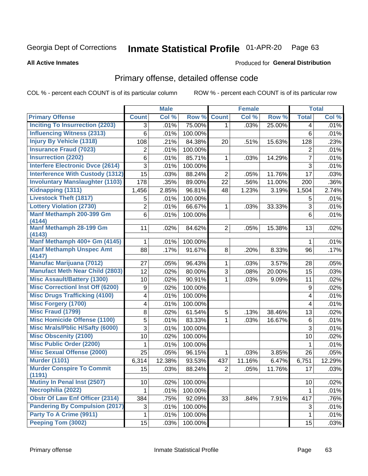### Inmate Statistical Profile 01-APR-20 Page 63

### **All Active Inmates**

### Produced for General Distribution

# Primary offense, detailed offense code

COL % - percent each COUNT is of its particular column

|                                            |              | <b>Male</b> |         |                | <b>Female</b> |        |                | <b>Total</b> |
|--------------------------------------------|--------------|-------------|---------|----------------|---------------|--------|----------------|--------------|
| <b>Primary Offense</b>                     | <b>Count</b> | Col %       | Row %   | <b>Count</b>   | Col %         | Row %  | <b>Total</b>   | Col %        |
| <b>Inciting To Insurrection (2203)</b>     | 3            | .01%        | 75.00%  | $\mathbf{1}$   | .03%          | 25.00% | 4              | .01%         |
| <b>Influencing Witness (2313)</b>          | 6            | .01%        | 100.00% |                |               |        | 6              | .01%         |
| <b>Injury By Vehicle (1318)</b>            | 108          | .21%        | 84.38%  | 20             | .51%          | 15.63% | 128            | .23%         |
| <b>Insurance Fraud (7023)</b>              | 2            | .01%        | 100.00% |                |               |        | 2              | .01%         |
| <b>Insurrection (2202)</b>                 | 6            | .01%        | 85.71%  | 1              | .03%          | 14.29% | $\overline{7}$ | .01%         |
| <b>Interfere Electronic Dvce (2614)</b>    | 3            | .01%        | 100.00% |                |               |        | $\overline{3}$ | .01%         |
| <b>Interference With Custody (1312)</b>    | 15           | .03%        | 88.24%  | $\overline{2}$ | .05%          | 11.76% | 17             | .03%         |
| <b>Involuntary Manslaughter (1103)</b>     | 178          | .35%        | 89.00%  | 22             | .56%          | 11.00% | 200            | .36%         |
| Kidnapping (1311)                          | 1,456        | 2.85%       | 96.81%  | 48             | 1.23%         | 3.19%  | 1,504          | 2.74%        |
| <b>Livestock Theft (1817)</b>              | 5            | .01%        | 100.00% |                |               |        | 5              | .01%         |
| <b>Lottery Violation (2730)</b>            | 2            | .01%        | 66.67%  | 1              | .03%          | 33.33% | $\sqrt{3}$     | .01%         |
| Manf Methamph 200-399 Gm<br>(4144)         | 6            | .01%        | 100.00% |                |               |        | 6              | .01%         |
| Manf Methamph 28-199 Gm<br>(4143)          | 11           | .02%        | 84.62%  | 2              | .05%          | 15.38% | 13             | .02%         |
| Manf Methamph 400+ Gm (4145)               | 1            | .01%        | 100.00% |                |               |        | 1              | .01%         |
| <b>Manf Methamph Unspec Amt</b><br>(4147)  | 88           | .17%        | 91.67%  | 8              | .20%          | 8.33%  | 96             | .17%         |
| <b>Manufac Marijuana (7012)</b>            | 27           | .05%        | 96.43%  | $\mathbf{1}$   | .03%          | 3.57%  | 28             | .05%         |
| <b>Manufact Meth Near Child (2803)</b>     | 12           | .02%        | 80.00%  | 3              | .08%          | 20.00% | 15             | .03%         |
| <b>Misc Assault/Battery (1300)</b>         | 10           | .02%        | 90.91%  | $\mathbf 1$    | .03%          | 9.09%  | 11             | .02%         |
| <b>Misc Correctionl Inst Off (6200)</b>    | 9            | .02%        | 100.00% |                |               |        | 9              | .02%         |
| <b>Misc Drugs Trafficking (4100)</b>       | 4            | .01%        | 100.00% |                |               |        | 4              | .01%         |
| <b>Misc Forgery (1700)</b>                 | 4            | .01%        | 100.00% |                |               |        | 4              | .01%         |
| <b>Misc Fraud (1799)</b>                   | 8            | .02%        | 61.54%  | 5              | .13%          | 38.46% | 13             | .02%         |
| <b>Misc Homicide Offense (1100)</b>        | 5            | .01%        | 83.33%  | 1              | .03%          | 16.67% | 6              | .01%         |
| <b>Misc Mrals/Pblic H/Safty (6000)</b>     | 3            | .01%        | 100.00% |                |               |        | 3              | .01%         |
| <b>Misc Obscenity (2100)</b>               | 10           | .02%        | 100.00% |                |               |        | 10             | .02%         |
| <b>Misc Public Order (2200)</b>            | 1            | .01%        | 100.00% |                |               |        | 1              | .01%         |
| <b>Misc Sexual Offense (2000)</b>          | 25           | .05%        | 96.15%  | $\mathbf 1$    | .03%          | 3.85%  | 26             | .05%         |
| <b>Murder (1101)</b>                       | 6,314        | 12.38%      | 93.53%  | 437            | 11.16%        | 6.47%  | 6,751          | 12.29%       |
| <b>Murder Conspire To Commit</b><br>(1191) | 15           | .03%        | 88.24%  | $\overline{2}$ | .05%          | 11.76% | 17             | .03%         |
| Mutiny In Penal Inst (2507)                | 10           | .02%        | 100.00% |                |               |        | 10             | .02%         |
| Necrophilia (2022)                         | 1            | .01%        | 100.00% |                |               |        | 1              | .01%         |
| <b>Obstr Of Law Enf Officer (2314)</b>     | 384          | .75%        | 92.09%  | 33             | .84%          | 7.91%  | 417            | .76%         |
| <b>Pandering By Compulsion (2017)</b>      | 3            | .01%        | 100.00% |                |               |        | 3              | .01%         |
| Party To A Crime (9911)                    | 1            | .01%        | 100.00% |                |               |        | $\mathbf{1}$   | .01%         |
| Peeping Tom (3002)                         | 15           | .03%        | 100.00% |                |               |        | 15             | .03%         |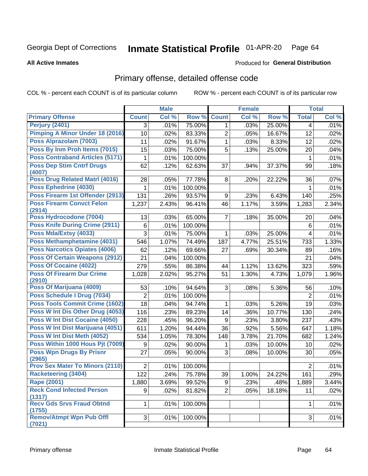### Inmate Statistical Profile 01-APR-20 Page 64

### **All Active Inmates**

# **Produced for General Distribution**

# Primary offense, detailed offense code

COL % - percent each COUNT is of its particular column

|                                                  |                  | <b>Male</b> |         |                | <b>Female</b> |                |                       | <b>Total</b> |
|--------------------------------------------------|------------------|-------------|---------|----------------|---------------|----------------|-----------------------|--------------|
| <b>Primary Offense</b>                           | <b>Count</b>     | Col %       | Row %   | <b>Count</b>   | Col %         | Row %          | <b>Total</b>          | Col %        |
| <b>Perjury (2401)</b>                            | 3                | .01%        | 75.00%  | 1              | .03%          | 25.00%         | 4                     | .01%         |
| <b>Pimping A Minor Under 18 (2016)</b>           | 10               | .02%        | 83.33%  | 2              | .05%          | 16.67%         | 12                    | .02%         |
| Poss Alprazolam (7003)                           | 11               | .02%        | 91.67%  | 1              | .03%          | 8.33%          | 12                    | .02%         |
| Poss By Inm Proh Items (7015)                    | 15               | .03%        | 75.00%  | 5              | .13%          | 25.00%         | 20                    | .04%         |
| <b>Poss Contraband Articles (5171)</b>           | 1                | .01%        | 100.00% |                |               |                | $\mathbf 1$           | .01%         |
| <b>Poss Dep Stim Cntrf Drugs</b><br>(4007)       | 62               | .12%        | 62.63%  | 37             | .94%          | 37.37%         | 99                    | .18%         |
| Poss Drug Related Matrl (4016)                   | 28               | .05%        | 77.78%  | 8              | .20%          | 22.22%         | 36                    | .07%         |
| Poss Ephedrine (4030)                            |                  | .01%        | 100.00% |                |               |                | 1                     | .01%         |
| Poss Firearm 1st Offender (2913)                 | 131              | .26%        | 93.57%  | 9              | .23%          | 6.43%          | 140                   | .25%         |
| <b>Poss Firearm Convct Felon</b><br>(2914)       | 1,237            | 2.43%       | 96.41%  | 46             | 1.17%         | 3.59%          | 1,283                 | 2.34%        |
| Poss Hydrocodone (7004)                          | 13               | .03%        | 65.00%  | 7              | .18%          | 35.00%         | 20                    | .04%         |
| Poss Knife During Crime (2911)                   | 6                | .01%        | 100.00% |                |               |                | 6                     | .01%         |
| Poss Mda/Extsy (4033)                            | 3                | .01%        | 75.00%  | 1              | .03%          | 25.00%         | 4                     | .01%         |
| Poss Methamphetamine (4031)                      | 546              | 1.07%       | 74.49%  | 187            | 4.77%         | 25.51%         | 733                   | 1.33%        |
| <b>Poss Narcotics Opiates (4006)</b>             | 62               | .12%        | 69.66%  | 27             | .69%          | 30.34%         | 89                    | .16%         |
| <b>Poss Of Certain Weapons (2912)</b>            | 21               | .04%        | 100.00% |                |               |                | 21                    | .04%         |
| <b>Poss Of Cocaine (4022)</b>                    | 279              | .55%        | 86.38%  | 44             | 1.12%         | 13.62%         | 323                   | .59%         |
| <b>Poss Of Firearm Dur Crime</b><br>(2910)       | 1,028            | 2.02%       | 95.27%  | 51             | 1.30%         | 4.73%          | 1,079                 | 1.96%        |
| Poss Of Marijuana (4009)                         | 53               | .10%        | 94.64%  | 3              | .08%          | 5.36%          | 56                    | .10%         |
| Poss Schedule I Drug (7034)                      | $\overline{2}$   | .01%        | 100.00% |                |               |                | $\overline{2}$        | .01%         |
| <b>Poss Tools Commit Crime (1602)</b>            | 18               | .04%        | 94.74%  | 1              | .03%          | 5.26%          | 19                    | .03%         |
| Poss W Int Dis Other Drug (4053)                 | 116              | .23%        | 89.23%  | 14             | .36%          | 10.77%         | 130                   | .24%         |
| Poss W Int Dist Cocaine (4050)                   | 228              | .45%        | 96.20%  | 9              | .23%          | 3.80%          | 237                   | .43%         |
| Poss W Int Dist Marijuana (4051)                 | 611              | 1.20%       | 94.44%  | 36             | .92%          | 5.56%          | 647                   | 1.18%        |
| Poss W Int Dist Meth (4052)                      | 534              | 1.05%       | 78.30%  | 148            | 3.78%         | 21.70%         | 682                   | 1.24%        |
| Poss Within 1000 Hous Pjt (7009)                 | 9                | .02%        | 90.00%  | 1              | .03%          | 10.00%         | 10                    | .02%         |
| <b>Poss Wpn Drugs By Prisnr</b>                  | 27               | .05%        | 90.00%  | 3              | .08%          | 10.00%         | 30                    | .05%         |
| (2965)<br><b>Prov Sex Mater To Minors (2110)</b> |                  |             |         |                |               |                |                       |              |
| Racketeering (3404)                              | $\overline{2}$   | .01%        | 100.00% |                |               |                | $\overline{2}$<br>161 | .01%         |
| <b>Rape (2001)</b>                               | $\overline{122}$ | .24%        | 75.78%  | 39             | 1.00%         | 24.22%         |                       | .29%         |
| <b>Reck Cond Infected Person</b>                 | 1,880<br>9       | 3.69%       | 99.52%  | 9              | .23%          | .48%<br>18.18% | 1,889                 | 3.44%        |
| (1317)                                           |                  | .02%        | 81.82%  | $\overline{2}$ | .05%          |                | 11                    | .02%         |
| <b>Recv Gds Srvs Fraud Obtnd</b><br>(1755)       | $\mathbf{1}$     | .01%        | 100.00% |                |               |                | 1                     | .01%         |
| <b>Remov/Atmpt Wpn Pub Offl</b><br>(7021)        | 3                | .01%        | 100.00% |                |               |                | 3                     | .01%         |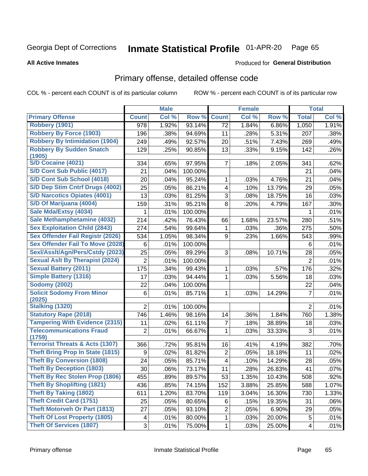### Inmate Statistical Profile 01-APR-20 Page 65

**All Active Inmates** 

### Produced for General Distribution

# Primary offense, detailed offense code

COL % - percent each COUNT is of its particular column

|                                            |                | <b>Male</b> |         |                | <b>Female</b> |        |                | <b>Total</b> |
|--------------------------------------------|----------------|-------------|---------|----------------|---------------|--------|----------------|--------------|
| <b>Primary Offense</b>                     | <b>Count</b>   | Col %       | Row %   | <b>Count</b>   | Col %         | Row %  | <b>Total</b>   | Col %        |
| <b>Robbery (1901)</b>                      | 978            | 1.92%       | 93.14%  | 72             | 1.84%         | 6.86%  | 1,050          | 1.91%        |
| <b>Robbery By Force (1903)</b>             | 196            | .38%        | 94.69%  | 11             | .28%          | 5.31%  | 207            | .38%         |
| <b>Robbery By Intimidation (1904)</b>      | 249            | .49%        | 92.57%  | 20             | .51%          | 7.43%  | 269            | .49%         |
| <b>Robbery By Sudden Snatch</b>            | 129            | .25%        | 90.85%  | 13             | .33%          | 9.15%  | 142            | .26%         |
| (1905)                                     |                |             |         |                |               |        |                |              |
| <b>S/D Cocaine (4021)</b>                  | 334            | .65%        | 97.95%  | 7              | .18%          | 2.05%  | 341            | .62%         |
| S/D Cont Sub Public (4017)                 | 21             | .04%        | 100.00% |                |               |        | 21             | .04%         |
| S/D Cont Sub School (4018)                 | 20             | .04%        | 95.24%  | 1              | .03%          | 4.76%  | 21             | .04%         |
| S/D Dep Stim Cntrf Drugs (4002)            | 25             | .05%        | 86.21%  | 4              | .10%          | 13.79% | 29             | .05%         |
| <b>S/D Narcotics Opiates (4001)</b>        | 13             | .03%        | 81.25%  | 3              | .08%          | 18.75% | 16             | .03%         |
| S/D Of Marijuana (4004)                    | 159            | .31%        | 95.21%  | 8              | .20%          | 4.79%  | 167            | .30%         |
| Sale Mda/Extsy (4034)                      | 1              | .01%        | 100.00% |                |               |        | 1              | .01%         |
| Sale Methamphetamine (4032)                | 214            | .42%        | 76.43%  | 66             | 1.68%         | 23.57% | 280            | .51%         |
| <b>Sex Exploitation Child (2843)</b>       | 274            | .54%        | 99.64%  | 1              | .03%          | .36%   | 275            | .50%         |
| Sex Offender Fail Registr (2026)           | 534            | 1.05%       | 98.34%  | 9              | .23%          | 1.66%  | 543            | .99%         |
| <b>Sex Offender Fail To Move (2028)</b>    | 6              | .01%        | 100.00% |                |               |        | 6              | .01%         |
| Sexl/Asslt/Agn/Pers/Cstdy (2023)           | 25             | .05%        | 89.29%  | 3              | .08%          | 10.71% | 28             | .05%         |
| <b>Sexual Aslt By Therapist (2024)</b>     | $\overline{2}$ | .01%        | 100.00% |                |               |        | $\overline{2}$ | .01%         |
| <b>Sexual Battery (2011)</b>               | 175            | .34%        | 99.43%  | 1              | .03%          | .57%   | 176            | .32%         |
| <b>Simple Battery (1316)</b>               | 17             | .03%        | 94.44%  | 1              | .03%          | 5.56%  | 18             | .03%         |
| <b>Sodomy (2002)</b>                       | 22             | .04%        | 100.00% |                |               |        | 22             | .04%         |
| <b>Solicit Sodomy From Minor</b>           | 6              | .01%        | 85.71%  | 1              | .03%          | 14.29% | $\overline{7}$ | .01%         |
| (2025)                                     |                |             |         |                |               |        |                |              |
| <b>Stalking (1320)</b>                     | $\overline{2}$ | .01%        | 100.00% |                |               |        | $\overline{2}$ | .01%         |
| <b>Statutory Rape (2018)</b>               | 746            | 1.46%       | 98.16%  | 14             | .36%          | 1.84%  | 760            | 1.38%        |
| <b>Tampering With Evidence (2315)</b>      | 11             | .02%        | 61.11%  | $\overline{7}$ | .18%          | 38.89% | 18             | .03%         |
| <b>Telecommunications Fraud</b><br>(1759)  | $\overline{2}$ | .01%        | 66.67%  | 1              | .03%          | 33.33% | 3              | .01%         |
| <b>Terrorist Threats &amp; Acts (1307)</b> | 366            | .72%        | 95.81%  | 16             | .41%          | 4.19%  | 382            | .70%         |
| <b>Theft Bring Prop In State (1815)</b>    | 9              | .02%        | 81.82%  | $\overline{2}$ | .05%          | 18.18% | 11             | .02%         |
| <b>Theft By Conversion (1808)</b>          | 24             | .05%        | 85.71%  | 4              | .10%          | 14.29% | 28             | .05%         |
| <b>Theft By Deception (1803)</b>           | 30             | .06%        | 73.17%  | 11             | .28%          | 26.83% | 41             | .07%         |
| Theft By Rec Stolen Prop (1806)            | 455            | .89%        | 89.57%  | 53             | 1.35%         | 10.43% | 508            | .92%         |
| <b>Theft By Shoplifting (1821)</b>         | 436            | .85%        | 74.15%  | 152            | 3.88%         | 25.85% | 588            | 1.07%        |
| <b>Theft By Taking (1802)</b>              | 611            | 1.20%       | 83.70%  | 119            | 3.04%         | 16.30% | 730            | 1.33%        |
| <b>Theft Credit Card (1751)</b>            | 25             | .05%        | 80.65%  | 6              | .15%          | 19.35% | 31             | .06%         |
| <b>Theft Motorveh Or Part (1813)</b>       | 27             | .05%        | 93.10%  | $\overline{2}$ | .05%          | 6.90%  | 29             | .05%         |
| <b>Theft Of Lost Property (1805)</b>       | 4              | .01%        | 80.00%  | $\mathbf 1$    | .03%          | 20.00% | 5              | .01%         |
| <b>Theft Of Services (1807)</b>            | $\mathfrak{S}$ | .01%        | 75.00%  | 1              | .03%          | 25.00% | $\overline{4}$ | .01%         |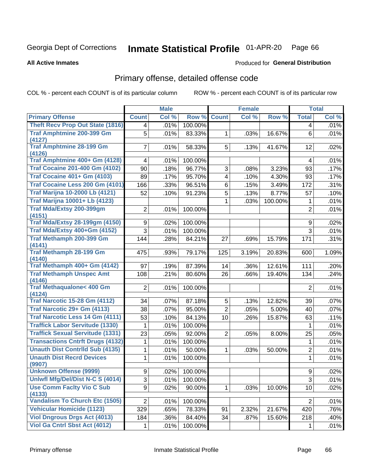#### Inmate Statistical Profile 01-APR-20 Page 66

### **All Active Inmates**

## Produced for General Distribution

# Primary offense, detailed offense code

COL % - percent each COUNT is of its particular column

|                                               |                | <b>Male</b> |         |                         | Female |         |                | <b>Total</b> |
|-----------------------------------------------|----------------|-------------|---------|-------------------------|--------|---------|----------------|--------------|
| <b>Primary Offense</b>                        | <b>Count</b>   | Col %       | Row %   | <b>Count</b>            | Col %  | Row %   | <b>Total</b>   | Col %        |
| <b>Theft Recv Prop Out State (1816)</b>       | $\overline{4}$ | .01%        | 100.00% |                         |        |         | $\overline{4}$ | .01%         |
| <b>Traf Amphtmine 200-399 Gm</b>              | 5              | .01%        | 83.33%  | 1                       | .03%   | 16.67%  | 6              | .01%         |
| (4127)<br><b>Traf Amphtmine 28-199 Gm</b>     |                |             |         |                         |        |         |                |              |
| (4126)                                        | $\overline{7}$ | .01%        | 58.33%  | 5                       | .13%   | 41.67%  | 12             | .02%         |
| Traf Amphtmine 400+ Gm (4128)                 | $\overline{4}$ | .01%        | 100.00% |                         |        |         | 4              | .01%         |
| <b>Traf Cocaine 201-400 Gm (4102)</b>         | 90             | .18%        | 96.77%  | 3                       | .08%   | 3.23%   | 93             | .17%         |
| <b>Traf Cocaine 401+ Gm (4103)</b>            | 89             | .17%        | 95.70%  | $\overline{\mathbf{4}}$ | .10%   | 4.30%   | 93             | .17%         |
| Traf Cocaine Less 200 Gm (4101)               | 166            | .33%        | 96.51%  | 6                       | .15%   | 3.49%   | 172            | .31%         |
| <b>Traf Marijna 10-2000 Lb (4121)</b>         | 52             | .10%        | 91.23%  | 5                       | .13%   | 8.77%   | 57             | .10%         |
| <b>Traf Marijna 10001+ Lb (4123)</b>          |                |             |         | 1                       | .03%   | 100.00% | 1              | .01%         |
| <b>Traf Mda/Extsy 200-399gm</b>               | $\overline{2}$ | .01%        | 100.00% |                         |        |         | $\overline{2}$ | .01%         |
| (4151)                                        |                |             |         |                         |        |         |                |              |
| <b>Traf Mda/Extsy 28-199gm (4150)</b>         | 9              | .02%        | 100.00% |                         |        |         | 9              | .02%         |
| Traf Mda/Extsy 400+Gm (4152)                  | $\overline{3}$ | .01%        | 100.00% |                         |        |         | 3              | .01%         |
| <b>Traf Methamph 200-399 Gm</b><br>(4141)     | 144            | .28%        | 84.21%  | 27                      | .69%   | 15.79%  | 171            | .31%         |
| <b>Traf Methamph 28-199 Gm</b>                | 475            | .93%        | 79.17%  | 125                     | 3.19%  | 20.83%  | 600            | 1.09%        |
| (4140)                                        |                |             |         |                         |        |         |                |              |
| Traf Methamph 400+ Gm (4142)                  | 97             | .19%        | 87.39%  | 14                      | .36%   | 12.61%  | 111            | .20%         |
| <b>Traf Methamph Unspec Amt</b>               | 108            | .21%        | 80.60%  | 26                      | .66%   | 19.40%  | 134            | .24%         |
| (4146)                                        |                |             |         |                         |        |         |                |              |
| <b>Traf Methaqualone&lt; 400 Gm</b><br>(4124) | $\overline{2}$ | .01%        | 100.00% |                         |        |         | $\overline{2}$ | .01%         |
| <b>Traf Narcotic 15-28 Gm (4112)</b>          | 34             | .07%        | 87.18%  | 5                       | .13%   | 12.82%  | 39             | .07%         |
| Traf Narcotic 29+ Gm (4113)                   | 38             | .07%        | 95.00%  | $\overline{2}$          | .05%   | 5.00%   | 40             | .07%         |
| Traf Narcotic Less 14 Gm (4111)               | 53             | .10%        | 84.13%  | 10                      | .26%   | 15.87%  | 63             | .11%         |
| <b>Traffick Labor Servitude (1330)</b>        | 1              | .01%        | 100.00% |                         |        |         | 1              | .01%         |
| <b>Traffick Sexual Servitude (1331)</b>       | 23             | .05%        | 92.00%  | $\overline{2}$          | .05%   | 8.00%   | 25             | .05%         |
| <b>Transactions Cntrft Drugs (4132)</b>       | 1              | .01%        | 100.00% |                         |        |         | 1              | .01%         |
| <b>Unauth Dist Contrild Sub (4135)</b>        | 1              | .01%        | 50.00%  | 1                       | .03%   | 50.00%  | $\overline{2}$ | .01%         |
| <b>Unauth Dist Recrd Devices</b>              | $\mathbf{1}$   | .01%        | 100.00% |                         |        |         | $\mathbf{1}$   | .01%         |
| (9907)                                        |                |             |         |                         |        |         |                |              |
| <b>Unknown Offense (9999)</b>                 | 9 <sup>1</sup> | $.02\%$     | 100.00% |                         |        |         | 9              | .02%         |
| Uniwfl Mfg/Del/Dist N-C S (4014)              | 3              | .01%        | 100.00% |                         |        |         | 3              | .01%         |
| <b>Use Comm Facity Vio C Sub</b><br>(4133)    | 9              | .02%        | 90.00%  | 1                       | .03%   | 10.00%  | 10             | .02%         |
| <b>Vandalism To Church Etc (1505)</b>         | $\overline{2}$ | .01%        | 100.00% |                         |        |         | $\overline{2}$ | .01%         |
| <b>Vehicular Homicide (1123)</b>              | 329            | .65%        | 78.33%  | 91                      | 2.32%  | 21.67%  | 420            | .76%         |
| <b>Viol Dngrous Drgs Act (4013)</b>           | 184            | .36%        | 84.40%  | 34                      | .87%   | 15.60%  | 218            | .40%         |
| <b>Viol Ga Cntrl Sbst Act (4012)</b>          | $\mathbf{1}$   | .01%        | 100.00% |                         |        |         | 1              | .01%         |
|                                               |                |             |         |                         |        |         |                |              |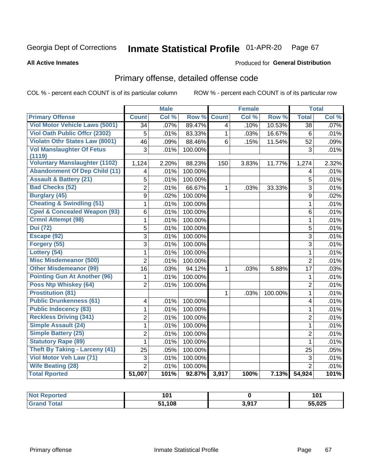### Inmate Statistical Profile 01-APR-20 Page 67

### **All Active Inmates**

## Produced for General Distribution

# Primary offense, detailed offense code

COL % - percent each COUNT is of its particular column

|                                         |                         | <b>Male</b> |         |                         | <b>Female</b> |         |                 | <b>Total</b> |
|-----------------------------------------|-------------------------|-------------|---------|-------------------------|---------------|---------|-----------------|--------------|
| <b>Primary Offense</b>                  | <b>Count</b>            | Col %       | Row %   | <b>Count</b>            | Col %         | Row %   | <b>Total</b>    | Col %        |
| <b>Viol Motor Vehicle Laws (5001)</b>   | $\overline{34}$         | .07%        | 89.47%  | $\overline{\mathbf{4}}$ | .10%          | 10.53%  | $\overline{38}$ | .07%         |
| Viol Oath Public Offcr (2302)           | 5                       | .01%        | 83.33%  | 1                       | .03%          | 16.67%  | 6               | .01%         |
| <b>Violatn Othr States Law (8001)</b>   | $\overline{46}$         | .09%        | 88.46%  | 6                       | .15%          | 11.54%  | 52              | .09%         |
| <b>Vol Manslaughter Of Fetus</b>        | 3                       | .01%        | 100.00% |                         |               |         | 3               | .01%         |
| (1119)                                  |                         |             |         |                         |               |         |                 |              |
| <b>Voluntary Manslaughter (1102)</b>    | 1,124                   | 2.20%       | 88.23%  | 150                     | 3.83%         | 11.77%  | 1,274           | 2.32%        |
| <b>Abandonment Of Dep Child (11)</b>    | 4                       | .01%        | 100.00% |                         |               |         | 4               | .01%         |
| <b>Assault &amp; Battery (21)</b>       | 5                       | .01%        | 100.00% |                         |               |         | 5               | .01%         |
| <b>Bad Checks (52)</b>                  | $\overline{2}$          | .01%        | 66.67%  | 1                       | .03%          | 33.33%  | 3               | .01%         |
| <b>Burglary (45)</b>                    | 9                       | .02%        | 100.00% |                         |               |         | 9               | .02%         |
| <b>Cheating &amp; Swindling (51)</b>    | 1                       | .01%        | 100.00% |                         |               |         | 1               | .01%         |
| <b>Cpwl &amp; Concealed Weapon (93)</b> | 6                       | .01%        | 100.00% |                         |               |         | 6               | .01%         |
| <b>Crmnl Attempt (98)</b>               | 1                       | .01%        | 100.00% |                         |               |         | $\mathbf{1}$    | .01%         |
| <b>Dui</b> (72)                         | 5                       | .01%        | 100.00% |                         |               |         | 5               | .01%         |
| Escape (92)                             | $\overline{3}$          | .01%        | 100.00% |                         |               |         | $\overline{3}$  | .01%         |
| Forgery (55)                            | $\overline{3}$          | .01%        | 100.00% |                         |               |         | $\overline{3}$  | .01%         |
| Lottery (54)                            | 1                       | .01%        | 100.00% |                         |               |         | 1               | .01%         |
| <b>Misc Misdemeanor (500)</b>           | $\overline{2}$          | .01%        | 100.00% |                         |               |         | $\overline{2}$  | .01%         |
| <b>Other Misdemeanor (99)</b>           | 16                      | .03%        | 94.12%  | 1                       | .03%          | 5.88%   | 17              | .03%         |
| <b>Pointing Gun At Another (96)</b>     | 1                       | .01%        | 100.00% |                         |               |         | $\mathbf{1}$    | .01%         |
| Poss Ntp Whiskey (64)                   | $\overline{2}$          | .01%        | 100.00% |                         |               |         | $\overline{2}$  | .01%         |
| <b>Prostitution (81)</b>                |                         |             |         | $\mathbf 1$             | .03%          | 100.00% | 1               | .01%         |
| <b>Public Drunkenness (61)</b>          | 4                       | .01%        | 100.00% |                         |               |         | 4               | .01%         |
| <b>Public Indecency (83)</b>            | $\mathbf{1}$            | .01%        | 100.00% |                         |               |         | $\mathbf{1}$    | .01%         |
| <b>Reckless Driving (341)</b>           | $\overline{\mathbf{c}}$ | .01%        | 100.00% |                         |               |         | $\overline{2}$  | .01%         |
| Simple Assault (24)                     | 1                       | .01%        | 100.00% |                         |               |         | 1               | .01%         |
| <b>Simple Battery (25)</b>              | $\overline{2}$          | .01%        | 100.00% |                         |               |         | $\overline{2}$  | .01%         |
| <b>Statutory Rape (89)</b>              | $\mathbf{1}$            | .01%        | 100.00% |                         |               |         | $\mathbf{1}$    | .01%         |
| <b>Theft By Taking - Larceny (41)</b>   | 25                      | .05%        | 100.00% |                         |               |         | 25              | .05%         |
| Viol Motor Veh Law (71)                 | 3                       | .01%        | 100.00% |                         |               |         | 3               | .01%         |
| <b>Wife Beating (28)</b>                | $\overline{2}$          | .01%        | 100.00% |                         |               |         | $\overline{2}$  | .01%         |
| <b>Total Rported</b>                    | 51,007                  | 101%        | 92.87%  | 3,917                   | 100%          | 7.13%   | 54,924          | 101%         |

| rtea                  | 101<br>וטו |       | 1 N<br>1 V I |
|-----------------------|------------|-------|--------------|
| $f \wedge f \wedge f$ | .108       | 3,917 | 55,025       |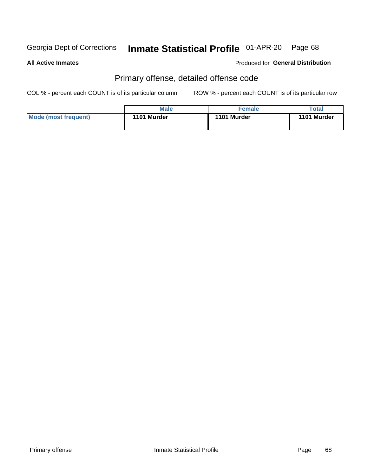### Inmate Statistical Profile 01-APR-20 Page 68

**All Active Inmates** 

Produced for General Distribution

# Primary offense, detailed offense code

COL % - percent each COUNT is of its particular column

|                      | <b>Male</b> | <b>Female</b> | Total       |
|----------------------|-------------|---------------|-------------|
| Mode (most frequent) | 1101 Murder | 1101 Murder   | 1101 Murder |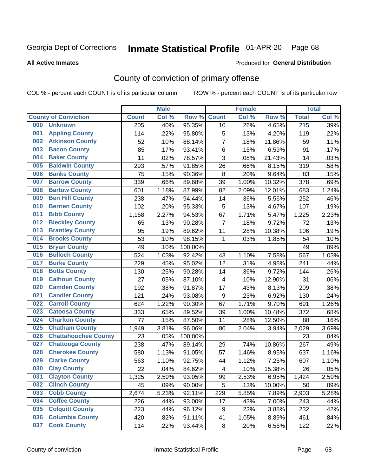# Inmate Statistical Profile 01-APR-20 Page 68

**All Active Inmates** 

### Produced for General Distribution

# County of conviction of primary offense

COL % - percent each COUNT is of its particular column

|     |                             |              | <b>Male</b> |         |                         | <b>Female</b> |        |                  | <b>Total</b> |
|-----|-----------------------------|--------------|-------------|---------|-------------------------|---------------|--------|------------------|--------------|
|     | <b>County of Conviction</b> | <b>Count</b> | Col %       | Row %   | <b>Count</b>            | Col %         | Row %  | <b>Total</b>     | Col %        |
| 000 | <b>Unknown</b>              | 205          | .40%        | 95.35%  | 10                      | .26%          | 4.65%  | $\overline{215}$ | .39%         |
| 001 | <b>Appling County</b>       | 114          | .22%        | 95.80%  | 5                       | .13%          | 4.20%  | 119              | .22%         |
| 002 | <b>Atkinson County</b>      | 52           | .10%        | 88.14%  | $\overline{7}$          | .18%          | 11.86% | 59               | .11%         |
| 003 | <b>Bacon County</b>         | 85           | .17%        | 93.41%  | $\,6$                   | .15%          | 6.59%  | 91               | .17%         |
| 004 | <b>Baker County</b>         | 11           | .02%        | 78.57%  | $\overline{3}$          | .08%          | 21.43% | 14               | .03%         |
| 005 | <b>Baldwin County</b>       | 293          | .57%        | 91.85%  | 26                      | .66%          | 8.15%  | 319              | .58%         |
| 006 | <b>Banks County</b>         | 75           | .15%        | 90.36%  | 8                       | .20%          | 9.64%  | 83               | .15%         |
| 007 | <b>Barrow County</b>        | 339          | .66%        | 89.68%  | 39                      | 1.00%         | 10.32% | 378              | .69%         |
| 008 | <b>Bartow County</b>        | 601          | 1.18%       | 87.99%  | 82                      | 2.09%         | 12.01% | 683              | 1.24%        |
| 009 | <b>Ben Hill County</b>      | 238          | .47%        | 94.44%  | 14                      | .36%          | 5.56%  | 252              | .46%         |
| 010 | <b>Berrien County</b>       | 102          | .20%        | 95.33%  | 5                       | .13%          | 4.67%  | 107              | .19%         |
| 011 | <b>Bibb County</b>          | 1,158        | 2.27%       | 94.53%  | 67                      | 1.71%         | 5.47%  | 1,225            | 2.23%        |
| 012 | <b>Bleckley County</b>      | 65           | .13%        | 90.28%  | $\overline{7}$          | .18%          | 9.72%  | 72               | .13%         |
| 013 | <b>Brantley County</b>      | 95           | .19%        | 89.62%  | 11                      | .28%          | 10.38% | 106              | .19%         |
| 014 | <b>Brooks County</b>        | 53           | .10%        | 98.15%  | 1                       | .03%          | 1.85%  | 54               | .10%         |
| 015 | <b>Bryan County</b>         | 49           | .10%        | 100.00% |                         |               |        | 49               | .09%         |
| 016 | <b>Bulloch County</b>       | 524          | 1.03%       | 92.42%  | 43                      | 1.10%         | 7.58%  | 567              | 1.03%        |
| 017 | <b>Burke County</b>         | 229          | .45%        | 95.02%  | 12                      | .31%          | 4.98%  | 241              | .44%         |
| 018 | <b>Butts County</b>         | 130          | .25%        | 90.28%  | 14                      | .36%          | 9.72%  | 144              | .26%         |
| 019 | <b>Calhoun County</b>       | 27           | .05%        | 87.10%  | $\overline{\mathbf{4}}$ | .10%          | 12.90% | 31               | .06%         |
| 020 | <b>Camden County</b>        | 192          | .38%        | 91.87%  | 17                      | .43%          | 8.13%  | 209              | .38%         |
| 021 | <b>Candler County</b>       | 121          | .24%        | 93.08%  | $\boldsymbol{9}$        | .23%          | 6.92%  | 130              | .24%         |
| 022 | <b>Carroll County</b>       | 624          | 1.22%       | 90.30%  | 67                      | 1.71%         | 9.70%  | 691              | 1.26%        |
| 023 | <b>Catoosa County</b>       | 333          | .65%        | 89.52%  | 39                      | 1.00%         | 10.48% | 372              | .68%         |
| 024 | <b>Charlton County</b>      | 77           | .15%        | 87.50%  | 11                      | .28%          | 12.50% | 88               | .16%         |
| 025 | <b>Chatham County</b>       | 1,949        | 3.81%       | 96.06%  | 80                      | 2.04%         | 3.94%  | 2,029            | 3.69%        |
| 026 | <b>Chattahoochee County</b> | 23           | .05%        | 100.00% |                         |               |        | 23               | .04%         |
| 027 | <b>Chattooga County</b>     | 238          | .47%        | 89.14%  | 29                      | .74%          | 10.86% | 267              | .49%         |
| 028 | <b>Cherokee County</b>      | 580          | 1.13%       | 91.05%  | 57                      | 1.46%         | 8.95%  | 637              | 1.16%        |
| 029 | <b>Clarke County</b>        | 563          | 1.10%       | 92.75%  | 44                      | 1.12%         | 7.25%  | 607              | 1.10%        |
| 030 | <b>Clay County</b>          | 22           | .04%        | 84.62%  | $\overline{\mathbf{4}}$ | .10%          | 15.38% | 26               | .05%         |
| 031 | <b>Clayton County</b>       | 1,325        | 2.59%       | 93.05%  | 99                      | 2.53%         | 6.95%  | 1,424            | 2.59%        |
| 032 | <b>Clinch County</b>        | 45           | .09%        | 90.00%  | 5                       | .13%          | 10.00% | 50               | .09%         |
| 033 | <b>Cobb County</b>          | 2,674        | 5.23%       | 92.11%  | 229                     | 5.85%         | 7.89%  | 2,903            | 5.28%        |
| 034 | <b>Coffee County</b>        | 226          | .44%        | 93.00%  | 17                      | .43%          | 7.00%  | 243              | .44%         |
| 035 | <b>Colquitt County</b>      | 223          | .44%        | 96.12%  | $\boldsymbol{9}$        | .23%          | 3.88%  | 232              | .42%         |
| 036 | <b>Columbia County</b>      | 420          | .82%        | 91.11%  | 41                      | 1.05%         | 8.89%  | 461              | .84%         |
| 037 | <b>Cook County</b>          | 114          | .22%        | 93.44%  | 8                       | .20%          | 6.56%  | 122              | .22%         |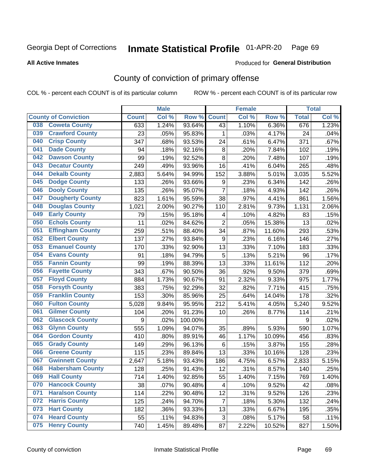#### Inmate Statistical Profile 01-APR-20 Page 69

**All Active Inmates** 

### **Produced for General Distribution**

# County of conviction of primary offense

COL % - percent each COUNT is of its particular column

|     |                             |              | <b>Male</b> |         |                  | <b>Female</b> |        |              | <b>Total</b> |
|-----|-----------------------------|--------------|-------------|---------|------------------|---------------|--------|--------------|--------------|
|     | <b>County of Conviction</b> | <b>Count</b> | Col %       | Row %   | <b>Count</b>     | Col %         | Row %  | <b>Total</b> | Col %        |
| 038 | <b>Coweta County</b>        | 633          | 1.24%       | 93.64%  | 43               | 1.10%         | 6.36%  | 676          | 1.23%        |
| 039 | <b>Crawford County</b>      | 23           | .05%        | 95.83%  | 1                | .03%          | 4.17%  | 24           | .04%         |
| 040 | <b>Crisp County</b>         | 347          | .68%        | 93.53%  | 24               | .61%          | 6.47%  | 371          | .67%         |
| 041 | <b>Dade County</b>          | 94           | .18%        | 92.16%  | 8                | .20%          | 7.84%  | 102          | .19%         |
| 042 | <b>Dawson County</b>        | 99           | .19%        | 92.52%  | 8                | .20%          | 7.48%  | 107          | .19%         |
| 043 | <b>Decatur County</b>       | 249          | .49%        | 93.96%  | 16               | .41%          | 6.04%  | 265          | .48%         |
| 044 | <b>Dekalb County</b>        | 2,883        | 5.64%       | 94.99%  | 152              | 3.88%         | 5.01%  | 3,035        | 5.52%        |
| 045 | <b>Dodge County</b>         | 133          | .26%        | 93.66%  | 9                | .23%          | 6.34%  | 142          | .26%         |
| 046 | <b>Dooly County</b>         | 135          | .26%        | 95.07%  | $\overline{7}$   | .18%          | 4.93%  | 142          | .26%         |
| 047 | <b>Dougherty County</b>     | 823          | 1.61%       | 95.59%  | 38               | .97%          | 4.41%  | 861          | 1.56%        |
| 048 | <b>Douglas County</b>       | 1,021        | 2.00%       | 90.27%  | 110              | 2.81%         | 9.73%  | 1,131        | 2.06%        |
| 049 | <b>Early County</b>         | 79           | .15%        | 95.18%  | 4                | .10%          | 4.82%  | 83           | .15%         |
| 050 | <b>Echols County</b>        | 11           | .02%        | 84.62%  | $\overline{2}$   | .05%          | 15.38% | 13           | .02%         |
| 051 | <b>Effingham County</b>     | 259          | .51%        | 88.40%  | 34               | .87%          | 11.60% | 293          | .53%         |
| 052 | <b>Elbert County</b>        | 137          | .27%        | 93.84%  | $\boldsymbol{9}$ | .23%          | 6.16%  | 146          | .27%         |
| 053 | <b>Emanuel County</b>       | 170          | .33%        | 92.90%  | 13               | .33%          | 7.10%  | 183          | .33%         |
| 054 | <b>Evans County</b>         | 91           | .18%        | 94.79%  | 5                | .13%          | 5.21%  | 96           | .17%         |
| 055 | <b>Fannin County</b>        | 99           | .19%        | 88.39%  | 13               | .33%          | 11.61% | 112          | .20%         |
| 056 | <b>Fayette County</b>       | 343          | .67%        | 90.50%  | 36               | .92%          | 9.50%  | 379          | .69%         |
| 057 | <b>Floyd County</b>         | 884          | 1.73%       | 90.67%  | 91               | 2.32%         | 9.33%  | 975          | 1.77%        |
| 058 | <b>Forsyth County</b>       | 383          | .75%        | 92.29%  | 32               | .82%          | 7.71%  | 415          | .75%         |
| 059 | <b>Franklin County</b>      | 153          | .30%        | 85.96%  | 25               | .64%          | 14.04% | 178          | .32%         |
| 060 | <b>Fulton County</b>        | 5,028        | 9.84%       | 95.95%  | 212              | 5.41%         | 4.05%  | 5,240        | 9.52%        |
| 061 | <b>Gilmer County</b>        | 104          | .20%        | 91.23%  | 10               | .26%          | 8.77%  | 114          | .21%         |
| 062 | <b>Glascock County</b>      | 9            | .02%        | 100.00% |                  |               |        | 9            | .02%         |
| 063 | <b>Glynn County</b>         | 555          | 1.09%       | 94.07%  | 35               | .89%          | 5.93%  | 590          | 1.07%        |
| 064 | <b>Gordon County</b>        | 410          | .80%        | 89.91%  | 46               | 1.17%         | 10.09% | 456          | .83%         |
| 065 | <b>Grady County</b>         | 149          | .29%        | 96.13%  | 6                | .15%          | 3.87%  | 155          | .28%         |
| 066 | <b>Greene County</b>        | 115          | .23%        | 89.84%  | 13               | .33%          | 10.16% | 128          | .23%         |
| 067 | <b>Gwinnett County</b>      | 2,647        | 5.18%       | 93.43%  | 186              | 4.75%         | 6.57%  | 2,833        | 5.15%        |
| 068 | <b>Habersham County</b>     | 128          | .25%        | 91.43%  | 12               | .31%          | 8.57%  | 140          | .25%         |
| 069 | <b>Hall County</b>          | 714          | 1.40%       | 92.85%  | 55               | 1.40%         | 7.15%  | 769          | 1.40%        |
| 070 | <b>Hancock County</b>       | 38           | .07%        | 90.48%  | 4                | .10%          | 9.52%  | 42           | .08%         |
| 071 | <b>Haralson County</b>      | 114          | .22%        | 90.48%  | 12               | .31%          | 9.52%  | 126          | .23%         |
| 072 | <b>Harris County</b>        | 125          | .24%        | 94.70%  | $\overline{7}$   | .18%          | 5.30%  | 132          | .24%         |
| 073 | <b>Hart County</b>          | 182          | .36%        | 93.33%  | 13               | .33%          | 6.67%  | 195          | .35%         |
| 074 | <b>Heard County</b>         | 55           | .11%        | 94.83%  | 3                | .08%          | 5.17%  | 58           | .11%         |
| 075 | <b>Henry County</b>         | 740          | 1.45%       | 89.48%  | 87               | 2.22%         | 10.52% | 827          | 1.50%        |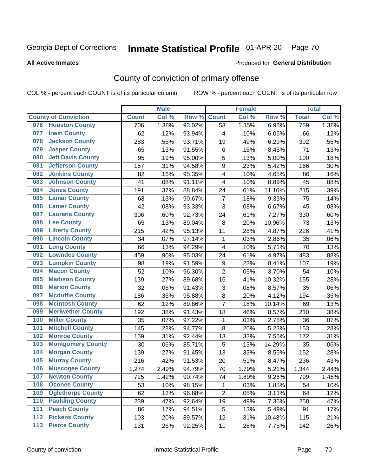# Inmate Statistical Profile 01-APR-20 Page 70

Produced for General Distribution

### **All Active Inmates**

# County of conviction of primary offense

COL % - percent each COUNT is of its particular column

|                                           |              | <b>Male</b> |           |                  | <b>Female</b> |        |              | <b>Total</b> |
|-------------------------------------------|--------------|-------------|-----------|------------------|---------------|--------|--------------|--------------|
| <b>County of Conviction</b>               | <b>Count</b> | Col %       | Row %     | <b>Count</b>     | Col %         | Row %  | <b>Total</b> | Col %        |
| 076 Houston County                        | 706          | 1.38%       | 93.02%    | 53               | 1.35%         | 6.98%  | 759          | 1.38%        |
| <b>Irwin County</b><br>077                | 62           | .12%        | 93.94%    | 4                | .10%          | 6.06%  | 66           | .12%         |
| <b>Jackson County</b><br>078              | 283          | .55%        | 93.71%    | 19               | .49%          | 6.29%  | 302          | .55%         |
| <b>Jasper County</b><br>079               | 65           | .13%        | 91.55%    | $\,6\,$          | .15%          | 8.45%  | 71           | .13%         |
| <b>Jeff Davis County</b><br>080           | 95           | .19%        | 95.00%    | 5                | .13%          | 5.00%  | 100          | .18%         |
| <b>Jefferson County</b><br>081            | 157          | .31%        | 94.58%    | 9                | .23%          | 5.42%  | 166          | .30%         |
| <b>Jenkins County</b><br>082              | 82           | .16%        | 95.35%    | 4                | .10%          | 4.65%  | 86           | .16%         |
| <b>Johnson County</b><br>083              | 41           | .08%        | 91.11%    | 4                | .10%          | 8.89%  | 45           | .08%         |
| <b>Jones County</b><br>084                | 191          | .37%        | 88.84%    | 24               | .61%          | 11.16% | 215          | .39%         |
| <b>Lamar County</b><br>085                | 68           | .13%        | 90.67%    | $\overline{7}$   | .18%          | 9.33%  | 75           | .14%         |
| <b>Lanier County</b><br>086               | 42           | .08%        | 93.33%    | 3                | .08%          | 6.67%  | 45           | .08%         |
| <b>Laurens County</b><br>087              | 306          | .60%        | 92.73%    | 24               | .61%          | 7.27%  | 330          | .60%         |
| <b>Lee County</b><br>088                  | 65           | .13%        | 89.04%    | 8                | .20%          | 10.96% | 73           | .13%         |
| <b>Liberty County</b><br>089              | 215          | .42%        | 95.13%    | 11               | .28%          | 4.87%  | 226          | .41%         |
| <b>Lincoln County</b><br>090              | 34           | .07%        | 97.14%    | $\mathbf{1}$     | .03%          | 2.86%  | 35           | .06%         |
| <b>Long County</b><br>091                 | 66           | .13%        | 94.29%    | 4                | .10%          | 5.71%  | 70           | .13%         |
| <b>Lowndes County</b><br>092              | 459          | .90%        | 95.03%    | 24               | .61%          | 4.97%  | 483          | .88%         |
| <b>Lumpkin County</b><br>093              | 98           | .19%        | 91.59%    | $\boldsymbol{9}$ | .23%          | 8.41%  | 107          | .19%         |
| <b>Macon County</b><br>094                | 52           | .10%        | 96.30%    | $\overline{2}$   | .05%          | 3.70%  | 54           | .10%         |
| <b>Madison County</b><br>095              | 139          | .27%        | 89.68%    | 16               | .41%          | 10.32% | 155          | .28%         |
| <b>Marion County</b><br>096               | 32           | .06%        | 91.43%    | 3                | .08%          | 8.57%  | 35           | .06%         |
| <b>Mcduffie County</b><br>097             | 186          | .36%        | 95.88%    | 8                | .20%          | 4.12%  | 194          | .35%         |
| <b>Mcintosh County</b><br>098             | 62           | .12%        | 89.86%    | $\overline{7}$   | .18%          | 10.14% | 69           | .13%         |
| <b>Meriwether County</b><br>099           | 192          | .38%        | 91.43%    | 18               | .46%          | 8.57%  | 210          | .38%         |
| <b>Miller County</b><br>100               | 35           | .07%        | 97.22%    | $\mathbf{1}$     | .03%          | 2.78%  | 36           | .07%         |
| <b>Mitchell County</b><br>101             | 145          | .28%        | 94.77%    | $\,8\,$          | .20%          | 5.23%  | 153          | .28%         |
| <b>Monroe County</b><br>102               | 159          | .31%        | 92.44%    | 13               | .33%          | 7.56%  | 172          | .31%         |
| 103<br><b>Montgomery County</b>           | 30           | .06%        | 85.71%    | 5                | .13%          | 14.29% | 35           | .06%         |
| <b>Morgan County</b><br>104               | 139          | .27%        | $91.45\%$ | 13               | .33%          | 8.55%  | 152          | .28%         |
| <b>Murray County</b><br>105               | 216          | .42%        | 91.53%    | 20               | .51%          | 8.47%  | 236          | .43%         |
| <b>Muscogee County</b><br>106             | 1,274        | 2.49%       | 94.79%    | 70               | 1.79%         | 5.21%  | 1,344        | 2.44%        |
| 107<br><b>Newton County</b>               | 725          | 1.42%       | 90.74%    | 74               | 1.89%         | 9.26%  | 799          | 1.45%        |
| <b>Oconee County</b><br>108               | 53           | .10%        | 98.15%    | 1                | .03%          | 1.85%  | 54           | .10%         |
| <b>Oglethorpe County</b><br>109           | 62           | .12%        | 96.88%    | $\overline{2}$   | .05%          | 3.13%  | 64           | .12%         |
| <b>Paulding County</b><br>110             | 239          | .47%        | 92.64%    | 19               | .49%          | 7.36%  | 258          | .47%         |
| 111<br><b>Peach County</b>                | 86           | .17%        | 94.51%    | 5                | .13%          | 5.49%  | 91           | .17%         |
| <b>Pickens County</b><br>$\overline{112}$ | 103          | .20%        | 89.57%    | 12               | .31%          | 10.43% | 115          | .21%         |
| <b>Pierce County</b><br>113               | 131          | .26%        | 92.25%    | 11               | .28%          | 7.75%  | 142          | .26%         |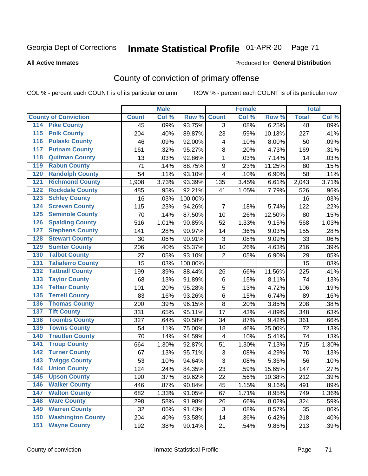# Inmate Statistical Profile 01-APR-20 Page 71

### **All Active Inmates**

## Produced for General Distribution

# County of conviction of primary offense

COL % - percent each COUNT is of its particular column

|                                          |              | <b>Male</b> |         |                         | <b>Female</b> |        |                 | <b>Total</b> |
|------------------------------------------|--------------|-------------|---------|-------------------------|---------------|--------|-----------------|--------------|
| <b>County of Conviction</b>              | <b>Count</b> | Col %       | Row %   | <b>Count</b>            | Col %         | Row %  | <b>Total</b>    | Col %        |
| <b>Pike County</b><br>114                | 45           | .09%        | 93.75%  | 3                       | .08%          | 6.25%  | $\overline{48}$ | .09%         |
| <b>Polk County</b><br>$\overline{115}$   | 204          | .40%        | 89.87%  | 23                      | .59%          | 10.13% | 227             | .41%         |
| <b>Pulaski County</b><br>116             | 46           | .09%        | 92.00%  | $\overline{\mathbf{4}}$ | .10%          | 8.00%  | 50              | .09%         |
| <b>Putnam County</b><br>117              | 161          | .32%        | 95.27%  | 8                       | .20%          | 4.73%  | 169             | .31%         |
| <b>Quitman County</b><br>118             | 13           | .03%        | 92.86%  | 1                       | .03%          | 7.14%  | 14              | .03%         |
| <b>Rabun County</b><br>119               | 71           | .14%        | 88.75%  | $\boldsymbol{9}$        | .23%          | 11.25% | 80              | .15%         |
| <b>Randolph County</b><br>120            | 54           | .11%        | 93.10%  | 4                       | .10%          | 6.90%  | 58              | .11%         |
| <b>Richmond County</b><br>121            | 1,908        | 3.73%       | 93.39%  | 135                     | 3.45%         | 6.61%  | 2,043           | 3.71%        |
| <b>Rockdale County</b><br>122            | 485          | .95%        | 92.21%  | 41                      | 1.05%         | 7.79%  | 526             | .96%         |
| <b>Schley County</b><br>123              | 16           | .03%        | 100.00% |                         |               |        | 16              | .03%         |
| <b>Screven County</b><br>124             | 115          | .23%        | 94.26%  | $\overline{7}$          | .18%          | 5.74%  | 122             | .22%         |
| <b>Seminole County</b><br>125            | 70           | .14%        | 87.50%  | 10                      | .26%          | 12.50% | 80              | .15%         |
| <b>Spalding County</b><br>126            | 516          | 1.01%       | 90.85%  | 52                      | 1.33%         | 9.15%  | 568             | 1.03%        |
| <b>Stephens County</b><br>127            | 141          | .28%        | 90.97%  | 14                      | .36%          | 9.03%  | 155             | .28%         |
| <b>Stewart County</b><br>128             | 30           | .06%        | 90.91%  | 3                       | .08%          | 9.09%  | 33              | .06%         |
| <b>Sumter County</b><br>129              | 206          | .40%        | 95.37%  | 10                      | .26%          | 4.63%  | 216             | .39%         |
| <b>Talbot County</b><br>130              | 27           | .05%        | 93.10%  | $\overline{2}$          | .05%          | 6.90%  | 29              | .05%         |
| <b>Taliaferro County</b><br>131          | 15           | .03%        | 100.00% |                         |               |        | 15              | .03%         |
| <b>Tattnall County</b><br>132            | 199          | .39%        | 88.44%  | 26                      | .66%          | 11.56% | 225             | .41%         |
| <b>Taylor County</b><br>133              | 68           | .13%        | 91.89%  | 6                       | .15%          | 8.11%  | 74              | .13%         |
| <b>Telfair County</b><br>134             | 101          | .20%        | 95.28%  | 5                       | .13%          | 4.72%  | 106             | .19%         |
| <b>Terrell County</b><br>135             | 83           | .16%        | 93.26%  | 6                       | .15%          | 6.74%  | 89              | .16%         |
| <b>Thomas County</b><br>136              | 200          | .39%        | 96.15%  | 8                       | .20%          | 3.85%  | 208             | .38%         |
| <b>Tift County</b><br>137                | 331          | .65%        | 95.11%  | 17                      | .43%          | 4.89%  | 348             | .63%         |
| <b>Toombs County</b><br>138              | 327          | .64%        | 90.58%  | 34                      | .87%          | 9.42%  | 361             | .66%         |
| <b>Towns County</b><br>139               | 54           | .11%        | 75.00%  | 18                      | .46%          | 25.00% | 72              | .13%         |
| <b>Treutlen County</b><br>140            | 70           | .14%        | 94.59%  | 4                       | .10%          | 5.41%  | 74              | .13%         |
| <b>Troup County</b><br>141               | 664          | 1.30%       | 92.87%  | 51                      | 1.30%         | 7.13%  | 715             | 1.30%        |
| <b>Turner County</b><br>142              | 67           | .13%        | 95.71%  | 3                       | .08%          | 4.29%  | 70              | .13%         |
| <b>Twiggs County</b><br>$\overline{143}$ | 53           | .10%        | 94.64%  | 3                       | .08%          | 5.36%  | 56              | .10%         |
| <b>Union County</b><br>144               | 124          | .24%        | 84.35%  | 23                      | .59%          | 15.65% | 147             | .27%         |
| 145<br><b>Upson County</b>               | 190          | .37%        | 89.62%  | 22                      | .56%          | 10.38% | 212             | .39%         |
| <b>Walker County</b><br>146              | 446          | .87%        | 90.84%  | 45                      | 1.15%         | 9.16%  | 491             | .89%         |
| <b>Walton County</b><br>147              | 682          | 1.33%       | 91.05%  | 67                      | 1.71%         | 8.95%  | 749             | 1.36%        |
| <b>Ware County</b><br>148                | 298          | .58%        | 91.98%  | 26                      | .66%          | 8.02%  | 324             | .59%         |
| <b>Warren County</b><br>149              | 32           | .06%        | 91.43%  | 3                       | .08%          | 8.57%  | 35              | .06%         |
| <b>Washington County</b><br>150          | 204          | .40%        | 93.58%  | 14                      | .36%          | 6.42%  | 218             | .40%         |
| <b>Wayne County</b><br>151               | 192          | .38%        | 90.14%  | 21                      | .54%          | 9.86%  | 213             | .39%         |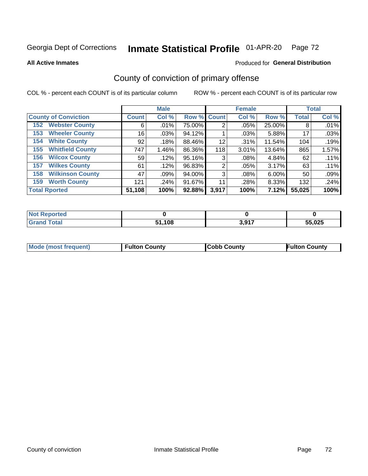# Inmate Statistical Profile 01-APR-20 Page 72

**All Active Inmates** 

### Produced for General Distribution

# County of conviction of primary offense

COL % - percent each COUNT is of its particular column

|                                |              | <b>Male</b> |             |       | <b>Female</b> |        |              | <b>Total</b> |
|--------------------------------|--------------|-------------|-------------|-------|---------------|--------|--------------|--------------|
| <b>County of Conviction</b>    | <b>Count</b> | Col %       | Row % Count |       | Col %         | Row %  | <b>Total</b> | Col %        |
| <b>Webster County</b><br>152   | 6            | .01%        | 75.00%      | 2     | $.05\%$       | 25.00% | 8            | .01%         |
| <b>Wheeler County</b><br>153   | 16           | $.03\%$     | 94.12%      |       | .03%          | 5.88%  | 17           | .03%         |
| <b>White County</b><br>154     | 92           | .18%        | 88.46%      | 12    | .31%          | 11.54% | 104          | .19%         |
| <b>Whitfield County</b><br>155 | 747          | 1.46%       | 86.36%      | 118   | 3.01%         | 13.64% | 865          | 1.57%        |
| <b>Wilcox County</b><br>156    | 59           | .12%        | 95.16%      | 3     | .08%          | 4.84%  | 62           | .11%         |
| <b>Wilkes County</b><br>157    | 61           | .12%        | 96.83%      | 2     | .05%          | 3.17%  | 63           | .11%         |
| <b>Wilkinson County</b><br>158 | 47           | .09%        | 94.00%      | 3     | .08%          | 6.00%  | 50           | .09%         |
| <b>Worth County</b><br>159     | 121          | .24%        | 91.67%      | 11    | .28%          | 8.33%  | 132          | .24%         |
| <b>Total Rported</b>           | 51,108       | 100%        | 92.88%      | 3,917 | 100%          | 7.12%  | 55,025       | 100%         |

| <b>Not Reported</b> |       |       |        |
|---------------------|-------|-------|--------|
| <b>Grand Total</b>  | 1,108 | 3,917 | 55,025 |

| Mode (most frequent) | <b>Fulton County</b> | <b>Cobb County</b> | <b>Fulton County</b> |
|----------------------|----------------------|--------------------|----------------------|
|                      |                      |                    |                      |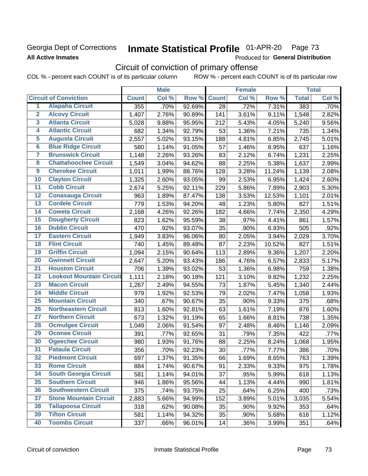### Georgia Dept of Corrections **All Active Inmates**

#### Inmate Statistical Profile 01-APR-20 Page 73

Produced for General Distribution

# Circuit of conviction of primary offense

|                         |                                 |              | <b>Male</b> |        |                 | <b>Female</b> |        |              | <b>Total</b> |
|-------------------------|---------------------------------|--------------|-------------|--------|-----------------|---------------|--------|--------------|--------------|
|                         | <b>Circuit of Conviction</b>    | <b>Count</b> | Col %       | Row %  | <b>Count</b>    | Col %         | Row %  | <b>Total</b> | Col %        |
| 1                       | <b>Alapaha Circuit</b>          | 355          | .70%        | 92.69% | $\overline{28}$ | .72%          | 7.31%  | 383          | .70%         |
| $\overline{2}$          | <b>Alcovy Circuit</b>           | 1,407        | 2.76%       | 90.89% | 141             | 3.61%         | 9.11%  | 1,548        | 2.82%        |
| $\overline{\mathbf{3}}$ | <b>Atlanta Circuit</b>          | 5,028        | 9.88%       | 95.95% | 212             | 5.43%         | 4.05%  | 5,240        | 9.56%        |
| 4                       | <b>Atlantic Circuit</b>         | 682          | 1.34%       | 92.79% | 53              | 1.36%         | 7.21%  | 735          | 1.34%        |
| 5                       | <b>Augusta Circuit</b>          | 2,557        | 5.02%       | 93.15% | 188             | 4.81%         | 6.85%  | 2,745        | 5.01%        |
| $\overline{6}$          | <b>Blue Ridge Circuit</b>       | 580          | 1.14%       | 91.05% | 57              | 1.46%         | 8.95%  | 637          | 1.16%        |
| 7                       | <b>Brunswick Circuit</b>        | 1,148        | 2.26%       | 93.26% | 83              | 2.12%         | 6.74%  | 1,231        | 2.25%        |
| 8                       | <b>Chattahoochee Circuit</b>    | 1,549        | 3.04%       | 94.62% | 88              | 2.25%         | 5.38%  | 1,637        | 2.99%        |
| 9                       | <b>Cherokee Circuit</b>         | 1,011        | 1.99%       | 88.76% | 128             | 3.28%         | 11.24% | 1,139        | 2.08%        |
| 10                      | <b>Clayton Circuit</b>          | 1,325        | 2.60%       | 93.05% | 99              | 2.53%         | 6.95%  | 1,424        | 2.60%        |
| $\overline{11}$         | <b>Cobb Circuit</b>             | 2,674        | 5.25%       | 92.11% | 229             | 5.86%         | 7.89%  | 2,903        | 5.30%        |
| 12                      | <b>Conasauga Circuit</b>        | 963          | 1.89%       | 87.47% | 138             | 3.53%         | 12.53% | 1,101        | 2.01%        |
| 13                      | <b>Cordele Circuit</b>          | 779          | 1.53%       | 94.20% | 48              | 1.23%         | 5.80%  | 827          | 1.51%        |
| $\overline{14}$         | <b>Coweta Circuit</b>           | 2,168        | 4.26%       | 92.26% | 182             | 4.66%         | 7.74%  | 2,350        | 4.29%        |
| 15                      | <b>Dougherty Circuit</b>        | 823          | 1.62%       | 95.59% | 38              | .97%          | 4.41%  | 861          | 1.57%        |
| 16                      | <b>Dublin Circuit</b>           | 470          | .92%        | 93.07% | 35              | .90%          | 6.93%  | 505          | .92%         |
| 17                      | <b>Eastern Circuit</b>          | 1,949        | 3.83%       | 96.06% | 80              | 2.05%         | 3.94%  | 2,029        | 3.70%        |
| 18                      | <b>Flint Circuit</b>            | 740          | 1.45%       | 89.48% | 87              | 2.23%         | 10.52% | 827          | 1.51%        |
| 19                      | <b>Griffin Circuit</b>          | 1,094        | 2.15%       | 90.64% | 113             | 2.89%         | 9.36%  | 1,207        | 2.20%        |
| 20                      | <b>Gwinnett Circuit</b>         | 2,647        | 5.20%       | 93.43% | 186             | 4.76%         | 6.57%  | 2,833        | 5.17%        |
| $\overline{21}$         | <b>Houston Circuit</b>          | 706          | 1.39%       | 93.02% | 53              | 1.36%         | 6.98%  | 759          | 1.38%        |
| $\overline{22}$         | <b>Lookout Mountain Circuit</b> | 1,111        | 2.18%       | 90.18% | 121             | 3.10%         | 9.82%  | 1,232        | 2.25%        |
| 23                      | <b>Macon Circuit</b>            | 1,267        | 2.49%       | 94.55% | 73              | 1.87%         | 5.45%  | 1,340        | 2.44%        |
| 24                      | <b>Middle Circuit</b>           | 979          | 1.92%       | 92.53% | 79              | 2.02%         | 7.47%  | 1,058        | 1.93%        |
| $\overline{25}$         | <b>Mountain Circuit</b>         | 340          | .67%        | 90.67% | 35              | .90%          | 9.33%  | 375          | .68%         |
| 26                      | <b>Northeastern Circuit</b>     | 813          | 1.60%       | 92.81% | 63              | 1.61%         | 7.19%  | 876          | 1.60%        |
| $\overline{27}$         | <b>Northern Circuit</b>         | 673          | 1.32%       | 91.19% | 65              | 1.66%         | 8.81%  | 738          | 1.35%        |
| 28                      | <b>Ocmulgee Circuit</b>         | 1,049        | 2.06%       | 91.54% | 97              | 2.48%         | 8.46%  | 1,146        | 2.09%        |
| 29                      | <b>Oconee Circuit</b>           | 391          | .77%        | 92.65% | 31              | .79%          | 7.35%  | 422          | .77%         |
| 30                      | <b>Ogeechee Circuit</b>         | 980          | 1.93%       | 91.76% | 88              | 2.25%         | 8.24%  | 1,068        | 1.95%        |
| $\overline{31}$         | <b>Pataula Circuit</b>          | 356          | .70%        | 92.23% | 30              | .77%          | 7.77%  | 386          | .70%         |
| 32                      | <b>Piedmont Circuit</b>         | 697          | 1.37%       | 91.35% | 66              | 1.69%         | 8.65%  | 763          | 1.39%        |
| 33                      | <b>Rome Circuit</b>             | 884          | 1.74%       | 90.67% | 91              | 2.33%         | 9.33%  | 975          | 1.78%        |
| 34                      | <b>South Georgia Circuit</b>    | 581          | 1.14%       | 94.01% | 37              | .95%          | 5.99%  | 618          | 1.13%        |
| 35                      | <b>Southern Circuit</b>         | 946          | 1.86%       | 95.56% | 44              | 1.13%         | 4.44%  | 990          | 1.81%        |
| 36                      | <b>Southwestern Circuit</b>     | 375          | .74%        | 93.75% | 25              | .64%          | 6.25%  | 400          | .73%         |
| 37                      | <b>Stone Mountain Circuit</b>   | 2,883        | 5.66%       | 94.99% | 152             | 3.89%         | 5.01%  | 3,035        | 5.54%        |
| 38                      | <b>Tallapoosa Circuit</b>       | 318          | .62%        | 90.08% | 35              | .90%          | 9.92%  | 353          | .64%         |
| 39                      | <b>Tifton Circuit</b>           | 581          | 1.14%       | 94.32% | 35              | .90%          | 5.68%  | 616          | 1.12%        |
| 40                      | <b>Toombs Circuit</b>           | 337          | .66%        | 96.01% | 14              | .36%          | 3.99%  | 351          | .64%         |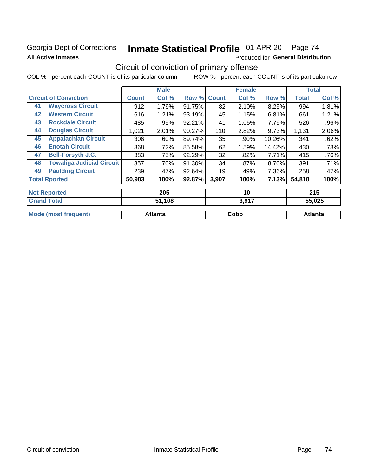### Georgia Dept of Corrections **All Active Inmates**

# Inmate Statistical Profile 01-APR-20 Page 74

Produced for General Distribution

## Circuit of conviction of primary offense

|                              |                                  |              | <b>Male</b> |        |              | <b>Female</b> |        |              | <b>Total</b> |
|------------------------------|----------------------------------|--------------|-------------|--------|--------------|---------------|--------|--------------|--------------|
| <b>Circuit of Conviction</b> |                                  | <b>Count</b> | Col %       | Row %  | <b>Count</b> | Col %         | Row %  | <b>Total</b> | Col %        |
| 41                           | <b>Waycross Circuit</b>          | 912          | 1.79%       | 91.75% | 82           | 2.10%         | 8.25%  | 994          | 1.81%        |
| 42                           | <b>Western Circuit</b>           | 616          | 1.21%       | 93.19% | 45           | 1.15%         | 6.81%  | 661          | 1.21%        |
| 43                           | <b>Rockdale Circuit</b>          | 485          | .95%        | 92.21% | 41           | 1.05%         | 7.79%  | 526          | .96%         |
| 44                           | <b>Douglas Circuit</b>           | 1,021        | 2.01%       | 90.27% | 110          | 2.82%         | 9.73%  | 1,131        | 2.06%        |
| 45                           | <b>Appalachian Circuit</b>       | 306          | $.60\%$     | 89.74% | 35           | .90%          | 10.26% | 341          | .62%         |
| 46                           | <b>Enotah Circuit</b>            | 368          | .72%        | 85.58% | 62           | 1.59%         | 14.42% | 430          | .78%         |
| 47                           | <b>Bell-Forsyth J.C.</b>         | 383          | .75%        | 92.29% | 32           | $.82\%$       | 7.71%  | 415          | .76%         |
| 48                           | <b>Towaliga Judicial Circuit</b> | 357          | .70%        | 91.30% | 34           | $.87\%$       | 8.70%  | 391          | .71%         |
| 49                           | <b>Paulding Circuit</b>          | 239          | .47%        | 92.64% | 19           | .49%          | 7.36%  | 258          | .47%         |
|                              | <b>Total Rported</b>             | 50,903       | 100%        | 92.87% | 3,907        | 100%          | 7.13%  | 54,810       | 100%         |
|                              | <b>Not Reported</b>              |              | 205         |        |              | 10            |        |              | 215          |

| <b>Grand Total</b>   | 51,108         | 3,917 | 55,025         |
|----------------------|----------------|-------|----------------|
| Mode (most frequent) | <b>Atlanta</b> | Cobb  | <b>Atlanta</b> |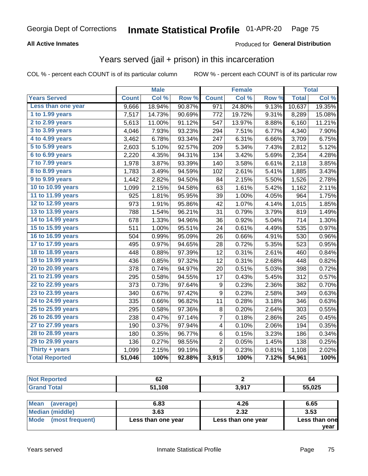### **All Active Inmates**

#### Produced for **General Distribution**

## Years served (jail + prison) in this incarceration

|                              |              | <b>Male</b> |        |                | <b>Female</b> |       |              | <b>Total</b> |
|------------------------------|--------------|-------------|--------|----------------|---------------|-------|--------------|--------------|
| <b>Years Served</b>          | <b>Count</b> | Col %       | Row %  | <b>Count</b>   | Col %         | Row % | <b>Total</b> | Col %        |
| Less than one year           | 9,666        | 18.94%      | 90.87% | 971            | 24.80%        | 9.13% | 10,637       | 19.35%       |
| 1 to 1.99 years              | 7,517        | 14.73%      | 90.69% | 772            | 19.72%        | 9.31% | 8,289        | 15.08%       |
| 2 to 2.99 years              | 5,613        | 11.00%      | 91.12% | 547            | 13.97%        | 8.88% | 6,160        | 11.21%       |
| $3$ to $3.99$ years          | 4,046        | 7.93%       | 93.23% | 294            | 7.51%         | 6.77% | 4,340        | 7.90%        |
| $\overline{4}$ to 4.99 years | 3,462        | 6.78%       | 93.34% | 247            | 6.31%         | 6.66% | 3,709        | 6.75%        |
| $\overline{5}$ to 5.99 years | 2,603        | 5.10%       | 92.57% | 209            | 5.34%         | 7.43% | 2,812        | 5.12%        |
| $6$ to $6.99$ years          | 2,220        | 4.35%       | 94.31% | 134            | 3.42%         | 5.69% | 2,354        | 4.28%        |
| 7 to 7.99 years              | 1,978        | 3.87%       | 93.39% | 140            | 3.58%         | 6.61% | 2,118        | 3.85%        |
| 8 to 8.99 years              | 1,783        | 3.49%       | 94.59% | 102            | 2.61%         | 5.41% | 1,885        | 3.43%        |
| 9 to 9.99 years              | 1,442        | 2.82%       | 94.50% | 84             | 2.15%         | 5.50% | 1,526        | 2.78%        |
| 10 to 10.99 years            | 1,099        | 2.15%       | 94.58% | 63             | 1.61%         | 5.42% | 1,162        | 2.11%        |
| 11 to 11.99 years            | 925          | 1.81%       | 95.95% | 39             | 1.00%         | 4.05% | 964          | 1.75%        |
| 12 to 12.99 years            | 973          | 1.91%       | 95.86% | 42             | 1.07%         | 4.14% | 1,015        | 1.85%        |
| 13 to 13.99 years            | 788          | 1.54%       | 96.21% | 31             | 0.79%         | 3.79% | 819          | 1.49%        |
| 14 to 14.99 years            | 678          | 1.33%       | 94.96% | 36             | 0.92%         | 5.04% | 714          | 1.30%        |
| 15 to 15.99 years            | 511          | 1.00%       | 95.51% | 24             | 0.61%         | 4.49% | 535          | 0.97%        |
| 16 to 16.99 years            | 504          | 0.99%       | 95.09% | 26             | 0.66%         | 4.91% | 530          | 0.96%        |
| 17 to 17.99 years            | 495          | 0.97%       | 94.65% | 28             | 0.72%         | 5.35% | 523          | 0.95%        |
| 18 to 18.99 years            | 448          | 0.88%       | 97.39% | 12             | 0.31%         | 2.61% | 460          | 0.84%        |
| 19 to 19.99 years            | 436          | 0.85%       | 97.32% | 12             | 0.31%         | 2.68% | 448          | 0.82%        |
| 20 to 20.99 years            | 378          | 0.74%       | 94.97% | 20             | 0.51%         | 5.03% | 398          | 0.72%        |
| 21 to 21.99 years            | 295          | 0.58%       | 94.55% | 17             | 0.43%         | 5.45% | 312          | 0.57%        |
| 22 to 22.99 years            | 373          | 0.73%       | 97.64% | 9              | 0.23%         | 2.36% | 382          | 0.70%        |
| 23 to 23.99 years            | 340          | 0.67%       | 97.42% | 9              | 0.23%         | 2.58% | 349          | 0.63%        |
| 24 to 24.99 years            | 335          | 0.66%       | 96.82% | 11             | 0.28%         | 3.18% | 346          | 0.63%        |
| 25 to 25.99 years            | 295          | 0.58%       | 97.36% | 8              | 0.20%         | 2.64% | 303          | 0.55%        |
| 26 to 26.99 years            | 238          | 0.47%       | 97.14% | 7              | 0.18%         | 2.86% | 245          | 0.45%        |
| 27 to 27.99 years            | 190          | 0.37%       | 97.94% | 4              | 0.10%         | 2.06% | 194          | 0.35%        |
| 28 to 28.99 years            | 180          | 0.35%       | 96.77% | 6              | 0.15%         | 3.23% | 186          | 0.34%        |
| 29 to 29.99 years            | 136          | 0.27%       | 98.55% | $\overline{c}$ | 0.05%         | 1.45% | 138          | 0.25%        |
| Thirty + years               | 1,099        | 2.15%       | 99.19% | 9              | 0.23%         | 0.81% | 1,108        | 2.02%        |
| <b>Total Reported</b>        | 51,046       | 100%        | 92.88% | 3,915          | 100%          | 7.12% | 54,961       | 100%         |

| <b>Not Reported</b> | ^^<br>VZ. |       | 64     |
|---------------------|-----------|-------|--------|
| <b>Grand Total</b>  | 51,108    | 3,917 | 55,025 |
|                     |           |       |        |

| ∣Mean<br>(average)   | 6.83               | 4.26               | 6.65          |
|----------------------|--------------------|--------------------|---------------|
| Median (middle)      | 3.63               | 2.32               | 3.53          |
| Mode (most frequent) | Less than one year | Less than one year | Less than one |
|                      |                    |                    | vear          |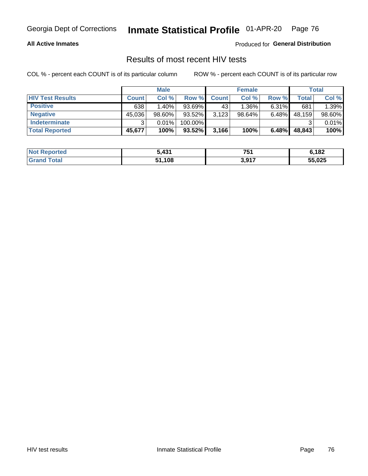#### **All Active Inmates**

Produced for **General Distribution**

### Results of most recent HIV tests

|                         |              | <b>Male</b> |           |              | <b>Female</b> |          |        | Total  |
|-------------------------|--------------|-------------|-----------|--------------|---------------|----------|--------|--------|
| <b>HIV Test Results</b> | <b>Count</b> | Col %       | Row %I    | <b>Count</b> | Col %         | Row %    | Total  | Col %  |
| <b>Positive</b>         | 638          | $1.40\%$    | 93.69%    | 43           | 1.36%         | $6.31\%$ | 681    | 1.39%  |
| <b>Negative</b>         | 45,036       | 98.60%      | 93.52%    | 3,123        | 98.64%        | 6.48%    | 48,159 | 98.60% |
| <b>Indeterminate</b>    |              | 0.01%       | 100.00%   |              |               |          |        | 0.01%  |
| <b>Total Reported</b>   | 45,677       | 100%        | $93.52\%$ | 3,166        | 100%          | 6.48%    | 48,843 | 100%   |

| <b>Not Reported</b>   | 5,431  | 751              | 6,182  |
|-----------------------|--------|------------------|--------|
| <b>Total</b><br>Grand | 51,108 | 2 Q17<br>וו ש, ט | 55,025 |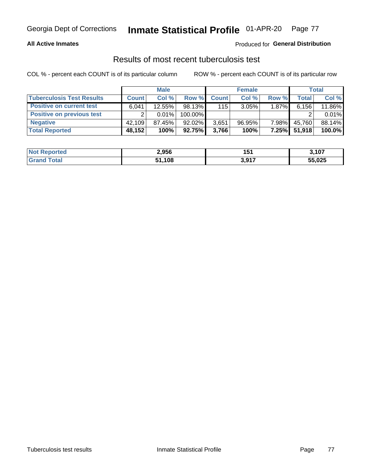#### **All Active Inmates**

#### Produced for **General Distribution**

### Results of most recent tuberculosis test

|                                  |              | <b>Male</b> |         |              | <b>Female</b> |          |              | Total  |
|----------------------------------|--------------|-------------|---------|--------------|---------------|----------|--------------|--------|
| <b>Tuberculosis Test Results</b> | <b>Count</b> | Col %       | Row %   | <b>Count</b> | Col %         | Row %    | <b>Total</b> | Col %  |
| <b>Positive on current test</b>  | 6.041        | 12.55%      | 98.13%  | 115          | $3.05\%$      | $1.87\%$ | 6,156        | 11.86% |
| <b>Positive on previous test</b> | ົ            | 0.01%       | 100.00% |              |               |          |              | 0.01%  |
| <b>Negative</b>                  | 42.109       | 87.45%      | 92.02%  | 3,651        | $96.95\%$     | 7.98%    | 45,760       | 88.14% |
| <b>Total Reported</b>            | 48,152       | 100%        | 92.75%  | 3,766        | 100%          | 7.25%    | 51,918       | 100.0% |

| <b>Not Reported</b> | 2,956  | 151             | 3,107  |
|---------------------|--------|-----------------|--------|
| Total<br>Gran       | 51,108 | 2 Q17<br>וו פוט | 55,025 |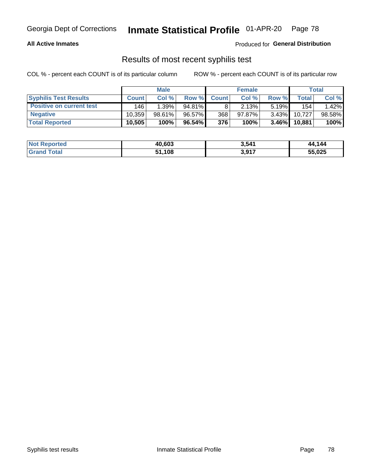#### **All Active Inmates**

Produced for **General Distribution**

### Results of most recent syphilis test

|                                 |              | <b>Male</b> |           |              | <b>Female</b> |          |            | Total  |
|---------------------------------|--------------|-------------|-----------|--------------|---------------|----------|------------|--------|
| <b>Syphilis Test Results</b>    | <b>Count</b> | Col%        | Row %     | <b>Count</b> | Col %         | Row %    | Total I    | Col %  |
| <b>Positive on current test</b> | 146          | 1.39%       | $94.81\%$ |              | 2.13%         | $5.19\%$ | 154        | 1.42%  |
| <b>Negative</b>                 | 10.359       | 98.61%      | 96.57%    | 368          | $97.87\%$     | $3.43\%$ | 10.727     | 98.58% |
| <b>Total Reported</b>           | 10,505       | 100%        | 96.54%    | 376          | 100%          | $3.46\%$ | $10,881$ , | 100%   |

| <b>Not Reported</b> | 40,603 | 3,541 | 44,144 |
|---------------------|--------|-------|--------|
| <b>Grand Total</b>  | .108   | 3,917 | 55,025 |